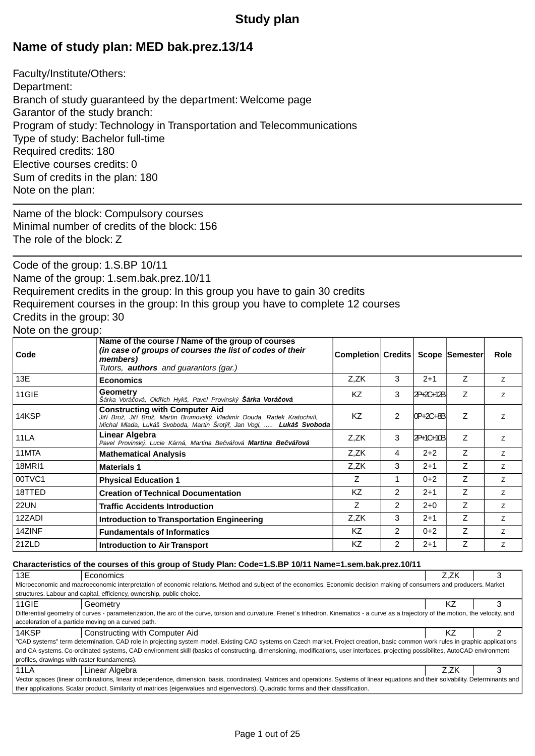## **Study plan**

## **Name of study plan: MED bak.prez.13/14**

Faculty/Institute/Others: Department: Branch of study guaranteed by the department: Welcome page Garantor of the study branch: Program of study: Technology in Transportation and Telecommunications Type of study: Bachelor full-time Required credits: 180 Elective courses credits: 0 Sum of credits in the plan: 180 Note on the plan:

Name of the block: Compulsory courses Minimal number of credits of the block: 156 The role of the block: Z

Code of the group: 1.S.BP 10/11 Name of the group: 1.sem.bak.prez.10/11 Requirement credits in the group: In this group you have to gain 30 credits Requirement courses in the group: In this group you have to complete 12 courses Credits in the group: 30

## Note on the group:

| Code        | Name of the course / Name of the group of courses<br>(in case of groups of courses the list of codes of their<br>members)<br>Tutors, <b>authors</b> and guarantors (gar.)                       | <b>Completion Credits</b> |                |            | Scope Semester | Role           |
|-------------|-------------------------------------------------------------------------------------------------------------------------------------------------------------------------------------------------|---------------------------|----------------|------------|----------------|----------------|
| 13E         | <b>Economics</b>                                                                                                                                                                                | Z,ZK                      | 3              | $2+1$      | Z              | z              |
| 11GIE       | Geometry<br>Šárka Vorá ová, Old ich Hykš, Pavel Provinský <b>Šárka Vorá ová</b>                                                                                                                 | KZ                        | 3              | 2P+2C+12B  | Z              | Z              |
| 14KSP       | <b>Constructing with Computer Aid</b><br>Ji í Brož, Ji í Brož, Martin Brumovský, Vladimír Douda, Radek Kratochvíl,<br>Michal Mlada, Lukáš Svoboda, Martin Šrotý, Jan Vogl, <b>Lukáš Svoboda</b> | <b>KZ</b>                 | 2              | IOP+2C+8BI | Z              | $\overline{z}$ |
| 11LA        | Linear Algebra<br>Pavel Provinský, Lucie Kárná, Martina Be vá ová Martina Be vá ová                                                                                                             | Z,ZK                      | 3              | 2P+1C+10B  | Z              | Z              |
| 11MTA       | <b>Mathematical Analysis</b>                                                                                                                                                                    | Z,ZK                      | 4              | $2 + 2$    | Z              | Z              |
| 18MRI1      | <b>Materials 1</b>                                                                                                                                                                              | Z,ZK                      | 3              | $2+1$      | Z              | Z              |
| 00TVC1      | <b>Physical Education 1</b>                                                                                                                                                                     | Z                         | 1              | $0+2$      | Z              | Z              |
| 18TTED      | <b>Creation of Technical Documentation</b>                                                                                                                                                      | KZ                        | $\overline{2}$ | $2+1$      | Z              | Z              |
| <b>22UN</b> | <b>Traffic Accidents Introduction</b>                                                                                                                                                           | Ζ                         | $\mathcal{P}$  | $2 + 0$    | Z              | Z.             |
| 12ZADI      | Introduction to Transportation Engineering                                                                                                                                                      | Z,ZK                      | 3              | $2 + 1$    | Z              | z              |
| 14ZINF      | <b>Fundamentals of Informatics</b>                                                                                                                                                              | KZ                        | 2              | $0+2$      | Z              | z              |
| 21ZLD       | <b>Introduction to Air Transport</b>                                                                                                                                                            | <b>KZ</b>                 | 2              | $2+1$      | Z              | Z              |

#### **Characteristics of the courses of this group of Study Plan: Code=1.S.BP 10/11 Name=1.sem.bak.prez.10/11**

| 13E                                                                                                                                                                                        | Economics                                                                                                                                                                       | Z.ZK |  |  |  |
|--------------------------------------------------------------------------------------------------------------------------------------------------------------------------------------------|---------------------------------------------------------------------------------------------------------------------------------------------------------------------------------|------|--|--|--|
|                                                                                                                                                                                            | Microeconomic and macroeconomic interpretation of economic relations. Method and subject of the economics. Economic decision making of consumers and producers. Market          |      |  |  |  |
|                                                                                                                                                                                            | structures. Labour and capital, efficiency, ownership, public choice.                                                                                                           |      |  |  |  |
| 11GIE                                                                                                                                                                                      | Geometry                                                                                                                                                                        | ΚZ   |  |  |  |
| Differential geometry of curves - parameterization, the arc of the curve, torsion and curvature, Frenet's trihedron. Kinematics - a curve as a trajectory of the motion, the velocity, and |                                                                                                                                                                                 |      |  |  |  |
| acceleration of a particle moving on a curved path.                                                                                                                                        |                                                                                                                                                                                 |      |  |  |  |
| 14KSP                                                                                                                                                                                      | Constructing with Computer Aid                                                                                                                                                  | ΚZ   |  |  |  |
|                                                                                                                                                                                            | "CAD systems" term determination. CAD role in projecting system model. Existing CAD systems on Czech market. Project creation, basic common work rules in graphic applications  |      |  |  |  |
|                                                                                                                                                                                            | and CA systems. Co-ordinated systems, CAD environment skill (basics of constructing, dimensioning, modifications, user interfaces, projecting possibilites, AutoCAD environment |      |  |  |  |
| profiles, drawings with raster foundaments).                                                                                                                                               |                                                                                                                                                                                 |      |  |  |  |
| 11LA                                                                                                                                                                                       | Linear Algebra                                                                                                                                                                  | Z.ZK |  |  |  |
| Vector spaces (linear combinations, linear independence, dimension, basis, coordinates). Matrices and operations. Systems of linear equations and their solvability. Determinants and      |                                                                                                                                                                                 |      |  |  |  |
| their applications. Scalar product. Similarity of matrices (eigenvalues and eigenvectors). Quadratic forms and their classification.                                                       |                                                                                                                                                                                 |      |  |  |  |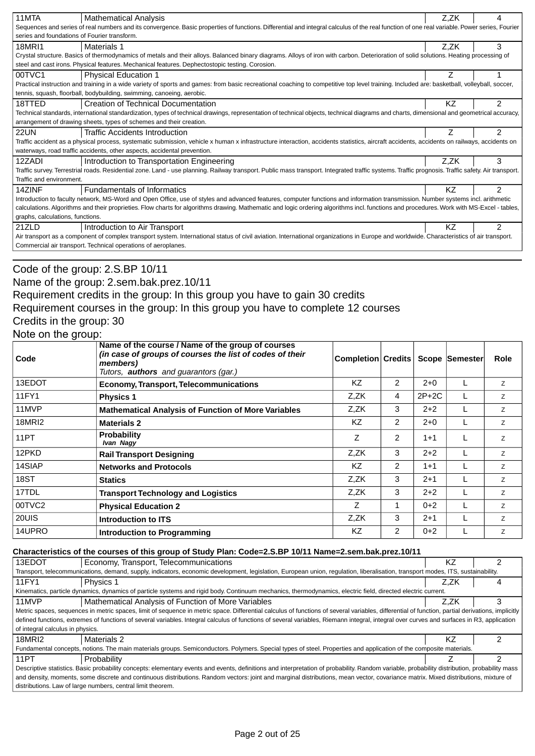| 11MTA                                                                                                                                                                                     | <b>Mathematical Analysis</b>                                                                                                                                                                      | Z,ZK | 4              |  |
|-------------------------------------------------------------------------------------------------------------------------------------------------------------------------------------------|---------------------------------------------------------------------------------------------------------------------------------------------------------------------------------------------------|------|----------------|--|
|                                                                                                                                                                                           | Sequences and series of real numbers and its convergence. Basic properties of functions. Differential and integral calculus of the real function of one real variable. Power series, Fourier      |      |                |  |
| series and foundations of Fourier transform.                                                                                                                                              |                                                                                                                                                                                                   |      |                |  |
| 18MRI1                                                                                                                                                                                    | Materials 1                                                                                                                                                                                       | Z.ZK | 3              |  |
| Crystal structure. Basics of thermodynamics of metals and their alloys. Balanced binary diagrams. Alloys of iron with carbon. Deterioration of solid solutions. Heating processing of     |                                                                                                                                                                                                   |      |                |  |
| steel and cast irons. Physical features. Mechanical features. Dephectostopic testing. Corosion.                                                                                           |                                                                                                                                                                                                   |      |                |  |
| 00TVC1                                                                                                                                                                                    | <b>Physical Education 1</b>                                                                                                                                                                       |      |                |  |
|                                                                                                                                                                                           | Practical instruction and training in a wide variety of sports and games: from basic recreational coaching to competitive top level training. Included are: basketball, volleyball, soccer,       |      |                |  |
|                                                                                                                                                                                           | tennis, squash, floorball, bodybuilding, swimming, canoeing, aerobic.                                                                                                                             |      |                |  |
| 18TTED                                                                                                                                                                                    | Creation of Technical Documentation                                                                                                                                                               | ΚZ   | $\mathcal{P}$  |  |
|                                                                                                                                                                                           | Technical standards, international standardization, types of technical drawings, representation of technical objects, technical diagrams and charts, dimensional and geometrical accuracy,        |      |                |  |
|                                                                                                                                                                                           | arrangement of drawing sheets, types of schemes and their creation.                                                                                                                               |      |                |  |
| <b>22UN</b>                                                                                                                                                                               | <b>Traffic Accidents Introduction</b>                                                                                                                                                             |      | $\overline{2}$ |  |
|                                                                                                                                                                                           | Traffic accident as a physical process, systematic submission, vehicle x human x infrastructure interaction, accidents statistics, aircraft accidents, accidents on railways, accidents on        |      |                |  |
|                                                                                                                                                                                           | waterways, road traffic accidents, other aspects, accidental prevention.                                                                                                                          |      |                |  |
| 12ZADI                                                                                                                                                                                    | Introduction to Transportation Engineering                                                                                                                                                        | Z.ZK | 3              |  |
|                                                                                                                                                                                           | Traffic survey. Terrestrial roads. Residential zone. Land - use planning. Railway transport. Public mass transport. Integrated traffic systems. Traffic prognosis. Traffic safety. Air transport. |      |                |  |
| Traffic and environment.                                                                                                                                                                  |                                                                                                                                                                                                   |      |                |  |
| 14ZINF                                                                                                                                                                                    | Fundamentals of Informatics                                                                                                                                                                       | ΚZ   | 2              |  |
|                                                                                                                                                                                           | Introduction to faculty network, MS-Word and Open Office, use of styles and advanced features, computer functions and information transmission. Number systems incl. arithmetic                   |      |                |  |
| calculations. Algorithms and their proprieties. Flow charts for algorithms drawing. Mathematic and logic ordering algorithms incl. functions and procedures. Work with MS-Excel - tables, |                                                                                                                                                                                                   |      |                |  |
| graphs, calculations, functions.                                                                                                                                                          |                                                                                                                                                                                                   |      |                |  |
| 21ZLD                                                                                                                                                                                     | Introduction to Air Transport                                                                                                                                                                     | ΚZ   | $\mathcal{P}$  |  |
| Air transport as a component of complex transport system. International status of civil aviation. International organizations in Europe and worldwide. Characteristics of air transport.  |                                                                                                                                                                                                   |      |                |  |
|                                                                                                                                                                                           | Commercial air transport. Technical operations of aeroplanes.                                                                                                                                     |      |                |  |
|                                                                                                                                                                                           |                                                                                                                                                                                                   |      |                |  |

## Code of the group: 2.S.BP 10/11

## Name of the group: 2.sem.bak.prez.10/11

## Requirement credits in the group: In this group you have to gain 30 credits

Requirement courses in the group: In this group you have to complete 12 courses

### Credits in the group: 30

### Note on the group:

| Code          | Name of the course / Name of the group of courses<br>(in case of groups of courses the list of codes of their<br>members)<br>Tutors, <b>authors</b> and guarantors (gar.) | <b>Completion Credits</b> |                |         | Scope Semester | <b>Role</b> |
|---------------|---------------------------------------------------------------------------------------------------------------------------------------------------------------------------|---------------------------|----------------|---------|----------------|-------------|
| 13EDOT        | <b>Economy, Transport, Telecommunications</b>                                                                                                                             | KZ                        | $\mathcal{P}$  | $2 + 0$ |                | Z           |
| 11FY1         | <b>Physics 1</b>                                                                                                                                                          | Z.ZK                      | 4              | $2P+2C$ |                | Z           |
| 11MVP         | <b>Mathematical Analysis of Function of More Variables</b>                                                                                                                | Z.ZK                      | 3              | $2+2$   |                | Z           |
| <b>18MRI2</b> | <b>Materials 2</b>                                                                                                                                                        | ΚZ                        | $\overline{2}$ | $2 + 0$ |                | Z           |
| 11PT          | <b>Probability</b><br>Ivan Nagy                                                                                                                                           | Ζ                         | 2              | $1 + 1$ |                | Z           |
| 12PKD         | <b>Rail Transport Designing</b>                                                                                                                                           | Z,ZK                      | 3              | $2+2$   |                | Z           |
| 14SIAP        | <b>Networks and Protocols</b>                                                                                                                                             | ΚZ                        | $\overline{2}$ | $1 + 1$ |                | Z           |
| 18ST          | <b>Statics</b>                                                                                                                                                            | Z.ZK                      | 3              | $2 + 1$ |                | Z           |
| 17TDL         | <b>Transport Technology and Logistics</b>                                                                                                                                 | Z,ZK                      | 3              | $2+2$   |                | Z           |
| 00TVC2        | <b>Physical Education 2</b>                                                                                                                                               | Z                         | 1              | $0+2$   |                | Z           |
| 20UIS         | Introduction to ITS                                                                                                                                                       | Z,ZK                      | 3              | $2+1$   |                | Z           |
| 14UPRO        | Introduction to Programming                                                                                                                                               | ΚZ                        | $\overline{2}$ | $0+2$   |                | Z           |

#### **Characteristics of the courses of this group of Study Plan: Code=2.S.BP 10/11 Name=2.sem.bak.prez.10/11**

| 13EDOT                                                                                                                                                                                       | Economy, Transport, Telecommunications                                                                                                                                                           | ΚZ   |  |  |
|----------------------------------------------------------------------------------------------------------------------------------------------------------------------------------------------|--------------------------------------------------------------------------------------------------------------------------------------------------------------------------------------------------|------|--|--|
|                                                                                                                                                                                              | Transport, telecommunications, demand, supply, indicators, economic development, legislation, European union, regulation, liberalisation, transport modes, ITS, sustainability,                  |      |  |  |
| 11FY1                                                                                                                                                                                        | Physics 1                                                                                                                                                                                        | Z.ZK |  |  |
| Kinematics, particle dynamics, dynamics of particle systems and rigid body. Continuum mechanics, thermodynamics, electric field, directed electric current.                                  |                                                                                                                                                                                                  |      |  |  |
| 11MVP                                                                                                                                                                                        | Mathematical Analysis of Function of More Variables                                                                                                                                              | Z.ZK |  |  |
|                                                                                                                                                                                              | Metric spaces, sequences in metric spaces, limit of sequence in metric space. Differential calculus of functions of several variables, differential of function, partial derivations, implicitly |      |  |  |
|                                                                                                                                                                                              | defined functions, extremes of functions of several variables. Integral calculus of functions of several variables, Riemann integral, integral over curves and surfaces in R3, application       |      |  |  |
| of integral calculus in physics.                                                                                                                                                             |                                                                                                                                                                                                  |      |  |  |
| 18MRI2                                                                                                                                                                                       | Materials 2                                                                                                                                                                                      | ΚZ   |  |  |
|                                                                                                                                                                                              | Fundamental concepts, notions. The main materials groups. Semiconductors. Polymers. Special types of steel. Properties and application of the composite materials.                               |      |  |  |
| 11PT                                                                                                                                                                                         | Probability                                                                                                                                                                                      |      |  |  |
| Descriptive statistics. Basic probability concepts: elementary events and events, definitions and interpretation of probability. Random variable, probability distribution, probability mass |                                                                                                                                                                                                  |      |  |  |
| and density, moments, some discrete and continuous distributions. Random vectors: joint and marginal distributions, mean vector, covariance matrix. Mixed distributions, mixture of          |                                                                                                                                                                                                  |      |  |  |
| distributions. Law of large numbers, central limit theorem.                                                                                                                                  |                                                                                                                                                                                                  |      |  |  |
|                                                                                                                                                                                              |                                                                                                                                                                                                  |      |  |  |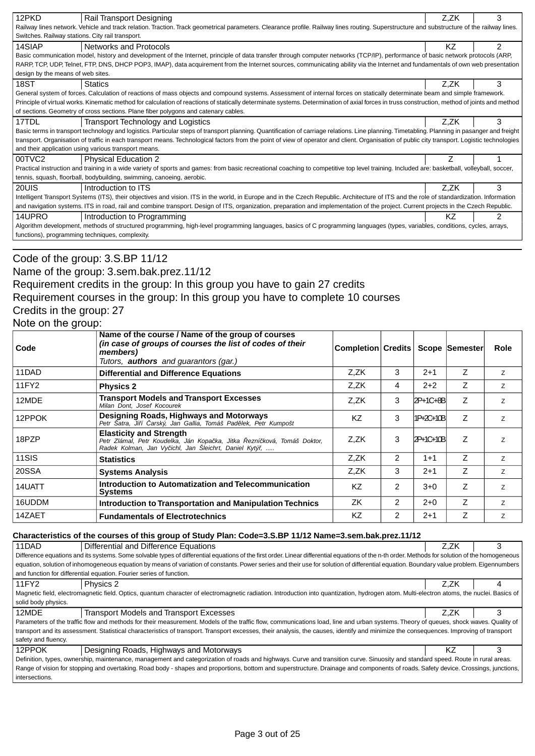| 12PKD                                                                                                                                                                                | Rail Transport Designing                                                                                                                                                                      | Z.ZK      | 3              |  |  |
|--------------------------------------------------------------------------------------------------------------------------------------------------------------------------------------|-----------------------------------------------------------------------------------------------------------------------------------------------------------------------------------------------|-----------|----------------|--|--|
|                                                                                                                                                                                      | Railway lines network. Vehicle and track relation. Traction. Track geometrical parameters. Clearance profile. Railway lines routing. Superstructure and substructure of the railway lines.    |           |                |  |  |
|                                                                                                                                                                                      | Switches. Railway stations. City rail transport.                                                                                                                                              |           |                |  |  |
| 14SIAP                                                                                                                                                                               | Networks and Protocols                                                                                                                                                                        | <b>KZ</b> | 2              |  |  |
|                                                                                                                                                                                      | Basic communication model, history and development of the Internet, principle of data transfer through computer networks (TCP/IP), performance of basic network protocols (ARP,               |           |                |  |  |
|                                                                                                                                                                                      | RARP, TCP, UDP, Telnet, FTP, DNS, DHCP POP3, IMAP), data acquirement from the Internet sources, communicating ability via the Internet and fundamentals of own web presentation               |           |                |  |  |
| design by the means of web sites.                                                                                                                                                    |                                                                                                                                                                                               |           |                |  |  |
| 18ST                                                                                                                                                                                 | <b>Statics</b>                                                                                                                                                                                | Z.ZK      | 3              |  |  |
|                                                                                                                                                                                      | General system of forces. Calculation of reactions of mass objects and compound systems. Assessment of internal forces on statically determinate beam and simple framework.                   |           |                |  |  |
|                                                                                                                                                                                      | Principle of virtual works. Kinematic method for calculation of reactions of statically determinate systems. Determination of axial forces in truss construction, method of joints and method |           |                |  |  |
|                                                                                                                                                                                      | of sections. Geometry of cross sections. Plane fiber polygons and catenary cables.                                                                                                            |           |                |  |  |
| 17TDL                                                                                                                                                                                | Transport Technology and Logistics                                                                                                                                                            | Z.ZK      | 3              |  |  |
|                                                                                                                                                                                      | Basic terms in transport technology and logistics. Particular steps of transport planning. Quantification of carriage relations. Line planning. Timetabling. Planning in pasanger and freight |           |                |  |  |
|                                                                                                                                                                                      | transport. Organisation of traffic in each transport means. Technological factors from the point of view of operator and client. Organisation of public city transport. Logistic technologies |           |                |  |  |
|                                                                                                                                                                                      | and their application using various transport means.                                                                                                                                          |           |                |  |  |
| 00TVC2                                                                                                                                                                               | <b>Physical Education 2</b>                                                                                                                                                                   |           |                |  |  |
|                                                                                                                                                                                      | Practical instruction and training in a wide variety of sports and games: from basic recreational coaching to competitive top level training. Included are: basketball, volleyball, soccer,   |           |                |  |  |
|                                                                                                                                                                                      | tennis, squash, floorball, bodybuilding, swimming, canoeing, aerobic.                                                                                                                         |           |                |  |  |
| 20UIS                                                                                                                                                                                | Introduction to ITS                                                                                                                                                                           | Z.ZK      | 3              |  |  |
|                                                                                                                                                                                      | Intelligent Transport Systems (ITS), their objectives and vision. ITS in the world, in Europe and in the Czech Republic. Architecture of ITS and the role of standardization. Information     |           |                |  |  |
| and navigation systems. ITS in road, rail and combine transport. Design of ITS, organization, preparation and implementation of the project. Current projects in the Czech Republic. |                                                                                                                                                                                               |           |                |  |  |
| 14UPRO                                                                                                                                                                               | Introduction to Programming                                                                                                                                                                   | ΚZ        | $\mathfrak{p}$ |  |  |
|                                                                                                                                                                                      | Algorithm development, methods of structured programming, high-level programming languages, basics of C programming languages (types, variables, conditions, cycles, arrays,                  |           |                |  |  |
|                                                                                                                                                                                      | functions), programming techniques, complexity.                                                                                                                                               |           |                |  |  |
|                                                                                                                                                                                      |                                                                                                                                                                                               |           |                |  |  |

### Code of the group: 3.S.BP 11/12

## Name of the group: 3.sem.bak.prez.11/12

## Requirement credits in the group: In this group you have to gain 27 credits Requirement courses in the group: In this group you have to complete 10 courses

## Credits in the group: 27

#### Note on the group:

| Code   | Name of the course / Name of the group of courses<br>(in case of groups of courses the list of codes of their<br>members)<br>Tutors, <b>authors</b> and guarantors (gar.) | Completion Credits   Scope Semester |                |                  |                | Role |
|--------|---------------------------------------------------------------------------------------------------------------------------------------------------------------------------|-------------------------------------|----------------|------------------|----------------|------|
| 11DAD  | <b>Differential and Difference Equations</b>                                                                                                                              | Z.ZK                                | 3              | $2 + 1$          | Z              | Z    |
| 11FY2  | <b>Physics 2</b>                                                                                                                                                          | Z.ZK                                | 4              | $2+2$            | Ζ              | Z    |
| 12MDE  | <b>Transport Models and Transport Excesses</b><br>Milan Dont. Josef Kocourek                                                                                              | Z.ZK                                | 3              | $2P+1C+8B$       | Z              | Z    |
| 12PPOK | <b>Designing Roads, Highways and Motorways</b><br>Petr Šatra, Ji í arský, Jan Gallia, Tomáš Pad lek, Petr Kumpošt                                                         | KZ                                  | 3              | 1P+2C+10B        | Z              | Z    |
| 18PZP  | <b>Elasticity and Strength</b><br>Petr Zlámal, Petr Koudelka, Ján Kopa ka, Jitka ezní ková, Tomáš Doktor,<br>Radek Kolman, Jan Vy ichl, Jan Šleichrt, Daniel Kytý,        | Z.ZK                                | 3              | <b>2P+1C+10B</b> | Z              | Z    |
| 11SIS  | <b>Statistics</b>                                                                                                                                                         | Z,ZK                                | $\overline{2}$ | $1 + 1$          | $\overline{z}$ | Z    |
| 20SSA  | <b>Systems Analysis</b>                                                                                                                                                   | Z,ZK                                | 3              | $2 + 1$          | Z              | Z    |
| 14UATT | Introduction to Automatization and Telecommunication<br><b>Systems</b>                                                                                                    | <b>KZ</b>                           | $\overline{2}$ | $3+0$            | Z              | Z    |
| 16UDDM | Introduction to Transportation and Manipulation Technics                                                                                                                  | ZK                                  | $\overline{2}$ | $2+0$            | Z              | Z    |
| 14ZAET | <b>Fundamentals of Electrotechnics</b>                                                                                                                                    | <b>KZ</b>                           | $\overline{2}$ | $2 + 1$          | Z              | Z    |

#### **Characteristics of the courses of this group of Study Plan: Code=3.S.BP 11/12 Name=3.sem.bak.prez.11/12**

| 11DAD                                                                                                                                                                                   | Differential and Difference Equations                                                                                                                                                            | Z.ZK | З |  |  |  |
|-----------------------------------------------------------------------------------------------------------------------------------------------------------------------------------------|--------------------------------------------------------------------------------------------------------------------------------------------------------------------------------------------------|------|---|--|--|--|
|                                                                                                                                                                                         | Difference equations and its systems. Some solvable types of differential equations of the first order. Linear differential equations of the n-th order. Methods for solution of the homogeneous |      |   |  |  |  |
| equation, solution of inhomogeneous equation by means of variation of constants. Power series and their use for solution of differential equation. Boundary value problem. Eigennumbers |                                                                                                                                                                                                  |      |   |  |  |  |
|                                                                                                                                                                                         | and function for differential equation. Fourier series of function.                                                                                                                              |      |   |  |  |  |
| 11FY2                                                                                                                                                                                   | Physics 2                                                                                                                                                                                        | Z.ZK |   |  |  |  |
|                                                                                                                                                                                         | Magnetic field, electromagnetic field. Optics, quantum character of electromagnetic radiation. Introduction into quantization, hydrogen atom. Multi-electron atoms, the nuclei. Basics of        |      |   |  |  |  |
| solid body physics.                                                                                                                                                                     |                                                                                                                                                                                                  |      |   |  |  |  |
| 12MDE                                                                                                                                                                                   | <b>Transport Models and Transport Excesses</b>                                                                                                                                                   | Z.ZK |   |  |  |  |
|                                                                                                                                                                                         | Parameters of the traffic flow and methods for their measurement. Models of the traffic flow, communications load, line and urban systems. Theory of queues, shock waves. Quality of             |      |   |  |  |  |
|                                                                                                                                                                                         | transport and its assessment. Statistical characteristics of transport. Transport excesses, their analysis, the causes, identify and minimize the consequences. Improving of transport           |      |   |  |  |  |
| safety and fluency.                                                                                                                                                                     |                                                                                                                                                                                                  |      |   |  |  |  |
| 12PPOK                                                                                                                                                                                  | Designing Roads, Highways and Motorways                                                                                                                                                          | ΚZ   |   |  |  |  |
| Definition, types, ownership, maintenance, management and categorization of roads and highways. Curve and transition curve. Sinuosity and standard speed. Route in rural areas.         |                                                                                                                                                                                                  |      |   |  |  |  |
| Range of vision for stopping and overtaking. Road body - shapes and proportions, bottom and superstructure. Drainage and components of roads. Safety device. Crossings, junctions,      |                                                                                                                                                                                                  |      |   |  |  |  |
| intersections.                                                                                                                                                                          |                                                                                                                                                                                                  |      |   |  |  |  |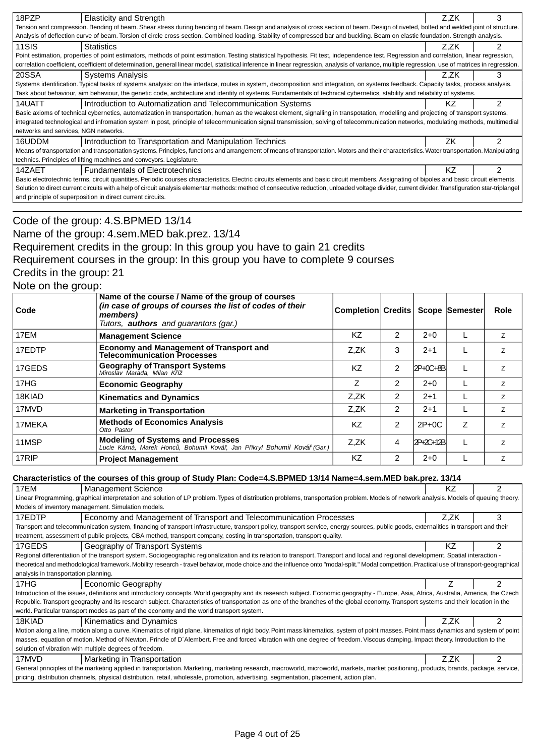| 18PZP                                                                                                                                                                                              | <b>Elasticity and Strength</b>                                                                                                                                                                     | Z.ZK |   |  |
|----------------------------------------------------------------------------------------------------------------------------------------------------------------------------------------------------|----------------------------------------------------------------------------------------------------------------------------------------------------------------------------------------------------|------|---|--|
|                                                                                                                                                                                                    | Tension and compression. Bending of beam. Shear stress during bending of beam. Design and analysis of cross section of beam. Design of riveted, bolted and welded joint of structure.              |      |   |  |
|                                                                                                                                                                                                    | Analysis of deflection curve of beam. Torsion of circle cross section. Combined loading. Stability of compressed bar and buckling. Beam on elastic foundation. Strength analysis.                  |      |   |  |
| 11SIS                                                                                                                                                                                              | <b>Statistics</b>                                                                                                                                                                                  | Z.ZK |   |  |
|                                                                                                                                                                                                    | Point estimation, properties of point estimators, methods of point estimation. Testing statistical hypothesis. Fit test, independence test. Regression and correlation, linear regression,         |      |   |  |
|                                                                                                                                                                                                    | correlation coefficient, coefficient of determination, general linear model, statistical inference in linear regression, analysis of variance, multiple regression, use of matrices in regression. |      |   |  |
| 20SSA                                                                                                                                                                                              | <b>Systems Analysis</b>                                                                                                                                                                            | Z.ZK | 3 |  |
|                                                                                                                                                                                                    | Systems identification. Typical tasks of systems analysis: on the interface, routes in system, decomposition and integration, on systems feedback. Capacity tasks, process analysis.               |      |   |  |
|                                                                                                                                                                                                    | Task about behaviour, aim behaviour, the genetic code, architecture and identity of systems. Fundamentals of technical cybernetics, stability and reliability of systems.                          |      |   |  |
| 14UATT                                                                                                                                                                                             | Introduction to Automatization and Telecommunication Systems                                                                                                                                       | ΚZ   |   |  |
|                                                                                                                                                                                                    | Basic axioms of technical cybernetics, automatization in transportation, human as the weakest element, signalling in transpotation, modelling and projecting of transport systems,                 |      |   |  |
|                                                                                                                                                                                                    | integrated technological and infromation system in post, principle of telecommunication signal transmission, solving of telecommunication networks, modulating methods, multimedial                |      |   |  |
| networks and services, NGN networks.                                                                                                                                                               |                                                                                                                                                                                                    |      |   |  |
| 16UDDM                                                                                                                                                                                             | Introduction to Transportation and Manipulation Technics                                                                                                                                           | ΖK   |   |  |
|                                                                                                                                                                                                    | Means of transportation and transportation systems. Principles, functions and arrangement of means of transportation. Motors and their characteristics. Water transportation. Manipulating         |      |   |  |
|                                                                                                                                                                                                    | technics. Principles of lifting machines and conveyors. Legislature.                                                                                                                               |      |   |  |
| 14ZAET                                                                                                                                                                                             | <b>Fundamentals of Electrotechnics</b>                                                                                                                                                             | ΚZ   | ⌒ |  |
| Basic electrotechnic terms, circuit quantities. Periodic courses characteristics. Electric circuits elements and basic circuit members. Assignating of bipoles and basic circuit elements.         |                                                                                                                                                                                                    |      |   |  |
| Solution to direct current circuits with a help of circuit analysis elementar methods: method of consecutive reduction, unloaded voltage divider, current divider. Transfiguration star-triplangel |                                                                                                                                                                                                    |      |   |  |
|                                                                                                                                                                                                    | and principle of superposition in direct current circuits.                                                                                                                                         |      |   |  |

## Code of the group: 4.S.BPMED 13/14 Name of the group: 4.sem.MED bak.prez. 13/14 Requirement credits in the group: In this group you have to gain 21 credits Requirement courses in the group: In this group you have to complete 9 courses Credits in the group: 21 Note on the group:

| Code   | Name of the course / Name of the group of courses<br>(in case of groups of courses the list of codes of their<br>members)<br>Tutors, <b>authors</b> and quarantors (gar.) | Completion Credits |               |            | Scope Semester | <b>Role</b>    |
|--------|---------------------------------------------------------------------------------------------------------------------------------------------------------------------------|--------------------|---------------|------------|----------------|----------------|
| 17EM   | <b>Management Science</b>                                                                                                                                                 | KZ                 | 2             | $2+0$      |                | Z              |
| 17EDTP | Economy and Management of Transport and<br><b>Telecommunication Processes</b>                                                                                             | Z.ZK               | 3             | $2+1$      |                | 7              |
| 17GEDS | <b>Geography of Transport Systems</b><br>Miroslav Marada, Milan K íž                                                                                                      | KZ                 | 2             | $2P+0C+8B$ |                | $\overline{z}$ |
| 17HG   | <b>Economic Geography</b>                                                                                                                                                 | Ζ                  | 2             | $2+0$      |                | Z              |
| 18KIAD | <b>Kinematics and Dynamics</b>                                                                                                                                            | Z.ZK               | 2             | $2+1$      |                | $\overline{z}$ |
| 17MVD  | <b>Marketing in Transportation</b>                                                                                                                                        | Z.ZK               | $\mathcal{P}$ | $2 + 1$    |                | $\overline{z}$ |
| 17MEKA | <b>Methods of Economics Analysis</b><br>Otto Pastor                                                                                                                       | <b>KZ</b>          | $\mathcal{P}$ | $2P+0C$    | Z              | $\overline{z}$ |
| 11MSP  | <b>Modeling of Systems and Processes</b><br>Lucie Kárná, Marek Honc, Bohumil Ková, Jan Pikryl Bohumil Ková (Gar.)                                                         | Z.ZK               | 4             | 2P+2C+12B  |                | 7              |
| 17RIP  | <b>Project Management</b>                                                                                                                                                 | ΚZ                 | 2             | $2 + 0$    |                | z              |

#### **Characteristics of the courses of this group of Study Plan: Code=4.S.BPMED 13/14 Name=4.sem.MED bak.prez. 13/14**

| 17EM                                                                                                                                                                                   | <b>Management Science</b>                                                                                                                                                                   | KZ.  |   |  |  |
|----------------------------------------------------------------------------------------------------------------------------------------------------------------------------------------|---------------------------------------------------------------------------------------------------------------------------------------------------------------------------------------------|------|---|--|--|
|                                                                                                                                                                                        | Linear Programming, graphical interpretation and solution of LP problem. Types of distribution problems, transportation problem. Models of network analysis. Models of queuing theory.      |      |   |  |  |
|                                                                                                                                                                                        | Models of inventory management. Simulation models.                                                                                                                                          |      |   |  |  |
| 17EDTP                                                                                                                                                                                 | Economy and Management of Transport and Telecommunication Processes                                                                                                                         | Z.ZK | 3 |  |  |
| Transport and telecommunication system, financing of transport infrastructure, transport policy, transport service, energy sources, public goods, externalities in transport and their |                                                                                                                                                                                             |      |   |  |  |
|                                                                                                                                                                                        | treatment, assessment of public projects, CBA method, transport company, costing in transportation, transport quality.                                                                      |      |   |  |  |
| 17GEDS                                                                                                                                                                                 | Geography of Transport Systems                                                                                                                                                              | ΚZ   | 2 |  |  |
|                                                                                                                                                                                        | Regional differentiation of the transport system. Sociogeographic regionalization and its relation to transport. Transport and local and regional development. Spatial interaction -        |      |   |  |  |
|                                                                                                                                                                                        | theoretical and methodological framework. Mobility research - travel behavior, mode choice and the influence onto "modal-split." Modal competition. Practical use of transport-geographical |      |   |  |  |
| analysis in transportation planning.                                                                                                                                                   |                                                                                                                                                                                             |      |   |  |  |
| 17HG                                                                                                                                                                                   | <b>Economic Geography</b>                                                                                                                                                                   |      |   |  |  |
|                                                                                                                                                                                        | Introduction of the issues, definitions and introductory concepts. World geography and its research subject. Economic geography - Europe, Asia, Africa, Australia, America, the Czech       |      |   |  |  |
|                                                                                                                                                                                        | Republic. Transport geography and its research subject. Characteristics of transportation as one of the branches of the global economy. Transport systems and their location in the         |      |   |  |  |
|                                                                                                                                                                                        | world. Particular transport modes as part of the economy and the world transport system.                                                                                                    |      |   |  |  |
| 18KIAD                                                                                                                                                                                 | Kinematics and Dynamics                                                                                                                                                                     | Z.ZK | 2 |  |  |
|                                                                                                                                                                                        | Motion along a line, motion along a curve. Kinematics of rigid plane, kinematics of rigid body. Point mass kinematics, system of point masses. Point mass dynamics and system of point      |      |   |  |  |
|                                                                                                                                                                                        | masses, equation of motion. Method of Newton. Princle of D'Alembert. Free and forced vibration with one degree of freedom. Viscous damping. Impact theory. Introduction to the              |      |   |  |  |
| solution of vibration with multiple degrees of freedom.                                                                                                                                |                                                                                                                                                                                             |      |   |  |  |
| 17MVD                                                                                                                                                                                  | Marketing in Transportation                                                                                                                                                                 | Z.ZK | 2 |  |  |
|                                                                                                                                                                                        | General principles of the marketing applied in transportation. Marketing, marketing research, macroworld, microworld, markets, market positioning, products, brands, package, service,      |      |   |  |  |
|                                                                                                                                                                                        | pricing, distribution channels, physical distribution, retail, wholesale, promotion, advertising, segmentation, placement, action plan.                                                     |      |   |  |  |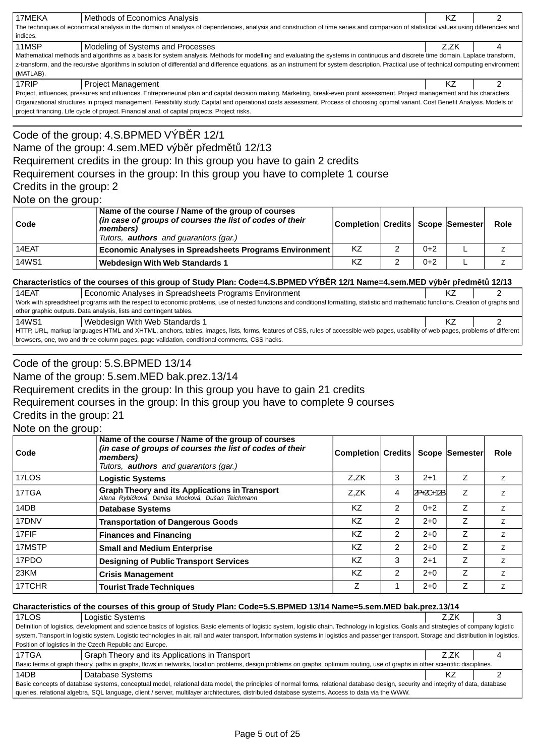| 17MEKA                                                                                                                                                                                | Methods of Economics Analysis                                                                                                                                                             | ΚZ   |  |  |
|---------------------------------------------------------------------------------------------------------------------------------------------------------------------------------------|-------------------------------------------------------------------------------------------------------------------------------------------------------------------------------------------|------|--|--|
| The techniques of economical analysis in the domain of analysis of dependencies, analysis and construction of time series and comparsion of statistical values using differencies and |                                                                                                                                                                                           |      |  |  |
| indices.                                                                                                                                                                              |                                                                                                                                                                                           |      |  |  |
| 11MSP                                                                                                                                                                                 | Modeling of Systems and Processes                                                                                                                                                         | Z.ZK |  |  |
|                                                                                                                                                                                       | Mathematical methods and algorithms as a basis for system analysis. Methods for modelling and evaluating the systems in continuous and discrete time domain. Laplace transform,           |      |  |  |
|                                                                                                                                                                                       | z-transform, and the recursive algorithms in solution of differential and difference equations, as an instrument for system description. Practical use of technical computing environment |      |  |  |
| (MATLAB).                                                                                                                                                                             |                                                                                                                                                                                           |      |  |  |
| 17RIP                                                                                                                                                                                 | <b>Project Management</b>                                                                                                                                                                 |      |  |  |

Project, influences, pressures and influences. Entrepreneurial plan and capital decision making. Marketing, break-even point assessment. Project management and his characters. Organizational structures in project management. Feasibility study. Capital and operational costs assessment. Process of choosing optimal variant. Cost Benefit Analysis. Models of project financing. Life cycle of project. Financial anal. of capital projects. Project risks.

## Code of the group: 4.S.BPMED VÝB R 12/1 Name of the group: 4.sem.MED výb r p edm t 12/13 Requirement credits in the group: In this group you have to gain 2 credits Requirement courses in the group: In this group you have to complete 1 course Credits in the group: 2 Note on the group:

| Code         | Name of the course / Name of the group of courses<br>(in case of groups of courses the list of codes of their<br>members)<br>Tutors, <b>authors</b> and guarantors (gar.) | Completion Credits   Scope   Semester |       | <b>Role</b> |
|--------------|---------------------------------------------------------------------------------------------------------------------------------------------------------------------------|---------------------------------------|-------|-------------|
| 14EAT        | Economic Analyses in Spreadsheets Programs Environment                                                                                                                    | KZ                                    | $0+2$ |             |
| <b>14WS1</b> | <b>Webdesign With Web Standards 1</b>                                                                                                                                     | KZ                                    | $0+2$ |             |

#### **Characteristics of the courses of this group of Study Plan: Code=4.S.BPMED VÝB R 12/1 Name=4.sem.MED výb r p edm t 12/13**

| 14EAT                                                                                                                                                                                | Economic Analyses in Spreadsheets Programs Environment             |  |  |  |  |
|--------------------------------------------------------------------------------------------------------------------------------------------------------------------------------------|--------------------------------------------------------------------|--|--|--|--|
| Work with spreadsheet programs with the respect to economic problems, use of nested functions and conditional formatting, statistic and mathematic functions. Creation of graphs and |                                                                    |  |  |  |  |
|                                                                                                                                                                                      | other graphic outputs. Data analysis, lists and contingent tables. |  |  |  |  |
| 14WS1                                                                                                                                                                                | Webdesign With Web Standards 1                                     |  |  |  |  |
| HTTP, URL, markup languages HTML and XHTML, anchors, tables, images, lists, forms, features of CSS, rules of accessible web pages, usability of web pages, problems of different     |                                                                    |  |  |  |  |
| browsers, one, two and three column pages, page validation, conditional comments, CSS hacks.                                                                                         |                                                                    |  |  |  |  |

## Code of the group: 5.S.BPMED 13/14

Name of the group: 5.sem.MED bak.prez.13/14

Requirement credits in the group: In this group you have to gain 21 credits

Requirement courses in the group: In this group you have to complete 9 courses

#### Credits in the group: 21

Note on the group:

| Code   | Name of the course / Name of the group of courses<br>(in case of groups of courses the list of codes of their<br>members)<br>Tutors, <b>authors</b> and quarantors (gar.) | Completion Credits   Scope Semester |               |           |   | <b>Role</b>    |
|--------|---------------------------------------------------------------------------------------------------------------------------------------------------------------------------|-------------------------------------|---------------|-----------|---|----------------|
| 17LOS  | <b>Logistic Systems</b>                                                                                                                                                   | Z.ZK                                | 3             | $2 + 1$   | Z | Z              |
| 17TGA  | <b>Graph Theory and its Applications in Transport</b><br>Alena Rybi ková, Denisa Mocková, Dušan Teichmann                                                                 | Z.ZK                                | 4             | 2P+2C+12B | Z | Ζ              |
| 14DB   | <b>Database Systems</b>                                                                                                                                                   | <b>KZ</b>                           | 2             | $0+2$     | Z | Z              |
| 17DNV  | <b>Transportation of Dangerous Goods</b>                                                                                                                                  | <b>KZ</b>                           | 2             | $2+0$     | Ζ | Z              |
| 17FIF  | <b>Finances and Financing</b>                                                                                                                                             | <b>KZ</b>                           | 2             | $2+0$     | Z | $\overline{z}$ |
| 17MSTP | <b>Small and Medium Enterprise</b>                                                                                                                                        | <b>KZ</b>                           | 2             | $2+0$     | Z | $\overline{z}$ |
| 17PDO  | <b>Designing of Public Transport Services</b>                                                                                                                             | <b>KZ</b>                           | 3             | $2 + 1$   | Z | Z              |
| 23KM   | <b>Crisis Management</b>                                                                                                                                                  | <b>KZ</b>                           | $\mathcal{P}$ | $2+0$     | Z | $\overline{z}$ |
| 17TCHR | <b>Tourist Trade Techniques</b>                                                                                                                                           | Ζ                                   |               | $2+0$     | Ζ | Z              |

#### **Characteristics of the courses of this group of Study Plan: Code=5.S.BPMED 13/14 Name=5.sem.MED bak.prez.13/14**

| 17LOS                                                                                                                                                                             | Logistic Systems                                                                                                                                                                               | Z.ZK |  |  |  |
|-----------------------------------------------------------------------------------------------------------------------------------------------------------------------------------|------------------------------------------------------------------------------------------------------------------------------------------------------------------------------------------------|------|--|--|--|
|                                                                                                                                                                                   | Definition of logistics, development and science basics of logistics. Basic elements of logistic system, logistic chain. Technology in logistics. Goals and strategies of company logistic     |      |  |  |  |
|                                                                                                                                                                                   | system. Transport in logistic system. Logistic technologies in air, rail and water transport. Information systems in logistics and passenger transport. Storage and distribution in logistics. |      |  |  |  |
|                                                                                                                                                                                   | Position of logistics in the Czech Republic and Europe.                                                                                                                                        |      |  |  |  |
| 17TGA                                                                                                                                                                             | Graph Theory and its Applications in Transport                                                                                                                                                 | Z.ZK |  |  |  |
|                                                                                                                                                                                   | Basic terms of graph theory, paths in graphs, flows in networks, location problems, design problems on graphs, optimum routing, use of graphs in other scientific disciplines.                 |      |  |  |  |
| 14DB                                                                                                                                                                              | Database Systems                                                                                                                                                                               |      |  |  |  |
| Basic concepts of database systems, conceptual model, relational data model, the principles of normal forms, relational database design, security and integrity of data, database |                                                                                                                                                                                                |      |  |  |  |
| gueries, relational algebra, SQL language, client / server, multilayer architectures, distributed database systems. Access to data via the WWW.                                   |                                                                                                                                                                                                |      |  |  |  |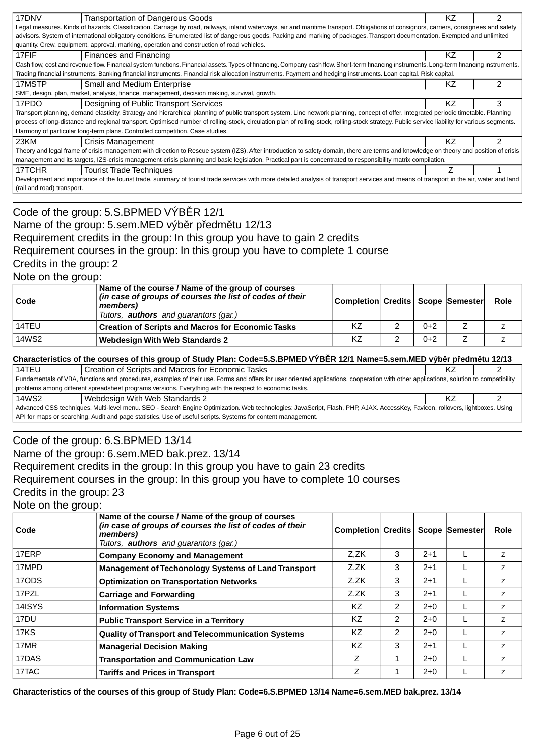| 17DNV                                                                                                                                                                                  | Transportation of Dangerous Goods                                                                                                                                                             | ΚZ  |   |  |  |
|----------------------------------------------------------------------------------------------------------------------------------------------------------------------------------------|-----------------------------------------------------------------------------------------------------------------------------------------------------------------------------------------------|-----|---|--|--|
|                                                                                                                                                                                        | Legal measures. Kinds of hazards. Classification. Carriage by road, railways, inland waterways, air and maritime transport. Obligations of consignors, carriers, consignees and safety        |     |   |  |  |
|                                                                                                                                                                                        | advisors. System of international obligatory conditions. Enumerated list of dangerous goods. Packing and marking of packages. Transport documentation. Exempted and unlimited                 |     |   |  |  |
|                                                                                                                                                                                        | quantity. Crew, equipment, approval, marking, operation and construction of road vehicles.                                                                                                    |     |   |  |  |
| 17FIF                                                                                                                                                                                  | Finances and Financing                                                                                                                                                                        | KZ. | 2 |  |  |
|                                                                                                                                                                                        | Cash flow, cost and revenue flow. Financial system functions. Financial assets. Types of financing. Company cash flow. Short-term financing instruments. Long-term financing instruments.     |     |   |  |  |
|                                                                                                                                                                                        | Trading financial instruments. Banking financial instruments. Financial risk allocation instruments. Payment and hedging instruments. Loan capital. Risk capital.                             |     |   |  |  |
| 17MSTP                                                                                                                                                                                 | <b>Small and Medium Enterprise</b>                                                                                                                                                            | ΚZ  |   |  |  |
|                                                                                                                                                                                        | SME, design, plan, market, analysis, finance, management, decision making, survival, growth.                                                                                                  |     |   |  |  |
| 17PDO                                                                                                                                                                                  | Designing of Public Transport Services                                                                                                                                                        | ΚZ  | 3 |  |  |
|                                                                                                                                                                                        | Transport planning, demand elasticity. Strategy and hierarchical planning of public transport system. Line network planning, concept of offer. Integrated periodic timetable. Planning        |     |   |  |  |
|                                                                                                                                                                                        | process of long-distance and regional transport. Optimised number of rolling-stock, circulation plan of rolling-stock, rolling-stock strategy. Public service liability for various segments. |     |   |  |  |
|                                                                                                                                                                                        | Harmony of particular long-term plans. Controlled competition. Case studies.                                                                                                                  |     |   |  |  |
| 23KM                                                                                                                                                                                   | Crisis Management                                                                                                                                                                             | ΚZ  | 2 |  |  |
|                                                                                                                                                                                        | Theory and legal frame of crisis management with direction to Rescue system (IZS). After introduction to safety domain, there are terms and knowledge on theory and position of crisis        |     |   |  |  |
| management and its targets, IZS-crisis management-crisis planning and basic legislation. Practical part is concentrated to responsibility matrix compilation.                          |                                                                                                                                                                                               |     |   |  |  |
| 17TCHR                                                                                                                                                                                 | <b>Tourist Trade Techniques</b>                                                                                                                                                               |     |   |  |  |
| Development and importance of the tourist trade, summary of tourist trade services with more detailed analysis of transport services and means of transport in the air, water and land |                                                                                                                                                                                               |     |   |  |  |
| (rail and road) transport.                                                                                                                                                             |                                                                                                                                                                                               |     |   |  |  |
|                                                                                                                                                                                        |                                                                                                                                                                                               |     |   |  |  |

## Code of the group: 5.S.BPMED VÝB R 12/1 Name of the group: 5.sem.MED výb r p edm tu 12/13 Requirement credits in the group: In this group you have to gain 2 credits Requirement courses in the group: In this group you have to complete 1 course Credits in the group: 2

Note on the group:

| $\mathsf{Code}$ | Name of the course / Name of the group of courses<br>(in case of groups of courses the list of codes of their<br>members)<br>Tutors, <b>authors</b> and guarantors (gar.) | Completion Credits Scope Semester |       | Role |
|-----------------|---------------------------------------------------------------------------------------------------------------------------------------------------------------------------|-----------------------------------|-------|------|
| l 14TEU         | <b>Creation of Scripts and Macros for Economic Tasks</b>                                                                                                                  | KZ                                | $0+2$ |      |
| 14WS2           | Webdesign With Web Standards 2                                                                                                                                            | KZ                                | $0+2$ |      |

#### **Characteristics of the courses of this group of Study Plan: Code=5.S.BPMED VÝB R 12/1 Name=5.sem.MED výb r p edm tu 12/13**

| 14TEU                                                                                                                                                                                 | Creation of Scripts and Macros for Economic Tasks                                                      |  |  |  |  |
|---------------------------------------------------------------------------------------------------------------------------------------------------------------------------------------|--------------------------------------------------------------------------------------------------------|--|--|--|--|
| Fundamentals of VBA, functions and procedures, examples of their use. Forms and offers for user oriented applications, cooperation with other applications, solution to compatibility |                                                                                                        |  |  |  |  |
|                                                                                                                                                                                       | problems among different spreadsheet programs versions. Everything with the respect to economic tasks. |  |  |  |  |
| 14WS2                                                                                                                                                                                 | Webdesign With Web Standards 2                                                                         |  |  |  |  |
| Advanced CSS techniques. Multi-level menu. SEO - Search Engine Optimization. Web technologies: JavaScript, Flash, PHP, AJAX. AccessKey, Favicon, rollovers, lightboxes. Using         |                                                                                                        |  |  |  |  |
| API for maps or searching. Audit and page statistics. Use of useful scripts. Systems for content management.                                                                          |                                                                                                        |  |  |  |  |

### Code of the group: 6.S.BPMED 13/14

Name of the group: 6.sem.MED bak.prez. 13/14

Requirement credits in the group: In this group you have to gain 23 credits

Requirement courses in the group: In this group you have to complete 10 courses

Credits in the group: 23

Note on the group:

| Code   | Name of the course / Name of the group of courses<br>(in case of groups of courses the list of codes of their<br>members)<br>Tutors, <b>authors</b> and guarantors (gar.) | <b>Completion Credits</b> |               |         | Scope Semester | Role           |
|--------|---------------------------------------------------------------------------------------------------------------------------------------------------------------------------|---------------------------|---------------|---------|----------------|----------------|
| 17ERP  | <b>Company Economy and Management</b>                                                                                                                                     | Z.ZK                      | 3             | $2 + 1$ |                | Z              |
| 17MPD  | <b>Management of Techonology Systems of Land Transport</b>                                                                                                                | Z.ZK                      | 3             | $2+1$   |                | Z              |
| 17ODS  | <b>Optimization on Transportation Networks</b>                                                                                                                            | Z.ZK                      | 3             | $2+1$   |                | Z              |
| 17PZL  | <b>Carriage and Forwarding</b>                                                                                                                                            | Z.ZK                      | 3             | $2+1$   |                | $\overline{z}$ |
| 14ISYS | <b>Information Systems</b>                                                                                                                                                | <b>KZ</b>                 | 2             | $2+0$   |                | Z              |
| 17DU   | <b>Public Transport Service in a Territory</b>                                                                                                                            | <b>KZ</b>                 | 2             | $2+0$   |                | $\overline{z}$ |
| 17KS   | <b>Quality of Transport and Telecommunication Systems</b>                                                                                                                 | ΚZ                        | $\mathcal{P}$ | $2+0$   |                | $\overline{z}$ |
| 17MR   | <b>Managerial Decision Making</b>                                                                                                                                         | KZ.                       | 3             | $2 + 1$ |                | Z              |
| 17DAS  | <b>Transportation and Communication Law</b>                                                                                                                               | Z                         |               | $2+0$   |                | Z              |
| 17TAC  | <b>Tariffs and Prices in Transport</b>                                                                                                                                    | Z                         |               | $2+0$   |                | Z              |

**Characteristics of the courses of this group of Study Plan: Code=6.S.BPMED 13/14 Name=6.sem.MED bak.prez. 13/14**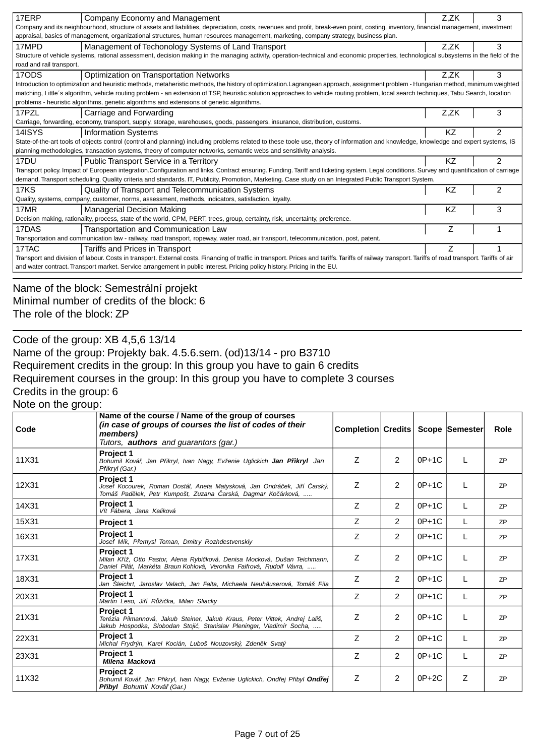| 17ERP                                                                                                                                                                                                                          | Company Economy and Management                                                                                                                                                             | Z,ZK | 3              |  |  |
|--------------------------------------------------------------------------------------------------------------------------------------------------------------------------------------------------------------------------------|--------------------------------------------------------------------------------------------------------------------------------------------------------------------------------------------|------|----------------|--|--|
|                                                                                                                                                                                                                                | Company and its neighbourhood, structure of assets and liabilities, depreciation, costs, revenues and profit, break-even point, costing, inventory, financial management, investment       |      |                |  |  |
|                                                                                                                                                                                                                                | appraisal, basics of management, organizational structures, human resources management, marketing, company strategy, business plan.                                                        |      |                |  |  |
| 17MPD                                                                                                                                                                                                                          | Management of Techonology Systems of Land Transport                                                                                                                                        | Z,ZK | 3              |  |  |
|                                                                                                                                                                                                                                | Structure of vehicle systems, rational assessment, decision making in the managing activity, operation-technical and economic properties, technological subsystems in the field of the     |      |                |  |  |
| road and rail transport.                                                                                                                                                                                                       |                                                                                                                                                                                            |      |                |  |  |
| 17ODS                                                                                                                                                                                                                          | Optimization on Transportation Networks                                                                                                                                                    | Z,ZK | 3              |  |  |
|                                                                                                                                                                                                                                | Introduction to optimization and heuristic methods, metaheristic methods, the history of optimization. Lagrangean approach, assignment problem - Hungarian method, minimum weighted        |      |                |  |  |
|                                                                                                                                                                                                                                | matching, Little's algorithm, vehicle routing problem - an extension of TSP, heuristic solution approaches to vehicle routing problem, local search techniques, Tabu Search, location      |      |                |  |  |
|                                                                                                                                                                                                                                | problems - heuristic algorithms, genetic algorithms and extensions of genetic algorithms.                                                                                                  |      |                |  |  |
| 17PZL                                                                                                                                                                                                                          | Carriage and Forwarding                                                                                                                                                                    | Z.ZK | 3              |  |  |
|                                                                                                                                                                                                                                | Carriage, forwarding, economy, transport, supply, storage, warehouses, goods, passengers, insurance, distribution, customs.                                                                |      |                |  |  |
| 14ISYS                                                                                                                                                                                                                         | <b>Information Systems</b>                                                                                                                                                                 | ΚZ   | 2              |  |  |
|                                                                                                                                                                                                                                | State-of-the-art tools of objects control (control and planning) including problems related to these toole use, theory of information and knowledge, knowledge and expert systems, IS      |      |                |  |  |
|                                                                                                                                                                                                                                | planning methodologies, transaction systems, theory of computer networks, semantic webs and sensitivity analysis.                                                                          |      |                |  |  |
| 17 <sub>DU</sub>                                                                                                                                                                                                               | Public Transport Service in a Territory                                                                                                                                                    | KZ   | $\mathfrak{p}$ |  |  |
|                                                                                                                                                                                                                                | Transport policy. Impact of European integration.Configuration and links. Contract ensuring. Funding. Tariff and ticketing system. Legal conditions. Survey and quantification of carriage |      |                |  |  |
|                                                                                                                                                                                                                                | demand. Transport scheduling. Quality criteria and standards. IT, Publicity, Promotion, Marketing. Case study on an Integrated Public Transport System.                                    |      |                |  |  |
| $17K\overline{S}$                                                                                                                                                                                                              | Quality of Transport and Telecommunication Systems                                                                                                                                         | KZ   | 2              |  |  |
|                                                                                                                                                                                                                                | Quality, systems, company, customer, norms, assessment, methods, indicators, satisfaction, loyalty.                                                                                        |      |                |  |  |
| 17MR                                                                                                                                                                                                                           | Managerial Decision Making                                                                                                                                                                 | ΚZ   | 3              |  |  |
|                                                                                                                                                                                                                                | Decision making, rationality, process, state of the world, CPM, PERT, trees, group, certainty, risk, uncertainty, preference.                                                              |      |                |  |  |
| 17DAS                                                                                                                                                                                                                          | Transportation and Communication Law                                                                                                                                                       | Ζ    |                |  |  |
| Transportation and communication law - railway, road transport, ropeway, water road, air transport, telecommunication, post, patent.                                                                                           |                                                                                                                                                                                            |      |                |  |  |
| 17TAC                                                                                                                                                                                                                          | Tariffs and Prices in Transport                                                                                                                                                            |      |                |  |  |
| Transport and division of labour. Costs in transport. External costs. Financing of traffic in transport. Prices and tariffs. Tariffs of railway transport. Tariffs of road transport. Tariffs of railway transport. Tariffs of |                                                                                                                                                                                            |      |                |  |  |
| and water contract. Transport market. Service arrangement in public interest. Pricing policy history. Pricing in the EU.                                                                                                       |                                                                                                                                                                                            |      |                |  |  |
|                                                                                                                                                                                                                                |                                                                                                                                                                                            |      |                |  |  |

## Name of the block: Semestrální projekt Minimal number of credits of the block: 6 The role of the block: ZP

Code of the group: XB 4,5,6 13/14

Name of the group: Projekty bak. 4.5.6.sem. (od)13/14 - pro B3710 Requirement credits in the group: In this group you have to gain 6 credits Requirement courses in the group: In this group you have to complete 3 courses Credits in the group: 6

Note on the group:

| Code  | Name of the course / Name of the group of courses<br>(in case of groups of courses the list of codes of their<br>members)<br>Tutors, <b>authors</b> and guarantors (gar.) | Completion Credits |                |         | Scope Semester | <b>Role</b> |
|-------|---------------------------------------------------------------------------------------------------------------------------------------------------------------------------|--------------------|----------------|---------|----------------|-------------|
| 11X31 | <b>Project 1</b><br>Bohumil Ková, Jan P ikryl, Ivan Nagy, Evženie Uglickich Jan P ikryl Jan<br>P ikryl (Gar.)                                                             | Z                  | 2              | $0P+1C$ |                | <b>ZP</b>   |
| 12X31 | Project 1<br>Josef Kocourek, Roman Dostál, Aneta Matysková, Jan Ondrá ek, Ji í arský,<br>Tomáš Pad lek, Petr Kumpošt, Zuzana arská, Dagmar Ko árková,                     | Ζ                  | 2              | $0P+1C$ | L              | <b>ZP</b>   |
| 14X31 | Project 1<br>Vít Fábera, Jana Kaliková                                                                                                                                    | Ζ                  | 2              | $0P+1C$ |                | <b>ZP</b>   |
| 15X31 | Project 1                                                                                                                                                                 | Z                  | $\mathcal{P}$  | $0P+1C$ |                | <b>ZP</b>   |
| 16X31 | Project 1<br>Josef Mík, P emysl Toman, Dmitry Rozhdestvenskiy                                                                                                             | Ζ                  | $\overline{2}$ | $0P+1C$ | L              | <b>ZP</b>   |
| 17X31 | <b>Project 1</b><br>Milan K íž, Otto Pastor, Alena Rybi ková, Denisa Mocková, Dušan Teichmann,<br>Daniel Pilát, Markéta Braun Kohlová, Veronika Faifrová, Rudolf Vávra,   | Ζ                  | $\overline{2}$ | $0P+1C$ |                | <b>ZP</b>   |
| 18X31 | Project 1<br>Jan Sleichrt, Jaroslav Valach, Jan Falta, Michaela Neuhäuserová, Tomáš Fíla                                                                                  | Z                  | 2              | $0P+1C$ |                | <b>ZP</b>   |
| 20X31 | <b>Project 1</b><br>Martin Leso, Ji í R ži ka, Milan Sliacky                                                                                                              | Ζ                  | $\overline{2}$ | $0P+1C$ |                | <b>ZP</b>   |
| 21X31 | <b>Project 1</b><br>Terézia Pilmannová, Jakub Steiner, Jakub Kraus, Peter Vittek, Andrej Lališ,<br>Jakub Hospodka, Slobodan Stoji, Stanislav Pleninger, Vladimír Socha,   | Z                  | 2              | $0P+1C$ |                | <b>ZP</b>   |
| 22X31 | Project 1<br>Michal Frydrýn, Karel Kocián, Luboš Nouzovský, Zden k Svatý                                                                                                  | Z                  | $\overline{2}$ | $0P+1C$ | L              | <b>ZP</b>   |
| 23X31 | <b>Project 1</b><br>Milena Macková                                                                                                                                        | Ζ                  | $\overline{2}$ | $0P+1C$ | $\mathsf{L}$   | <b>ZP</b>   |
| 11X32 | Project 2<br>Bohumil Ková, Jan P ikryl, Ivan Nagy, Evženie Uglickich, Ond ej P ibyl Ond ej<br>P ibyl Bohumil Ková (Gar.)                                                  | Ζ                  | 2              | $0P+2C$ | Ζ              | <b>ZP</b>   |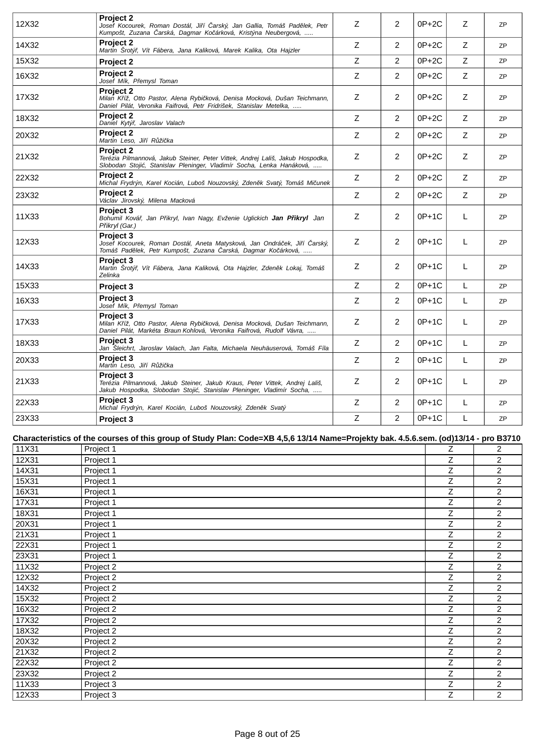| 12X32 | <b>Project 2</b><br>Josef Kocourek, Roman Dostál, Ji í arský, Jan Gallia, Tomáš Pad lek, Petr<br>Kumpošt, Zuzana arská, Dagmar Ko árková, Kristýna Neubergová,             | Z           | 2              | $0P+2C$ | Z | 7P        |
|-------|----------------------------------------------------------------------------------------------------------------------------------------------------------------------------|-------------|----------------|---------|---|-----------|
| 14X32 | <b>Project 2</b><br>Martin Šrotý, Vít Fábera, Jana Kaliková, Marek Kalika, Ota Hajzler                                                                                     | Z           | 2              | 0P+2C   | Z | <b>ZP</b> |
| 15X32 | Project 2                                                                                                                                                                  | Z           | $\overline{2}$ | $0P+2C$ | Z | <b>ZP</b> |
| 16X32 | Project 2<br>Josef Mík, P emysl Toman                                                                                                                                      | Z           | $\overline{2}$ | 0P+2C   | Z | <b>ZP</b> |
| 17X32 | <b>Project 2</b><br>Milan K íž, Otto Pastor, Alena Rybi ková, Denisa Mocková, Dušan Teichmann,<br>Daniel Pilát, Veronika Faifrová, Petr Fridrišek, Stanislav Metelka,      | Z           | 2              | 0P+2C   | Z | ZP        |
| 18X32 | <b>Project 2</b><br>Daniel Kytý, Jaroslav Valach                                                                                                                           | Z           | $\overline{2}$ | $0P+2C$ | Ζ | <b>ZP</b> |
| 20X32 | <b>Project 2</b><br>Martin Leso, Ji í R ži ka                                                                                                                              | $\mathsf Z$ | $\overline{2}$ | $0P+2C$ | Z | ZP        |
| 21X32 | <b>Project 2</b><br>Terézia Pilmannová, Jakub Steiner, Peter Vittek, Andrej Lališ, Jakub Hospodka,<br>Slobodan Stoji, Stanislav Pleninger, Vladimír Socha, Lenka Hanáková, | Ζ           | 2              | $0P+2C$ | Ζ | <b>ZP</b> |
| 22X32 | <b>Project 2</b><br>Michal Frydrýn, Karel Kocián, Luboš Nouzovský, Zden k Svatý, Tomáš Mi unek                                                                             | $\mathsf Z$ | $\overline{2}$ | $0P+2C$ | Ζ | <b>ZP</b> |
| 23X32 | <b>Project 2</b><br>Václav Jirovský, Milena Macková                                                                                                                        | Z           | $\overline{2}$ | 0P+2C   | Ζ | ZP        |
| 11X33 | <b>Project 3</b><br>Bohumil Ková, Jan P ikryl, Ivan Nagy, Evženie Uglickich Jan P ikryl Jan<br>P ikryl (Gar.)                                                              | Z           | 2              | $0P+1C$ | L | ZP        |
| 12X33 | Project 3<br>Josef Kocourek, Roman Dostál, Aneta Matysková, Jan Ondrá ek, Ji í arský,<br>Tomáš Pad lek, Petr Kumpošt, Zuzana arská, Dagmar Ko árková,                      | Z           | 2              | $0P+1C$ | L | <b>ZP</b> |
| 14X33 | <b>Project 3</b><br>Martin Šrotý, Vít Fábera, Jana Kaliková, Ota Hajzler, Zden k Lokaj, Tomáš<br>Zelinka                                                                   | Z           | $\overline{2}$ | 0P+1C   | L | <b>ZP</b> |
| 15X33 | Project 3                                                                                                                                                                  | Z           | $\overline{2}$ | $0P+1C$ | L | <b>ZP</b> |
| 16X33 | <b>Project 3</b><br>Josef Mík, P emysl Toman                                                                                                                               | $\mathsf Z$ | $\overline{2}$ | $0P+1C$ | L | ZP        |
| 17X33 | <b>Project 3</b><br>Milan K íž, Otto Pastor, Alena Rybi ková, Denisa Mocková, Dušan Teichmann,<br>Daniel Pilát, Markéta Braun Kohlová, Veronika Faifrová, Rudolf Vávra,    | Z           | 2              | $0P+1C$ | L | <b>ZP</b> |
| 18X33 | <b>Project 3</b><br>Jan Šleichrt, Jaroslav Valach, Jan Falta, Michaela Neuhäuserová, Tomáš Fíla                                                                            | Z           | $\overline{2}$ | $0P+1C$ | L | ZP        |
| 20X33 | Project 3<br>Martin Leso, Ji í R ži ka                                                                                                                                     | Z           | $\overline{2}$ | $0P+1C$ | L | <b>ZP</b> |
| 21X33 | <b>Project 3</b><br>Terézia Pilmannová, Jakub Steiner, Jakub Kraus, Peter Vittek, Andrej Lališ,<br>Jakub Hospodka, Slobodan Stoji, Stanislav Pleninger, Vladimír Socha,    | Z           | $\overline{2}$ | $0P+1C$ | L | ZP        |
| 22X33 | Project 3<br>Michal Frydrýn, Karel Kocián, Luboš Nouzovský, Zden k Svatý                                                                                                   | Z           | 2              | $0P+1C$ | L | <b>ZP</b> |
| 23X33 | Project 3                                                                                                                                                                  | $\mathsf Z$ | $\overline{2}$ | 0P+1C   | L | <b>ZP</b> |

### **Characteristics of the courses of this group of Study Plan: Code=XB 4,5,6 13/14 Name=Projekty bak. 4.5.6.sem. (od)13/14 - pro B3710**

| 11X31 | Project 1 | Ζ              | $\overline{c}$ |
|-------|-----------|----------------|----------------|
| 12X31 | Project 1 | Ζ              | $\overline{2}$ |
| 14X31 | Project 1 | Z              | $\overline{2}$ |
| 15X31 | Project 1 | Ζ              | $\overline{2}$ |
| 16X31 | Project 1 | Z              | $\overline{2}$ |
| 17X31 | Project 1 | Ζ              | $\overline{2}$ |
| 18X31 | Project 1 | $\overline{Z}$ | $\overline{c}$ |
| 20X31 | Project 1 | Ζ              | $\overline{2}$ |
| 21X31 | Project 1 | Z              | $\overline{2}$ |
| 22X31 | Project 1 | Ζ              | $\overline{2}$ |
| 23X31 | Project 1 | Z              | $\overline{2}$ |
| 11X32 | Project 2 | Z              | $\overline{2}$ |
| 12X32 | Project 2 | Ζ              | $\overline{2}$ |
| 14X32 | Project 2 | Z              | 2              |
| 15X32 | Project 2 | Z              | $\overline{2}$ |
| 16X32 | Project 2 | Z              | $\overline{2}$ |
| 17X32 | Project 2 | Z              | $\overline{2}$ |
| 18X32 | Project 2 | Z              | $\overline{c}$ |
| 20X32 | Project 2 | Ζ              | $\overline{2}$ |
| 21X32 | Project 2 | Z              | $\overline{2}$ |
| 22X32 | Project 2 | Z.             | $\overline{2}$ |
| 23X32 | Project 2 | Ζ              | $\overline{2}$ |
| 11X33 | Project 3 | Z              | $\overline{2}$ |
| 12X33 | Project 3 | Ζ              | $\overline{2}$ |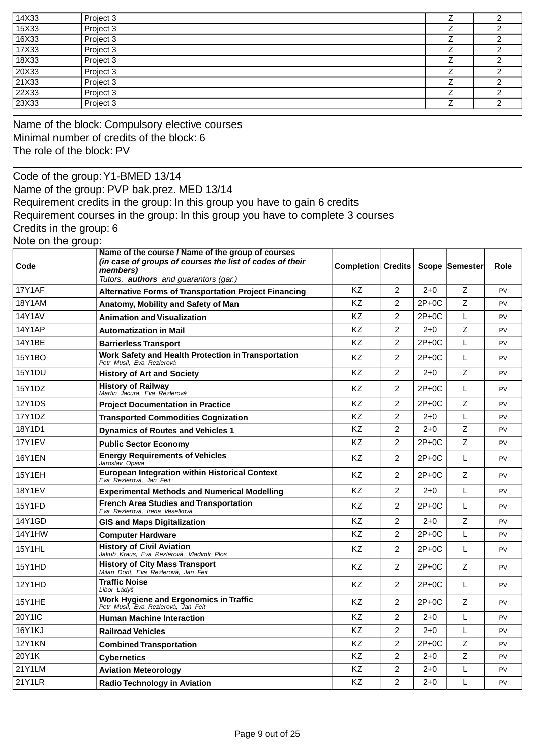| 14X33 | Project 3 |  |
|-------|-----------|--|
| 15X33 | Project 3 |  |
| 16X33 | Project 3 |  |
| 17X33 | Project 3 |  |
| 18X33 | Project 3 |  |
| 20X33 | Project 3 |  |
| 21X33 | Project 3 |  |
| 22X33 | Project 3 |  |
| 23X33 | Project 3 |  |

Name of the block: Compulsory elective courses Minimal number of credits of the block: 6 The role of the block: PV

Code of the group:Y1-BMED 13/14 Name of the group: PVP bak.prez. MED 13/14 Requirement credits in the group: In this group you have to gain 6 credits Requirement courses in the group: In this group you have to complete 3 courses Credits in the group: 6 Note on the group:

| Code          | Name of the course / Name of the group of courses<br>(in case of groups of courses the list of codes of their<br>members)<br>Tutors, <b>authors</b> and guarantors (gar.) | <b>Completion Credits</b> |                |         | Scope Semester | Role      |
|---------------|---------------------------------------------------------------------------------------------------------------------------------------------------------------------------|---------------------------|----------------|---------|----------------|-----------|
| <b>17Y1AF</b> | <b>Alternative Forms of Transportation Project Financing</b>                                                                                                              | <b>KZ</b>                 | 2              | $2+0$   | Z              | PV        |
| <b>18Y1AM</b> | Anatomy, Mobility and Safety of Man                                                                                                                                       | <b>KZ</b>                 | $\overline{2}$ | 2P+0C   | Z              | PV        |
| <b>14Y1AV</b> | <b>Animation and Visualization</b>                                                                                                                                        | <b>KZ</b>                 | $\overline{2}$ | $2P+0C$ | L              | PV        |
| <b>14Y1AP</b> | <b>Automatization in Mail</b>                                                                                                                                             | <b>KZ</b>                 | $\overline{c}$ | $2+0$   | $\mathsf Z$    | PV        |
| 14Y1BE        | <b>Barrierless Transport</b>                                                                                                                                              | KZ                        | 2              | 2P+0C   | L              | PV        |
| 15Y1BO        | Work Safety and Health Protection in Transportation<br>Petr Musil, Eva Rezlerová                                                                                          | KZ                        | 2              | 2P+0C   | L              | <b>PV</b> |
| <b>15Y1DU</b> | <b>History of Art and Society</b>                                                                                                                                         | <b>KZ</b>                 | 2              | $2+0$   | $\mathsf Z$    | PV        |
| 15Y1DZ        | <b>History of Railway</b><br>Martin Jacura, Eva Rezlerová                                                                                                                 | <b>KZ</b>                 | 2              | $2P+0C$ | L              | PV        |
| <b>12Y1DS</b> | <b>Project Documentation in Practice</b>                                                                                                                                  | <b>KZ</b>                 | 2              | 2P+0C   | Z              | <b>PV</b> |
| 17Y1DZ        | <b>Transported Commodities Cognization</b>                                                                                                                                | KZ                        | $\overline{2}$ | $2+0$   | L              | PV        |
| 18Y1D1        | <b>Dynamics of Routes and Vehicles 1</b>                                                                                                                                  | <b>KZ</b>                 | $\overline{2}$ | $2+0$   | Z              | PV        |
| <b>17Y1EV</b> | <b>Public Sector Economy</b>                                                                                                                                              | <b>KZ</b>                 | $\overline{c}$ | 2P+0C   | $\mathsf Z$    | PV        |
| <b>16Y1EN</b> | <b>Energy Requirements of Vehicles</b><br>Jaroslav Opava                                                                                                                  | KZ                        | $\overline{2}$ | 2P+0C   | L              | PV        |
| <b>15Y1EH</b> | <b>European Integration within Historical Context</b><br>Eva Rezlerová, Jan Feit                                                                                          | <b>KZ</b>                 | 2              | 2P+0C   | Z              | PV        |
| 18Y1EV        | <b>Experimental Methods and Numerical Modelling</b>                                                                                                                       | <b>KZ</b>                 | 2              | $2+0$   | L              | PV        |
| 15Y1FD        | <b>French Area Studies and Transportation</b><br>Eva Rezlerová, Irena Veselková                                                                                           | KZ                        | 2              | 2P+0C   | L              | PV        |
| 14Y1GD        | <b>GIS and Maps Digitalization</b>                                                                                                                                        | <b>KZ</b>                 | $\overline{2}$ | $2 + 0$ | Z              | PV        |
| <b>14Y1HW</b> | <b>Computer Hardware</b>                                                                                                                                                  | KZ                        | 2              | 2P+0C   | L              | PV        |
| 15Y1HL        | <b>History of Civil Aviation</b><br>Jakub Kraus, Eva Rezlerová, Vladimír Plos                                                                                             | KZ                        | $\overline{2}$ | 2P+0C   | L              | PV        |
| 15Y1HD        | <b>History of City Mass Transport</b><br>Milan Dont, Eva Rezlerová, Jan Feit                                                                                              | KZ                        | 2              | $2P+0C$ | Z              | PV        |
| 12Y1HD        | Traffic Noise<br>Libor Ládyš                                                                                                                                              | <b>KZ</b>                 | 2              | 2P+0C   | L              | <b>PV</b> |
| 15Y1HE        | Work Hygiene and Ergonomics in Traffic<br>Petr Musil, Eva Rezlerová, Jan Feit                                                                                             | <b>KZ</b>                 | 2              | $2P+0C$ | Z              | PV        |
| <b>20Y1IC</b> | <b>Human Machine Interaction</b>                                                                                                                                          | <b>KZ</b>                 | 2              | $2 + 0$ | L              | <b>PV</b> |
| 16Y1KJ        | <b>Railroad Vehicles</b>                                                                                                                                                  | KZ                        | $\overline{2}$ | $2+0$   | L              | PV        |
| <b>12Y1KN</b> | <b>Combined Transportation</b>                                                                                                                                            | <b>KZ</b>                 | $\overline{2}$ | $2P+0C$ | Z              | PV        |
| 20Y1K         | Cybernetics                                                                                                                                                               | <b>KZ</b>                 | $\overline{c}$ | $2+0$   | $\mathsf Z$    | PV        |
| 21Y1LM        | <b>Aviation Meteorology</b>                                                                                                                                               | <b>KZ</b>                 | $\overline{c}$ | $2+0$   | L              | PV        |
| <b>21Y1LR</b> | <b>Radio Technology in Aviation</b>                                                                                                                                       | KZ                        | $\overline{2}$ | $2+0$   | L              | PV        |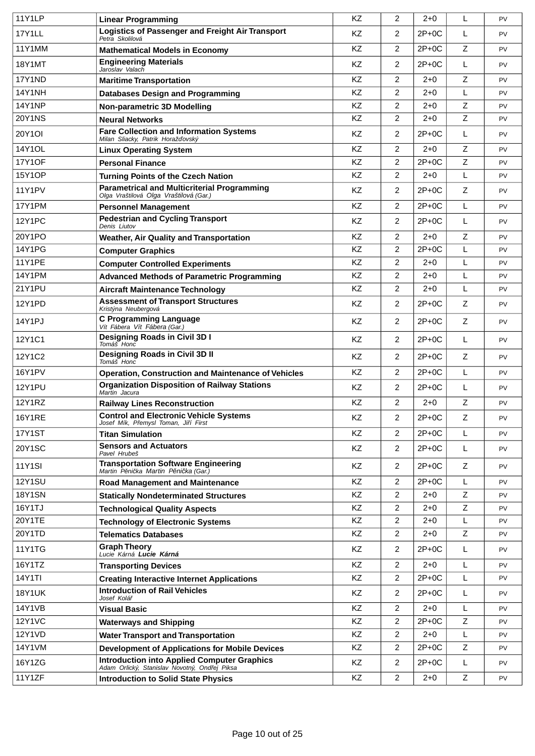| <b>11Y1LP</b> | <b>Linear Programming</b>                                                                           | <b>KZ</b> | 2              | $2 + 0$ | L | PV        |
|---------------|-----------------------------------------------------------------------------------------------------|-----------|----------------|---------|---|-----------|
| 17Y1LL        | <b>Logistics of Passenger and Freight Air Transport</b><br>Petra Skolilová                          | <b>KZ</b> | 2              | $2P+0C$ | L | <b>PV</b> |
| 11Y1MM        | <b>Mathematical Models in Economy</b>                                                               | KZ        | $\overline{2}$ | $2P+0C$ | Z | PV        |
| <b>18Y1MT</b> | <b>Engineering Materials</b><br>Jaroslav Valach                                                     | KZ        | 2              | $2P+0C$ | L | PV        |
| 17Y1ND        | <b>Maritime Transportation</b>                                                                      | <b>KZ</b> | 2              | $2 + 0$ | Z | <b>PV</b> |
| <b>14Y1NH</b> | <b>Databases Design and Programming</b>                                                             | KZ        | 2              | $2 + 0$ | L | PV        |
| <b>14Y1NP</b> | Non-parametric 3D Modelling                                                                         | KZ        | 2              | $2 + 0$ | Z | <b>PV</b> |
| <b>20Y1NS</b> | <b>Neural Networks</b>                                                                              | KZ        | 2              | $2 + 0$ | Z | PV        |
| 20Y1OI        | <b>Fare Collection and Information Systems</b><br>Milan Sliacky, Patrik Horaž ovský                 | <b>KZ</b> | 2              | $2P+0C$ | L | PV        |
| 14Y1OL        | <b>Linux Operating System</b>                                                                       | <b>KZ</b> | 2              | $2 + 0$ | Z | <b>PV</b> |
| <b>17Y1OF</b> | <b>Personal Finance</b>                                                                             | KZ        | 2              | $2P+0C$ | Z | PV        |
| 15Y1OP        | <b>Turning Points of the Czech Nation</b>                                                           | KZ        | 2              | $2+0$   | L | <b>PV</b> |
| 11Y1PV        | <b>Parametrical and Multicriterial Programming</b><br>Olga Vraštilová Olga Vraštilová (Gar.)        | <b>KZ</b> | 2              | $2P+0C$ | Ζ | <b>PV</b> |
| 17Y1PM        | <b>Personnel Management</b>                                                                         | <b>KZ</b> | 2              | $2P+0C$ | L | PV        |
| <b>12Y1PC</b> | <b>Pedestrian and Cycling Transport</b><br>Denis Liutov                                             | KZ        | $\overline{2}$ | $2P+0C$ | L | PV        |
| 20Y1PO        | <b>Weather, Air Quality and Transportation</b>                                                      | KZ        | 2              | $2 + 0$ | Z | PV        |
| 14Y1PG        | <b>Computer Graphics</b>                                                                            | KZ        | 2              | $2P+0C$ | L | PV        |
| <b>11Y1PE</b> | <b>Computer Controlled Experiments</b>                                                              | <b>KZ</b> | $\overline{2}$ | $2 + 0$ | L | <b>PV</b> |
| <b>14Y1PM</b> | <b>Advanced Methods of Parametric Programming</b>                                                   | KZ        | 2              | $2 + 0$ | L | PV        |
| 21Y1PU        | <b>Aircraft Maintenance Technology</b>                                                              | KZ        | 2              | $2 + 0$ | L | <b>PV</b> |
| 12Y1PD        | <b>Assessment of Transport Structures</b><br>Kristýna Neubergová                                    | KZ        | 2              | $2P+0C$ | Z | <b>PV</b> |
| 14Y1PJ        | <b>C Programming Language</b><br>Vít Fábera Vít Fábera (Gar.)                                       | KZ        | $\overline{2}$ | $2P+0C$ | Ζ | PV        |
| 12Y1C1        | Designing Roads in Civil 3D I<br>Tomáš Honc                                                         | KZ        | $\overline{2}$ | $2P+OC$ | L | PV        |
| 12Y1C2        | <b>Designing Roads in Civil 3D II</b><br>Tomáš Honc                                                 | <b>KZ</b> | $\overline{2}$ | $2P+0C$ | Z | <b>PV</b> |
| <b>16Y1PV</b> | <b>Operation, Construction and Maintenance of Vehicles</b>                                          | KZ        | $\overline{2}$ | $2P+0C$ | L | PV        |
| <b>12Y1PU</b> | <b>Organization Disposition of Railway Stations</b><br>Martin Jacura                                | KZ        | $\overline{c}$ | $2P+0C$ | L | PV        |
| <b>12Y1RZ</b> | <b>Railway Lines Reconstruction</b>                                                                 | <b>KZ</b> | $\overline{2}$ | $2 + 0$ | Z | PV        |
| <b>16Y1RE</b> | <b>Control and Electronic Vehicle Systems</b><br>Josef Mík, P emysl Toman, Ji í First               | ΚZ        | 2              | $2P+0C$ | Ζ | <b>PV</b> |
| <b>17Y1ST</b> | <b>Titan Simulation</b>                                                                             | KZ        | 2              | $2P+OC$ | L | <b>PV</b> |
| <b>20Y1SC</b> | <b>Sensors and Actuators</b><br>Pavel Hrubeš                                                        | KZ        | 2              | $2P+0C$ | L | <b>PV</b> |
| <b>11Y1SI</b> | <b>Transportation Software Engineering</b><br>Martin P ni ka Martin P ni ka (Gar.)                  | KZ        | $\overline{2}$ | $2P+0C$ | Ζ | <b>PV</b> |
| <b>12Y1SU</b> | <b>Road Management and Maintenance</b>                                                              | KZ        | $\overline{2}$ | $2P+0C$ | L | <b>PV</b> |
| <b>18Y1SN</b> | <b>Statically Nondeterminated Structures</b>                                                        | KZ        | $\overline{2}$ | $2 + 0$ | Z | <b>PV</b> |
| 16Y1TJ        | <b>Technological Quality Aspects</b>                                                                | KZ        | 2              | $2+0$   | Z | <b>PV</b> |
| 20Y1TE        | <b>Technology of Electronic Systems</b>                                                             | KZ        | $\overline{2}$ | $2 + 0$ | L | <b>PV</b> |
| 20Y1TD        | <b>Telematics Databases</b>                                                                         | KZ        | $\overline{2}$ | $2 + 0$ | Z | <b>PV</b> |
| 11Y1TG        | <b>Graph Theory</b><br>Lucie Kárná <b>Lucie Kárná</b>                                               | KZ        | $\overline{2}$ | $2P+0C$ | L | <b>PV</b> |
| 16Y1TZ        | <b>Transporting Devices</b>                                                                         | KZ        | 2              | $2 + 0$ | L | <b>PV</b> |
| 14Y1TI        | <b>Creating Interactive Internet Applications</b>                                                   | KZ        | 2              | $2P+0C$ | L | <b>PV</b> |
| <b>18Y1UK</b> | <b>Introduction of Rail Vehicles</b><br>Josef Kolá                                                  | KZ        | $\overline{2}$ | $2P+0C$ | L | <b>PV</b> |
| 14Y1VB        | <b>Visual Basic</b>                                                                                 | KZ        | 2              | $2 + 0$ | L | <b>PV</b> |
| <b>12Y1VC</b> | <b>Waterways and Shipping</b>                                                                       | KZ        | 2              | $2P+0C$ | Z | <b>PV</b> |
| 12Y1VD        | <b>Water Transport and Transportation</b>                                                           | KZ        | $\overline{2}$ | $2 + 0$ | L | <b>PV</b> |
| 14Y1VM        | <b>Development of Applications for Mobile Devices</b>                                               | KZ        | $\overline{2}$ | $2P+0C$ | Z | <b>PV</b> |
| 16Y1ZG        | <b>Introduction into Applied Computer Graphics</b><br>Adam Orlický, Stanislav Novotný, Ond ej Piksa | KZ        | $\overline{2}$ | $2P+0C$ | L | <b>PV</b> |
| 11Y1ZF        | <b>Introduction to Solid State Physics</b>                                                          | KZ        | 2              | $2 + 0$ | Z | PV        |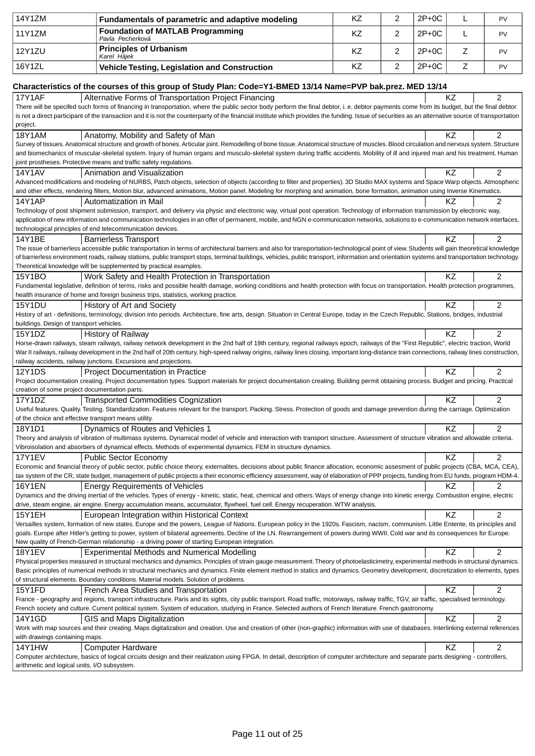| 14Y1ZM                                               | Fundamentals of parametric and adaptive modeling                                                                                                                                                                                                                                                                                                                             | KZ | 2 | $2P+OC$ | L           | PV             |
|------------------------------------------------------|------------------------------------------------------------------------------------------------------------------------------------------------------------------------------------------------------------------------------------------------------------------------------------------------------------------------------------------------------------------------------|----|---|---------|-------------|----------------|
| 11Y1ZM                                               | <b>Foundation of MATLAB Programming</b>                                                                                                                                                                                                                                                                                                                                      | ΚZ | 2 | $2P+OC$ | L           | PV             |
| 12Y1ZU                                               | Pavla Pecherková<br><b>Principles of Urbanism</b>                                                                                                                                                                                                                                                                                                                            | KZ | 2 | $2P+OC$ | Z           | PV             |
|                                                      | Karel Hájek                                                                                                                                                                                                                                                                                                                                                                  |    |   |         |             |                |
| 16Y1ZL                                               | Vehicle Testing, Legislation and Construction                                                                                                                                                                                                                                                                                                                                | KZ | 2 | $2P+0C$ | $\mathsf Z$ | PV             |
|                                                      | Characteristics of the courses of this group of Study Plan: Code=Y1-BMED 13/14 Name=PVP bak.prez. MED 13/14                                                                                                                                                                                                                                                                  |    |   |         |             |                |
| <b>17Y1AF</b>                                        | Alternative Forms of Transportation Project Financing                                                                                                                                                                                                                                                                                                                        |    |   |         | KZ          | $\overline{c}$ |
|                                                      | There will be specifed such forms of financing in transportation, where the public sector body perform the final debtor, i. e. debtor payments come from its budget, but the final debtor                                                                                                                                                                                    |    |   |         |             |                |
|                                                      | is not a direct participant of the transaction and it is not the counterparty of the financial institute which provides the funding. Issue of securities as an alternative source of transportation                                                                                                                                                                          |    |   |         |             |                |
| project.                                             |                                                                                                                                                                                                                                                                                                                                                                              |    |   |         |             |                |
| <b>18Y1AM</b>                                        | Anatomy, Mobility and Safety of Man                                                                                                                                                                                                                                                                                                                                          |    |   |         | ΚZ          | 2              |
|                                                      | Survey of tissues. Anatomical structure and growth of bones. Articular joint. Remodelling of bone tissue. Anatomical structure of muscles. Blood circulation and nervous system. Structure                                                                                                                                                                                   |    |   |         |             |                |
|                                                      | and biomechanics of muscular-skeletal system. Injury of human organs and musculo-skeletal system during traffic accidents. Mobility of ill and injured man and his treatment. Human                                                                                                                                                                                          |    |   |         |             |                |
|                                                      | joint prostheses. Protective means and traffic safety regulations.                                                                                                                                                                                                                                                                                                           |    |   |         |             |                |
| 14Y1AV                                               | Animation and Visualization                                                                                                                                                                                                                                                                                                                                                  |    |   |         | KZ          | 2              |
|                                                      | Advanced modifications and modeling of NURBS, Patch objects, selection of objects (according to filter and properties). 3D Studio MAX systems and Space Warp objects. Atmospheric                                                                                                                                                                                            |    |   |         |             |                |
|                                                      | and other effects, rendering filters, Motion blur, advanced animations, Motion panel. Modeling for morphing and animation, bone formation, animation using Inverse Kinematics.                                                                                                                                                                                               |    |   |         |             |                |
| 14Y1AP                                               | Automatization in Mail                                                                                                                                                                                                                                                                                                                                                       |    |   |         | ΚZ          | $\overline{2}$ |
|                                                      | Technology of post shipment submission, transport, and delivery via physic and electronic way, virtual post operation. Technology of information transmission by electronic way,                                                                                                                                                                                             |    |   |         |             |                |
|                                                      | application of new information and communication technologies in an offer of permanent, mobile, and NGN e-communication networks, solutions to e-communication network interfaces,                                                                                                                                                                                           |    |   |         |             |                |
|                                                      | technological principles of end telecommunication devices.                                                                                                                                                                                                                                                                                                                   |    |   |         |             |                |
| 14Y1BE                                               | <b>Barrierless Transport</b>                                                                                                                                                                                                                                                                                                                                                 |    |   |         | KZ          | $\overline{2}$ |
|                                                      | The issue of barrierless accessible public transportation in terms of architectural barriers and also for transportation-technological point of view. Students will gain theoretical knowledge                                                                                                                                                                               |    |   |         |             |                |
|                                                      | of barrierless environment roads, railway stations, public transport stops, terminal buildings, vehicles, public transport, information and orientation systems and transportation technology.                                                                                                                                                                               |    |   |         |             |                |
|                                                      | Theoretical knowledge will be supplemented by practical examples.                                                                                                                                                                                                                                                                                                            |    |   |         |             |                |
| 15Y1BO                                               | Work Safety and Health Protection in Transportation                                                                                                                                                                                                                                                                                                                          |    |   |         | ΚZ          | $\overline{2}$ |
|                                                      | Fundamental legislative, definition of terms, risks and possible health damage, working conditions and health protection with focus on transportation. Health protection programmes,                                                                                                                                                                                         |    |   |         |             |                |
| <b>15Y1DU</b>                                        | health insurance of home and foreign business trips, statistics, working practice.                                                                                                                                                                                                                                                                                           |    |   |         | ΚZ          | $\overline{2}$ |
|                                                      | History of Art and Society<br>History of art - definitions, terminology, division into periods. Architecture, fine arts, design. Situation in Central Europe, today in the Czech Republic. Stations, bridges, industrial                                                                                                                                                     |    |   |         |             |                |
| buildings. Design of transport vehicles.             |                                                                                                                                                                                                                                                                                                                                                                              |    |   |         |             |                |
| 15Y1DZ                                               | <b>History of Railway</b>                                                                                                                                                                                                                                                                                                                                                    |    |   |         | KZ          | $\overline{2}$ |
|                                                      | Horse-drawn railways, steam railways, railway network development in the 2nd half of 19th century, regional railways epoch, railways of the "First Republic", electric traction, World                                                                                                                                                                                       |    |   |         |             |                |
|                                                      | War II railways, railway development in the 2nd half of 20th century, high-speed railway origins, railway lines closing, important long-distance train connections, railway lines construction,                                                                                                                                                                              |    |   |         |             |                |
|                                                      | railway accidents, railway junctions. Excursions and projections.                                                                                                                                                                                                                                                                                                            |    |   |         |             |                |
| 12Y1DS                                               | Project Documentation in Practice                                                                                                                                                                                                                                                                                                                                            |    |   |         | ΚZ          | 2              |
|                                                      | Project documentation creating. Project documentation types. Support materials for project documentation creating. Building permit obtaining process. Budget and pricing. Practical                                                                                                                                                                                          |    |   |         |             |                |
| creation of some project documentation parts.        |                                                                                                                                                                                                                                                                                                                                                                              |    |   |         |             |                |
| 17Y1DZ                                               | <b>Transported Commodities Cognization</b>                                                                                                                                                                                                                                                                                                                                   |    |   |         | <b>KZ</b>   | 2              |
|                                                      | Useful features. Quality. Testing. Standardization. Features relevant for the transport. Packing. Stress. Protection of goods and damage prevention during the carriage. Optimization                                                                                                                                                                                        |    |   |         |             |                |
| of the choice and effective transport means utility. |                                                                                                                                                                                                                                                                                                                                                                              |    |   |         |             |                |
| 18Y1D1                                               | Dynamics of Routes and Vehicles 1                                                                                                                                                                                                                                                                                                                                            |    |   |         | KZ          | 2              |
|                                                      | Theory and analysis of vibration of multimass systems. Dynamical model of vehicle and interaction with transport structure. Assessment of structure vibration and allowable criteria.                                                                                                                                                                                        |    |   |         |             |                |
|                                                      | Vibroisolation and absorbers of dynamical effects. Methods of experimental dynamics. FEM in structure dynamics.                                                                                                                                                                                                                                                              |    |   |         |             |                |
| <b>17Y1EV</b>                                        | <b>Public Sector Economy</b>                                                                                                                                                                                                                                                                                                                                                 |    |   |         | KZ          | 2              |
|                                                      | Economic and financial theory of public sector, public choice theory, externalites, decisions about public finance allocation, economic assesment of public projects (CBA, MCA, CEA),<br>tax system of the CR, state budget, management of public projects a their economic efficiency assessment, way of elaboration of PPP projects, funding from EU funds, program HDM-4. |    |   |         |             |                |
| <b>16Y1EN</b>                                        |                                                                                                                                                                                                                                                                                                                                                                              |    |   |         | ΚZ          | 2              |
|                                                      | <b>Energy Requirements of Vehicles</b><br>Dynamics and the driving inertial of the vehicles. Types of energy - kinetic, static, heat, chemical and others. Ways of energy change into kinetic energy. Combustion engine, electric                                                                                                                                            |    |   |         |             |                |
|                                                      | drive, steam engine, air engine. Energy accumulation means, accumulator, flywheel, fuel cell. Energy recuperation. WTW analysis.                                                                                                                                                                                                                                             |    |   |         |             |                |
| 15Y1EH                                               | European Integration within Historical Context                                                                                                                                                                                                                                                                                                                               |    |   |         | KZ          | $\overline{2}$ |
|                                                      | Versailles system, formation of new states. Europe and the powers, League of Nations. European policy in the 1920s. Fascism, nacism, communism. Little Entente, its principles and                                                                                                                                                                                           |    |   |         |             |                |
|                                                      | goals. Europe after Hitler's getting to power, system of bilateral agreements. Decline of the LN. Rearrangement of powers during WWII. Cold war and its consequences for Europe.                                                                                                                                                                                             |    |   |         |             |                |
|                                                      | New quality of French-German relationship - a driving power of starting European integration.                                                                                                                                                                                                                                                                                |    |   |         |             |                |
| <b>18Y1EV</b>                                        | <b>Experimental Methods and Numerical Modelling</b>                                                                                                                                                                                                                                                                                                                          |    |   |         | KZ          | $\mathbf{2}$   |
|                                                      | Physical properties measured in structural mechanics and dynamics. Principles of strain gauge measurement. Theory of photoelasticimetry, experimental methods in structural dynamics.                                                                                                                                                                                        |    |   |         |             |                |
|                                                      | Basic principles of numerical methods in structural mechanics and dynamics. Finite element method in statics and dynamics. Geometry development, discretization to elements, types                                                                                                                                                                                           |    |   |         |             |                |
|                                                      | of structural elements. Boundary conditions. Material models. Solution of problems.                                                                                                                                                                                                                                                                                          |    |   |         |             |                |
| <b>15Y1FD</b>                                        | French Area Studies and Transportation                                                                                                                                                                                                                                                                                                                                       |    |   |         | KZ          | $\overline{2}$ |
|                                                      | France - geography and regions, transport infrastructure. Paris and its sights, city public transport. Road traffic, motorways, railway traffic, TGV, air traffic, specialised terminology.                                                                                                                                                                                  |    |   |         |             |                |
|                                                      | French society and culture. Current political system. System of education, studying in France. Selected authors of French literature. French gastronomy.                                                                                                                                                                                                                     |    |   |         |             |                |
| 14Y1GD                                               | GIS and Maps Digitalization                                                                                                                                                                                                                                                                                                                                                  |    |   |         | KZ          | $\overline{2}$ |
|                                                      | Work with map sources and their creating. Maps digitalization and creation. Use and creation of other (non-graphic) information with use of databases. Interlinking external references                                                                                                                                                                                      |    |   |         |             |                |
| with drawings containing maps.                       |                                                                                                                                                                                                                                                                                                                                                                              |    |   |         |             |                |
| 14Y1HW                                               | <b>Computer Hardware</b>                                                                                                                                                                                                                                                                                                                                                     |    |   |         | <b>KZ</b>   | $\overline{2}$ |
| arithmetic and logical units, I/O subsystem.         | Computer architecture, basics of logical circuits design and their realization using FPGA. In detail, description of computer architecture and separate parts designing - controllers,                                                                                                                                                                                       |    |   |         |             |                |
|                                                      |                                                                                                                                                                                                                                                                                                                                                                              |    |   |         |             |                |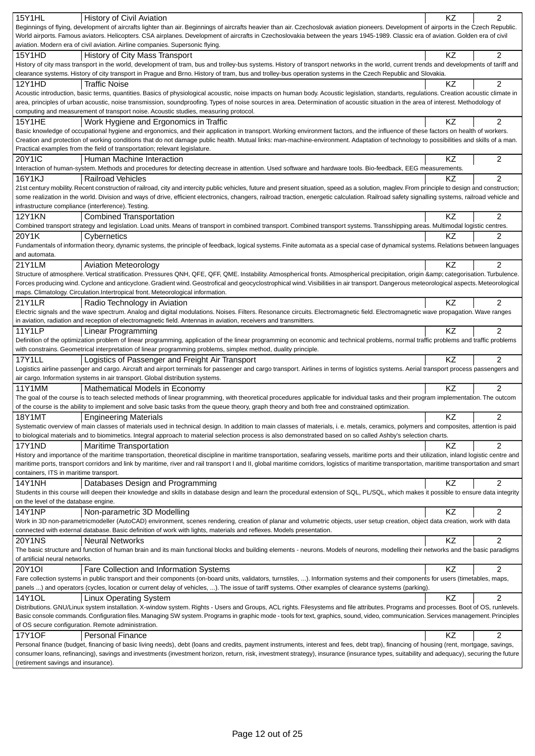| 15Y1HL                                 | <b>History of Civil Aviation</b>                                                                                                                                                                  | KZ        | $\overline{2}$ |
|----------------------------------------|---------------------------------------------------------------------------------------------------------------------------------------------------------------------------------------------------|-----------|----------------|
|                                        | Beginnings of flying, development of aircrafts lighter than air. Beginnings of aircrafts heavier than air. Czechoslovak aviation pioneers. Development of airports in the Czech Republic.         |           |                |
|                                        | World airports. Famous aviators. Helicopters. CSA airplanes. Development of aircrafts in Czechoslovakia between the years 1945-1989. Classic era of aviation. Golden era of civil                 |           |                |
|                                        | aviation. Modern era of civil aviation. Airline companies. Supersonic flying.                                                                                                                     |           |                |
| 15Y1HD                                 | History of City Mass Transport                                                                                                                                                                    | KZ        | 2              |
|                                        | History of city mass transport in the world, development of tram, bus and trolley-bus systems. History of transport networks in the world, current trends and developments of tariff and          |           |                |
|                                        | clearance systems. History of city transport in Prague and Brno. History of tram, bus and trolley-bus operation systems in the Czech Republic and Slovakia.                                       |           |                |
|                                        |                                                                                                                                                                                                   |           |                |
| 12Y1HD                                 | <b>Traffic Noise</b>                                                                                                                                                                              | ΚZ        | 2              |
|                                        | Acoustic introduction, basic terms, quantities. Basics of physiological acoustic, noise impacts on human body. Acoustic legislation, standarts, regulations. Creation acoustic climate in         |           |                |
|                                        | area, principles of urban acoustic, noise transmission, soundproofing. Types of noise sources in area. Determination of acoustic situation in the area of interest. Methodology of                |           |                |
|                                        | computing and measurement of transport noise. Acoustic studies, measuring protocol.                                                                                                               |           |                |
| <b>15Y1HE</b>                          | Work Hygiene and Ergonomics in Traffic                                                                                                                                                            | KZ        | $\overline{2}$ |
|                                        | Basic knowledge of occupational hygiene and ergonomics, and their application in transport. Working environment factors, and the influence of these factors on health of workers.                 |           |                |
|                                        | Creation and protection of working conditions that do not damage public health. Mutual links: man-machine-environment. Adaptation of technology to possibilities and skills of a man.             |           |                |
|                                        |                                                                                                                                                                                                   |           |                |
|                                        | Practical examples from the field of transportation; relevant legislature.                                                                                                                        |           |                |
| <b>20Y1IC</b>                          | Human Machine Interaction                                                                                                                                                                         | KZ        | 2              |
|                                        | Interaction of human-system. Methods and procedures for detecting decrease in attention. Used software and hardware tools. Bio-feedback, EEG measurements.                                        |           |                |
| 16Y1KJ                                 | <b>Railroad Vehicles</b>                                                                                                                                                                          | KZ        | $\overline{2}$ |
|                                        | 21st century mobility. Recent construction of railroad, city and intercity public vehicles, future and present situation, speed as a solution, maglev. From principle to design and construction; |           |                |
|                                        | some realization in the world. Division and ways of drive, efficient electronics, changers, railroad traction, energetic calculation. Railroad safety signalling systems, railroad vehicle and    |           |                |
|                                        |                                                                                                                                                                                                   |           |                |
|                                        | infrastructure compliance (interference). Testing.                                                                                                                                                |           |                |
| <b>12Y1KN</b>                          | <b>Combined Transportation</b>                                                                                                                                                                    | <b>KZ</b> | $\overline{2}$ |
|                                        | Combined transport strategy and legislation. Load units. Means of transport in combined transport. Combined transport systems. Transshipping areas. Multimodal logistic centres.                  |           |                |
| 20Y1K                                  | Cybernetics                                                                                                                                                                                       | ΚZ        | 2              |
|                                        | Fundamentals of information theory, dynamic systems, the principle of feedback, logical systems. Finite automata as a special case of dynamical systems. Relations between languages              |           |                |
| and automata.                          |                                                                                                                                                                                                   |           |                |
|                                        |                                                                                                                                                                                                   |           |                |
| 21Y1LM                                 | <b>Aviation Meteorology</b>                                                                                                                                                                       | ΚZ        | $\overline{2}$ |
|                                        | Structure of atmosphere. Vertical stratification. Pressures QNH, QFE, QFF, QME. Instability. Atmospherical fronts. Atmospherical precipitation, origin & categorisation. Turbulence.              |           |                |
|                                        | Forces producing wind. Cyclone and anticyclone. Gradient wind. Geostrofical and geocyclostrophical wind. Visibilities in air transport. Dangerous meteorological aspects. Meteorological          |           |                |
|                                        | maps. Climatology. Circulation. Intertropical front. Meteorological information.                                                                                                                  |           |                |
| <b>21Y1LR</b>                          | Radio Technology in Aviation                                                                                                                                                                      | KZ        | $\overline{2}$ |
|                                        | Electric signals and the wave spectrum. Analog and digital modulations. Noises. Filters. Resonance circuits. Electromagnetic field. Electromagnetic wave propagation. Wave ranges                 |           |                |
|                                        | in aviation, radiation and reception of electromagnetic field. Antennas in aviation, receivers and transmitters.                                                                                  |           |                |
|                                        |                                                                                                                                                                                                   |           |                |
| <b>11Y1LP</b>                          | Linear Programming                                                                                                                                                                                | KZ        | $\overline{2}$ |
|                                        | Definition of the optimization problem of linear programming, application of the linear programming on economic and technical problems, normal traffic problems and traffic problems              |           |                |
|                                        | with constrains. Geometrical interpretation of linear programming problems, simplex method, duality principle.                                                                                    |           |                |
| <b>17Y1LL</b>                          | Logistics of Passenger and Freight Air Transport                                                                                                                                                  | ΚZ        | 2              |
|                                        | Logistics airline passenger and cargo. Aircraft and airport terminals for passenger and cargo transport. Airlines in terms of logistics systems. Aerial transport process passengers and          |           |                |
|                                        | air cargo. Information systems in air transport. Global distribution systems.                                                                                                                     |           |                |
|                                        |                                                                                                                                                                                                   |           |                |
| <b>11Y1MM</b>                          | Mathematical Models in Economy                                                                                                                                                                    | <b>KZ</b> | 2              |
|                                        | The goal of the course is to teach selected methods of linear programming, with theoretical procedures applicable for individual tasks and their program implementation. The outcom               |           |                |
|                                        | of the course is the ability to implement and solve basic tasks from the queue theory, graph theory and both free and constrained optimization.                                                   |           |                |
| 18Y1MT                                 | <b>Engineering Materials</b>                                                                                                                                                                      | KZ        | 2              |
|                                        | Systematic overview of main classes of materials used in technical design. In addition to main classes of materials, i. e. metals, ceramics, polymers and composites, attention is paid           |           |                |
|                                        | to biological materials and to biomimetics. Integral approach to material selection process is also demonstrated based on so called Ashby's selection charts.                                     |           |                |
| 17Y1ND                                 |                                                                                                                                                                                                   |           | 2              |
|                                        | Maritime Transportation                                                                                                                                                                           | ΚZ        |                |
|                                        | History and importance of the maritime transportation, theoretical discipline in maritime transportation, seafaring vessels, maritime ports and their utilization, inland logistic centre and     |           |                |
|                                        | maritime ports, transport corridors and link by maritime, river and rail transport I and II, global maritime corridors, logistics of maritime transportation, maritime transportation and smart   |           |                |
| containers, ITS in maritime transport. |                                                                                                                                                                                                   |           |                |
| 14Y1NH                                 | Databases Design and Programming                                                                                                                                                                  | KZ        | 2              |
|                                        | Students in this course will deepen their knowledge and skills in database design and learn the procedural extension of SQL, PL/SQL, which makes it possible to ensure data integrity             |           |                |
| on the level of the database engine.   |                                                                                                                                                                                                   |           |                |
|                                        |                                                                                                                                                                                                   |           |                |
| <b>14Y1NP</b>                          | Non-parametric 3D Modelling                                                                                                                                                                       | KZ        | 2              |
|                                        | Work in 3D non-parametricmodeller (AutoCAD) environment, scenes rendering, creation of planar and volumetric objects, user setup creation, object data creation, work with data                   |           |                |
|                                        | connected with external database. Basic definition of work with lights, materials and reflexes. Models presentation.                                                                              |           |                |
| <b>20Y1NS</b>                          | <b>Neural Networks</b>                                                                                                                                                                            | KZ        | 2              |
|                                        | The basic structure and function of human brain and its main functional blocks and building elements - neurons. Models of neurons, modelling their networks and the basic paradigms               |           |                |
| of artificial neural networks.         |                                                                                                                                                                                                   |           |                |
| 20Y1OI                                 |                                                                                                                                                                                                   | <b>KZ</b> | 2              |
|                                        | Fare Collection and Information Systems                                                                                                                                                           |           |                |
|                                        | Fare collection systems in public transport and their components (on-board units, validators, turnstiles, ). Information systems and their components for users (timetables, maps,                |           |                |
|                                        | panels ) and operators (cycles, location or current delay of vehicles, ). The issue of tariff systems. Other examples of clearance systems (parking).                                             |           |                |
| 14Y1OL                                 | <b>Linux Operating System</b>                                                                                                                                                                     | KZ        | 2              |
|                                        | Distributions. GNU/Linux system installation. X-window system. Rights - Users and Groups, ACL rights. Filesystems and file attributes. Programs and processes. Boot of OS, runlevels.             |           |                |
|                                        | Basic console commands. Configuration files. Managing SW system. Programs in graphic mode - tools for text, graphics, sound, video, communication. Services management. Principles                |           |                |
|                                        | of OS secure configuration. Remote administration.                                                                                                                                                |           |                |
| <b>17Y1OF</b>                          | <b>Personal Finance</b>                                                                                                                                                                           | KZ        | 2              |
|                                        |                                                                                                                                                                                                   |           |                |
|                                        | Personal finance (budget, financing of basic living needs), debt (loans and credits, payment instruments, interest and fees, debt trap), financing of housing (rent, mortgage, savings,           |           |                |
|                                        | consumer loans, refinancing), savings and investments (investment horizon, return, risk, investment strategy), insurance (insurance types, suitability and adequacy), securing the future         |           |                |
| (retirement savings and insurance).    |                                                                                                                                                                                                   |           |                |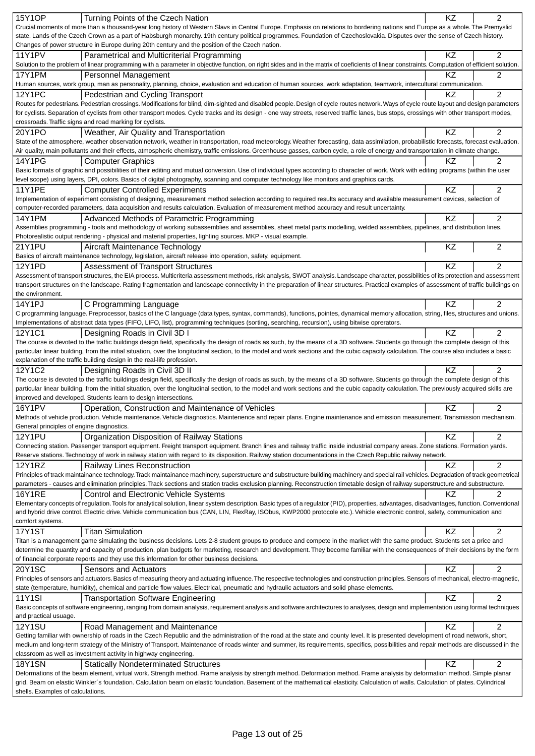| <b>15Y1OP</b><br>Turning Points of the Czech Nation                                                                                                                                                                                                                                                                                                                           | KZ | 2              |
|-------------------------------------------------------------------------------------------------------------------------------------------------------------------------------------------------------------------------------------------------------------------------------------------------------------------------------------------------------------------------------|----|----------------|
| Crucial moments of more than a thousand-year long history of Western Slavs in Central Europe. Emphasis on relations to bordering nations and Europe as a whole. The Premyslid                                                                                                                                                                                                 |    |                |
| state. Lands of the Czech Crown as a part of Habsburgh monarchy. 19th century political programmes. Foundation of Czechoslovakia. Disputes over the sense of Czech history.                                                                                                                                                                                                   |    |                |
| Changes of power structure in Europe during 20th century and the position of the Czech nation.                                                                                                                                                                                                                                                                                |    |                |
| <b>11Y1PV</b><br>Parametrical and Multicriterial Programming<br>Solution to the problem of linear programming with a parameter in objective function, on right sides and in the matrix of coeficients of linear constraints. Computation of efficient solution.                                                                                                               | KZ | 2              |
| 17Y1PM<br>Personnel Management                                                                                                                                                                                                                                                                                                                                                | ΚZ | 2              |
| Human sources, work group, man as personality, planning, choice, evaluation and education of human sources, work adaptation, teamwork, intercultural communication.                                                                                                                                                                                                           |    |                |
| <b>12Y1PC</b><br>Pedestrian and Cycling Transport                                                                                                                                                                                                                                                                                                                             | ΚZ | 2              |
| Routes for pedestrians. Pedestrian crossings. Modifications for blind, dim-sighted and disabled people. Design of cycle routes network. Ways of cycle route layout and design parameters                                                                                                                                                                                      |    |                |
| for cyclists. Separation of cyclists from other transport modes. Cycle tracks and its design - one way streets, reserved traffic lanes, bus stops, crossings with other transport modes,                                                                                                                                                                                      |    |                |
| crossroads. Traffic signs and road marking for cyclists.                                                                                                                                                                                                                                                                                                                      |    |                |
| 20Y1PO<br>Weather, Air Quality and Transportation                                                                                                                                                                                                                                                                                                                             | KZ | 2              |
| State of the atmosphere, weather observation network, weather in transportation, road meteorology. Weather forecasting, data assimilation, probabilistic forecasts, forecast evaluation.<br>Air quality, main pollutants and their effects, atmospheric chemistry, traffic emissions. Greenhouse gasses, carbon cycle, a role of energy and transportation in climate change. |    |                |
| 14Y1PG<br><b>Computer Graphics</b>                                                                                                                                                                                                                                                                                                                                            | ΚZ | $\overline{c}$ |
| Basic formats of graphic and possibilities of their editing and mutual conversion. Use of individual types according to character of work. Work with editing programs (within the user                                                                                                                                                                                        |    |                |
| level scope) using layers, DPI, colors. Basics of digital photography, scanning and computer technology like monitors and graphics cards.                                                                                                                                                                                                                                     |    |                |
| <b>11Y1PE</b><br><b>Computer Controlled Experiments</b>                                                                                                                                                                                                                                                                                                                       | KZ | 2              |
| Implementation of experiment consisting of designing, measurement method selection according to required results accuracy and available measurement devices, selection of                                                                                                                                                                                                     |    |                |
| computer-recorded parameters, data acquisition and results calculation. Evaluation of measurement method accuracy and result uncertainty.                                                                                                                                                                                                                                     |    |                |
| 14Y1PM<br>Advanced Methods of Parametric Programming                                                                                                                                                                                                                                                                                                                          | KZ | 2              |
| Assemblies programming - tools and methodology of working subassemblies and assemblies, sheet metal parts modelling, welded assemblies, pipelines, and distribution lines.                                                                                                                                                                                                    |    |                |
| Photorealistic output rendering - physical and material properties, lighting sources. MKP - visual example.                                                                                                                                                                                                                                                                   |    |                |
| 21Y1PU<br>Aircraft Maintenance Technology<br>Basics of aircraft maintenance technology, legislation, aircraft release into operation, safety, equipment.                                                                                                                                                                                                                      | KZ | $\overline{2}$ |
| 12Y1PD<br><b>Assessment of Transport Structures</b>                                                                                                                                                                                                                                                                                                                           | KZ | 2              |
| Assessment of transport structures, the EIA process. Multicriteria assessment methods, risk analysis, SWOT analysis. Landscape character, possibilities of its protection and assessment                                                                                                                                                                                      |    |                |
| transport structures on the landscape. Rating fragmentation and landscape connectivity in the preparation of linear structures. Practical examples of assessment of traffic buildings on                                                                                                                                                                                      |    |                |
| the environment.                                                                                                                                                                                                                                                                                                                                                              |    |                |
| C Programming Language<br>14Y1PJ                                                                                                                                                                                                                                                                                                                                              | KZ | 2              |
| C programming language. Preprocessor, basics of the C language (data types, syntax, commands), functions, pointes, dynamical memory allocation, string, files, structures and unions.                                                                                                                                                                                         |    |                |
| Implementations of abstract data types (FIFO, LIFO, list), programming techniques (sorting, searching, recursion), using bitwise oprerators.                                                                                                                                                                                                                                  |    |                |
| 12Y1C1<br>Designing Roads in Civil 3D I                                                                                                                                                                                                                                                                                                                                       | KZ | $\overline{2}$ |
| The course is devoted to the traffic buildings design field, specifically the design of roads as such, by the means of a 3D software. Students go through the complete design of this                                                                                                                                                                                         |    |                |
| particular linear building, from the initial situation, over the longitudinal section, to the model and work sections and the cubic capacity calculation. The course also includes a basic<br>explanation of the traffic building design in the real-life profession.                                                                                                         |    |                |
| 12Y1C2<br>Designing Roads in Civil 3D II                                                                                                                                                                                                                                                                                                                                      | KZ | $\overline{c}$ |
| The course is devoted to the traffic buildings design field, specifically the design of roads as such, by the means of a 3D software. Students go through the complete design of this                                                                                                                                                                                         |    |                |
| particular linear building, from the initial situation, over the longitudinal section, to the model and work sections and the cubic capacity calculation. The previously acquired skills are                                                                                                                                                                                  |    |                |
| improved and developed. Students learn to design intersections.                                                                                                                                                                                                                                                                                                               |    |                |
| <b>16Y1PV</b><br>Operation, Construction and Maintenance of Vehicles                                                                                                                                                                                                                                                                                                          | KZ | $\overline{c}$ |
| Methods of vehicle production. Vehicle maintenance. Vehicle diagnostics. Maintenence and repair plans. Engine maintenance and emission measurement. Transmission mechanism.                                                                                                                                                                                                   |    |                |
| General principles of engine diagnostics.                                                                                                                                                                                                                                                                                                                                     |    |                |
| Organization Disposition of Railway Stations<br><b>12Y1PU</b>                                                                                                                                                                                                                                                                                                                 | KZ | 2              |
| Connecting station. Passenger transport equipment. Freight transport equipment. Branch lines and railway traffic inside industrial company areas. Zone stations. Formation yards.<br>Reserve stations. Technology of work in railway station with regard to its disposition. Railway station documentations in the Czech Republic railway network.                            |    |                |
| <b>12Y1RZ</b><br>Railway Lines Reconstruction                                                                                                                                                                                                                                                                                                                                 | KZ | $\overline{2}$ |
| Principles of track maintainance technology. Track maintainance machinery, superstructure and substructure building machinery and special rail vehicles. Degradation of track geometrical                                                                                                                                                                                     |    |                |
| parameters - causes and elimination principles. Track sections and station tracks exclusion planning. Reconstruction timetable design of railway superstructure and substructure.                                                                                                                                                                                             |    |                |
| <b>16Y1RE</b><br>Control and Electronic Vehicle Systems                                                                                                                                                                                                                                                                                                                       | KZ | 2              |
| Elementary concepts of regulation. Tools for analytical solution, linear system description. Basic types of a regulator (PID), properties, advantages, disadvantages, function. Conventional                                                                                                                                                                                  |    |                |
| and hybrid drive control. Electric drive. Vehicle communication bus (CAN, LIN, FlexRay, ISObus, KWP2000 protocole etc.). Vehicle electronic control, safety, communication and                                                                                                                                                                                                |    |                |
| comfort systems.                                                                                                                                                                                                                                                                                                                                                              |    |                |
| <b>17Y1ST</b><br><b>Titan Simulation</b>                                                                                                                                                                                                                                                                                                                                      | KZ | $\overline{c}$ |
| Titan is a management game simulating the business decisions. Lets 2-8 student groups to produce and compete in the market with the same product. Students set a price and                                                                                                                                                                                                    |    |                |
| determine the quantity and capacity of production, plan budgets for marketing, research and development. They become familiar with the consequences of their decisions by the form<br>of financial corporate reports and they use this information for other business decisions.                                                                                              |    |                |
| 20Y1SC<br>Sensors and Actuators                                                                                                                                                                                                                                                                                                                                               | KZ | $\overline{2}$ |
| Principles of sensors and actuators. Basics of measuring theory and actuating influence. The respective technologies and construction principles. Sensors of mechanical, electro-magnetic,                                                                                                                                                                                    |    |                |
| state (temperature, humidity), chemical and particle flow values. Electrical, pneumatic and hydraulic actuators and solid phase elements.                                                                                                                                                                                                                                     |    |                |
| <b>11Y1SI</b><br><b>Transportation Software Engineering</b>                                                                                                                                                                                                                                                                                                                   | KZ | 2              |
| Basic concepts of software engineering, ranging from domain analysis, requirement analysis and software architectures to analyses, design and implementation using formal techniques                                                                                                                                                                                          |    |                |
| and practical usuage.                                                                                                                                                                                                                                                                                                                                                         |    |                |
| <b>12Y1SU</b><br>Road Management and Maintenance                                                                                                                                                                                                                                                                                                                              | KZ | 2              |
| Getting familiar with ownership of roads in the Czech Republic and the administration of the road at the state and county level. It is presented development of road network, short,                                                                                                                                                                                          |    |                |
| medium and long-term strategy of the Ministry of Transport. Maintenance of roads winter and summer, its requirements, specifics, possibilities and repair methods are discussed in the<br>classroom as well as investment activity in highway engineering.                                                                                                                    |    |                |
| <b>18Y1SN</b><br><b>Statically Nondeterminated Structures</b>                                                                                                                                                                                                                                                                                                                 | KZ | 2              |
| Deformations of the beam element, virtual work. Strength method. Frame analysis by strength method. Deformation method. Frame analysis by deformation method. Simple planar                                                                                                                                                                                                   |    |                |
| grid. Beam on elastic Winkler's foundation. Calculation beam on elastic foundation. Basement of the mathematical elasticity. Calculation of walls. Calculation of plates. Cylindrical                                                                                                                                                                                         |    |                |
| shells. Examples of calculations.                                                                                                                                                                                                                                                                                                                                             |    |                |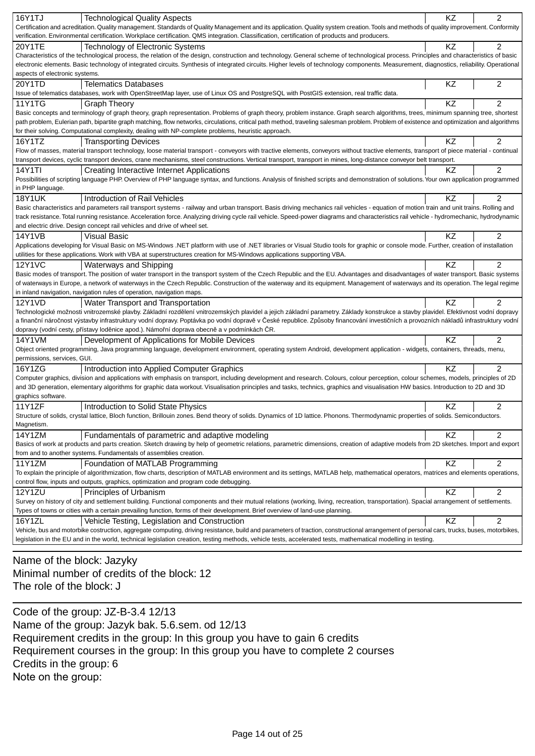| 16Y1TJ                                                                                                                                                                                     | KZ        | $\overline{2}$ |
|--------------------------------------------------------------------------------------------------------------------------------------------------------------------------------------------|-----------|----------------|
| <b>Technological Quality Aspects</b>                                                                                                                                                       |           |                |
| Certification and acreditation. Quality management. Standards of Quality Management and its application. Quality system creation. Tools and methods of quality improvement. Conformity     |           |                |
| verification. Environmental certification. Workplace certification. QMS integration. Classification, certification of products and producers.                                              |           |                |
| 20Y1TE<br>Technology of Electronic Systems                                                                                                                                                 | KZ        | $\overline{2}$ |
| Characteristics of the technological process, the relation of the design, construction and technology. General scheme of technological process. Principles and characteristics of basic    |           |                |
| electronic elements. Basic technology of integrated circuits. Synthesis of integrated circuits. Higher levels of technology components. Measurement, diagnostics, reliability. Operational |           |                |
| aspects of electronic systems.                                                                                                                                                             |           |                |
| 20Y1TD<br><b>Telematics Databases</b>                                                                                                                                                      | ΚZ        | $\overline{c}$ |
| Issue of telematics databases, work with OpenStreetMap layer, use of Linux OS and PostgreSQL with PostGIS extension, real traffic data.                                                    |           |                |
| <b>11Y1TG</b><br><b>Graph Theory</b>                                                                                                                                                       | KZ        | $\mathfrak{p}$ |
| Basic concepts and terminology of graph theory, graph representation. Problems of graph theory, problem instance. Graph search algorithms, trees, minimum spanning tree, shortest          |           |                |
| path problem, Eulerian path, bipartite graph matching, flow networks, circulations, critical path method, traveling salesman problem. Problem of existence and optimization and algorithms |           |                |
| for their solving. Computational complexity, dealing with NP-complete problems, heuristic approach.                                                                                        |           |                |
| 16Y1TZ<br><b>Transporting Devices</b>                                                                                                                                                      | <b>KZ</b> | $\overline{2}$ |
| Flow of masses, material transport technology, loose material transport - conveyors with tractive elements, conveyors without tractive elements, transport of piece material - continual   |           |                |
| transport devices, cyclic transport devices, crane mechanisms, steel constructions. Vertical transport, transport in mines, long-distance conveyor belt transport.                         |           |                |
| 14Y1TI<br>Creating Interactive Internet Applications                                                                                                                                       | KZ        | $\overline{2}$ |
| Possibilities of scripting language PHP. Overview of PHP language syntax, and functions. Analysis of finished scripts and demonstration of solutions. Your own application programmed      |           |                |
| in PHP language.                                                                                                                                                                           |           |                |
| <b>18Y1UK</b>                                                                                                                                                                              |           | $\overline{2}$ |
| Introduction of Rail Vehicles                                                                                                                                                              | ΚZ        |                |
| Basic characteristics and parameters rail transport systems - railway and urban transport. Basis driving mechanics rail vehicles - equation of motion train and unit trains. Rolling and   |           |                |
| track resistance. Total running resistance. Acceleration force. Analyzing driving cycle rail vehicle. Speed-power diagrams and characteristics rail vehicle - hydromechanic, hydrodynamic  |           |                |
| and electric drive. Design concept rail vehicles and drive of wheel set.                                                                                                                   |           |                |
| 14Y1VB<br><b>Visual Basic</b>                                                                                                                                                              | ΚZ        | 2              |
| Applications developing for Visual Basic on MS-Windows .NET platform with use of .NET libraries or Visual Studio tools for graphic or console mode. Further, creation of installation      |           |                |
| utilities for these applications. Work with VBA at superstructures creation for MS-Windows applications supporting VBA.                                                                    |           |                |
| <b>12Y1VC</b><br>Waterways and Shipping                                                                                                                                                    | ΚZ        | $\overline{2}$ |
| Basic modes of transport. The position of water transport in the transport system of the Czech Republic and the EU. Advantages and disadvantages of water transport. Basic systems         |           |                |
| of waterways in Europe, a network of waterways in the Czech Republic. Construction of the waterway and its equipment. Management of waterways and its operation. The legal regime          |           |                |
| in inland navigation, navigation rules of operation, navigation maps.                                                                                                                      |           |                |
| 12Y1VD<br>Water Transport and Transportation                                                                                                                                               | <b>KZ</b> | $\overline{2}$ |
| Technologické možnosti vnitrozemské plavby. Základní rozd lení vnitrozemských plavidel a jejich základní parametry. Základy konstrukce a stavby plavidel. Efektivnost vodní dopravy        |           |                |
| a finan ní náro nost výstavby infrastruktury vodní dopravy. Poptávka po vodní doprav v eské republice. Zp soby financování investi ních a provozních náklad infrastruktury vodní           |           |                |
| dopravy (vodní cesty, p ístavy lod nice apod.). Námo ní doprava obecn a v podmínkách R.                                                                                                    |           |                |
| 14Y1VM<br>Development of Applications for Mobile Devices                                                                                                                                   | <b>KZ</b> | $\overline{2}$ |
| Object oriented programming, Java programming language, development environment, operating system Android, development application - widgets, containers, threads, menu,                   |           |                |
| permissions, services, GUI.                                                                                                                                                                |           |                |
| Introduction into Applied Computer Graphics<br>16Y1ZG                                                                                                                                      | <b>KZ</b> | $\overline{2}$ |
| Computer graphics, division and applications with emphasis on transport, including development and research. Colours, colour perception, colour schemes, models, principles of 2D          |           |                |
| and 3D generation, elementary algorithms for graphic data workout. Visualisation principles and tasks, technics, graphics and visualisation HW basics. Introduction to 2D and 3D           |           |                |
| graphics software.                                                                                                                                                                         |           |                |
| 11Y1ZF                                                                                                                                                                                     | <b>KZ</b> | $\overline{2}$ |
| Introduction to Solid State Physics                                                                                                                                                        |           |                |
| Structure of solids, crystal lattice, Bloch function, Brillouin zones. Bend theory of solids. Dynamics of 1D lattice. Phonons. Thermodynamic properties of solids. Semiconductors.         |           |                |
| Magnetism.                                                                                                                                                                                 |           |                |
| 14Y1ZM<br>Fundamentals of parametric and adaptive modeling                                                                                                                                 | KZ        | 2              |
| Basics of work at products and parts creation. Sketch drawing by help of geometric relations, parametric dimensions, creation of adaptive models from 2D sketches. Import and export       |           |                |
| from and to another systems. Fundamentals of assemblies creation.                                                                                                                          |           |                |
| 11Y1ZM<br>Foundation of MATLAB Programming                                                                                                                                                 | KZ        | $\overline{2}$ |
| To explain the principle of algorithmization, flow charts, description of MATLAB environment and its settings, MATLAB help, mathematical operators, matrices and elements operations,      |           |                |
| control flow, inputs and outputs, graphics, optimization and program code debugging.                                                                                                       |           |                |
| <b>12Y1ZU</b><br>Principles of Urbanism                                                                                                                                                    | KZ        | $\overline{2}$ |
| Survey on history of city and settlement building. Functional components and their mutual relations (working, living, recreation, transportation). Spacial arrangement of settlements.     |           |                |
| Types of towns or cities with a certain prevailing function, forms of their development. Brief overview of land-use planning.                                                              |           |                |
| 16Y1ZL<br>Vehicle Testing, Legislation and Construction                                                                                                                                    | KZ        | $\overline{c}$ |
| Vehicle, bus and motorbike costruction, aggregate computing, driving resistance, build and parameters of traction, constructional arrangement of personal cars, trucks, buses, motorbikes, |           |                |
| legislation in the EU and in the world, technical legislation creation, testing methods, vehicle tests, accelerated tests, mathematical modelling in testing.                              |           |                |
|                                                                                                                                                                                            |           |                |

Name of the block: Jazyky Minimal number of credits of the block: 12 The role of the block: J

Code of the group: JZ-B-3.4 12/13 Name of the group: Jazyk bak. 5.6.sem. od 12/13 Requirement credits in the group: In this group you have to gain 6 credits Requirement courses in the group: In this group you have to complete 2 courses Credits in the group: 6 Note on the group: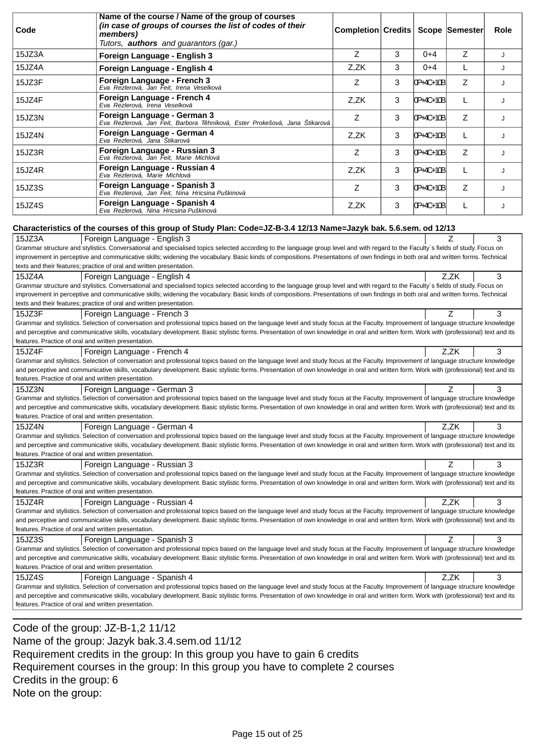| Code                                                                                                                   | Name of the course / Name of the group of courses<br>(in case of groups of courses the list of codes of their<br>members)<br>Tutors, authors and guarantors (gar.)                                                                                                                                                                                                                                                                                                             | Completion Credits |   |           | Scope Semester | Role |
|------------------------------------------------------------------------------------------------------------------------|--------------------------------------------------------------------------------------------------------------------------------------------------------------------------------------------------------------------------------------------------------------------------------------------------------------------------------------------------------------------------------------------------------------------------------------------------------------------------------|--------------------|---|-----------|----------------|------|
| 15JZ3A                                                                                                                 | Foreign Language - English 3                                                                                                                                                                                                                                                                                                                                                                                                                                                   | Z                  | 3 | $0 + 4$   | Z              | J    |
| 15JZ4A                                                                                                                 | Foreign Language - English 4                                                                                                                                                                                                                                                                                                                                                                                                                                                   | Z,ZK               | 3 | $0 + 4$   | L              | J    |
| 15JZ3F                                                                                                                 | Foreign Language - French 3<br>Eva Rezlerová, Jan Feit, Irena Veselková                                                                                                                                                                                                                                                                                                                                                                                                        | Z                  | 3 | 0P+4C+10B | Z              | J    |
| 15JZ4F                                                                                                                 | Foreign Language - French 4<br>Eva Rezlerová, Irena Veselková                                                                                                                                                                                                                                                                                                                                                                                                                  | Z,ZK               | 3 | 0P+4C+10B | L              | J    |
| 15JZ3N                                                                                                                 | Foreign Language - German 3<br>Eva Rezlerová, Jan Feit, Barbora T hníková, Ester Prokešová, Jana Štikarová                                                                                                                                                                                                                                                                                                                                                                     | Z                  | 3 | 0P+4C+10B | Z              | J    |
| 15JZ4N                                                                                                                 | Foreign Language - German 4<br>Eva Rezlerová, Jana Štikarová                                                                                                                                                                                                                                                                                                                                                                                                                   | Z,ZK               | 3 | 0P+4C+10B | L              | J    |
| 15JZ3R                                                                                                                 | Foreign Language - Russian 3<br>Eva Rezlerová, Jan Feit, Marie Michlová                                                                                                                                                                                                                                                                                                                                                                                                        | Z                  | 3 | 0P+4C+10B | Ζ              | J    |
| 15JZ4R                                                                                                                 | Foreign Language - Russian 4<br>Eva Rezlerová, Marie Michlová                                                                                                                                                                                                                                                                                                                                                                                                                  | Z,ZK               | 3 | 0P+4C+10B | L              | J    |
| 15JZ3S                                                                                                                 | Foreign Language - Spanish 3<br>Eva Rezlerová, Jan Feit, Nina Hricsina Puškinová                                                                                                                                                                                                                                                                                                                                                                                               | Z                  | 3 | 0P+4C+10B | Z              | J    |
| 15JZ4S                                                                                                                 | Foreign Language - Spanish 4<br>Eva Rezlerová, Nina Hricsina Puškinová                                                                                                                                                                                                                                                                                                                                                                                                         | Z,ZK               | 3 | 0P+4C+10B | L              | J    |
|                                                                                                                        | Characteristics of the courses of this group of Study Plan: Code=JZ-B-3.4 12/13 Name=Jazyk bak. 5.6.sem. od 12/13                                                                                                                                                                                                                                                                                                                                                              |                    |   |           |                |      |
| 15JZ3A                                                                                                                 | Foreign Language - English 3<br>Grammar structure and stylistics. Conversational and specialised topics selected according to the language group level and with regard to the Faculty's fields of study. Focus on<br>improvement in perceptive and communicative skills; widening the vocabulary. Basic kinds of compositions. Presentations of own findings in both oral and written forms. Technical<br>texts and their features; practice of oral and written presentation. |                    |   |           | Ζ              | 3    |
| 15JZ4A                                                                                                                 | Foreign Language - English 4<br>Grammar structure and stylistics. Conversational and specialised topics selected according to the language group level and with regard to the Faculty's fields of study. Focus on<br>improvement in perceptive and communicative skills; widening the vocabulary. Basic kinds of compositions. Presentations of own findings in both oral and written forms. Technical<br>texts and their features; practice of oral and written presentation. |                    |   |           | Z.ZK           | 3    |
| 15JZ3F<br>features. Practice of oral and written presentation.                                                         | Foreign Language - French 3<br>Grammar and stylistics. Selection of conversation and professional topics based on the language level and study focus at the Faculty. Improvement of language structure knowledge<br>and perceptive and communicative skills, vocabulary development. Basic stylistic forms. Presentation of own knowledge in oral and written form. Work with (professional) text and its                                                                      |                    |   |           | Z              | 3    |
| 15JZ4F<br>features. Practice of oral and written presentation.                                                         | Foreign Language - French 4<br>Grammar and stylistics. Selection of conversation and professional topics based on the language level and study focus at the Faculty. Improvement of language structure knowledge<br>and perceptive and communicative skills, vocabulary development. Basic stylistic forms. Presentation of own knowledge in oral and written form. Work with (professional) text and its                                                                      |                    |   |           | Z.ZK           | 3    |
| 15JZ3N<br>features. Practice of oral and written presentation.                                                         | Foreign Language - German 3<br>Grammar and stylistics. Selection of conversation and professional topics based on the language level and study focus at the Faculty. Improvement of language structure knowledge<br>and perceptive and communicative skills, vocabulary development. Basic stylistic forms. Presentation of own knowledge in oral and written form. Work with (professional) text and its                                                                      |                    |   |           | Ζ              | 3    |
| 15JZ4N<br>features. Practice of oral and written presentation.                                                         | Foreign Language - German 4<br>Grammar and stylistics. Selection of conversation and professional topics based on the language level and study focus at the Faculty. Improvement of language structure knowledge<br>and perceptive and communicative skills, vocabulary development. Basic stylistic forms. Presentation of own knowledge in oral and written form. Work with (professional) text and its                                                                      |                    |   |           | Z,ZK           | 3    |
| 15JZ3R<br>features. Practice of oral and written presentation.                                                         | Foreign Language - Russian 3<br>Grammar and stylistics. Selection of conversation and professional topics based on the language level and study focus at the Faculty. Improvement of language structure knowledge<br>and perceptive and communicative skills, vocabulary development. Basic stylistic forms. Presentation of own knowledge in oral and written form. Work with (professional) text and its                                                                     |                    |   |           | Z              | 3    |
| 15JZ4R                                                                                                                 | Foreign Language - Russian 4<br>Grammar and stylistics. Selection of conversation and professional topics based on the language level and study focus at the Faculty. Improvement of language structure knowledge<br>and perceptive and communicative skills, vocabulary development. Basic stylistic forms. Presentation of own knowledge in oral and written form. Work with (professional) text and its                                                                     |                    |   |           | Z,ZK           | 3    |
| features. Practice of oral and written presentation.<br>15JZ3S<br>features. Practice of oral and written presentation. | Foreign Language - Spanish 3<br>Grammar and stylistics. Selection of conversation and professional topics based on the language level and study focus at the Faculty. Improvement of language structure knowledge<br>and perceptive and communicative skills, vocabulary development. Basic stylistic forms. Presentation of own knowledge in oral and written form. Work with (professional) text and its                                                                     |                    |   |           | Z              | 3    |
| 15JZ4S<br>features. Practice of oral and written presentation.                                                         | Foreign Language - Spanish 4<br>Grammar and stylistics. Selection of conversation and professional topics based on the language level and study focus at the Faculty. Improvement of language structure knowledge<br>and perceptive and communicative skills, vocabulary development. Basic stylistic forms. Presentation of own knowledge in oral and written form. Work with (professional) text and its                                                                     |                    |   |           | Z,ZK           | 3    |

Code of the group: JZ-B-1,2 11/12 Name of the group: Jazyk bak.3.4.sem.od 11/12 Requirement credits in the group: In this group you have to gain 6 credits Requirement courses in the group: In this group you have to complete 2 courses Credits in the group: 6 Note on the group: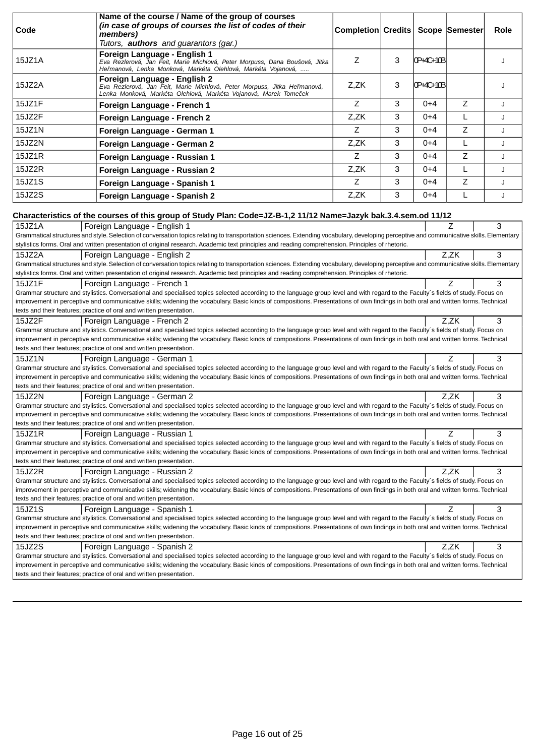|        | Name of the course / Name of the group of courses                                                                                                                                                                                                                                                                                                                      |                                   |   |           |      |      |
|--------|------------------------------------------------------------------------------------------------------------------------------------------------------------------------------------------------------------------------------------------------------------------------------------------------------------------------------------------------------------------------|-----------------------------------|---|-----------|------|------|
| Code   | (in case of groups of courses the list of codes of their<br>members)                                                                                                                                                                                                                                                                                                   | Completion Credits Scope Semester |   |           |      | Role |
|        | Tutors, <b>authors</b> and guarantors (gar.)                                                                                                                                                                                                                                                                                                                           |                                   |   |           |      |      |
| 15JZ1A | Foreign Language - English 1<br>Eva Rezlerová, Jan Feit, Marie Michlová, Peter Morpuss, Dana Boušová, Jitka<br>He manová, Lenka Monková, Markéta Olehlová, Markéta Vojanová,                                                                                                                                                                                           | Z                                 | 3 | 0P+4C+10B |      | J    |
| 15JZ2A | Foreign Language - English 2<br>Eva Rezlerová, Jan Feit, Marie Michlová, Peter Morpuss, Jitka He manová,<br>Lenka Monková, Markéta Olehlová, Markéta Vojanová, Marek Tome ek                                                                                                                                                                                           | Z,ZK                              | 3 | 0P+4C+10B |      | J    |
| 15JZ1F | Foreign Language - French 1                                                                                                                                                                                                                                                                                                                                            | Z                                 | 3 | $0 + 4$   | Z    | J    |
| 15JZ2F | Foreign Language - French 2                                                                                                                                                                                                                                                                                                                                            | Z,ZK                              | 3 | $0 + 4$   | L    | J    |
| 15JZ1N | Foreign Language - German 1                                                                                                                                                                                                                                                                                                                                            | Z                                 | 3 | $0 + 4$   | Z    | J    |
| 15JZ2N | Foreign Language - German 2                                                                                                                                                                                                                                                                                                                                            | Z,ZK                              | 3 | $0 + 4$   | L    | J    |
| 15JZ1R | Foreign Language - Russian 1                                                                                                                                                                                                                                                                                                                                           | Z                                 | 3 | $0 + 4$   | Z    | J    |
| 15JZ2R | Foreign Language - Russian 2                                                                                                                                                                                                                                                                                                                                           | Z,ZK                              | 3 | $0 + 4$   | L    | J    |
| 15JZ1S | Foreign Language - Spanish 1                                                                                                                                                                                                                                                                                                                                           | Z                                 | 3 | $0 + 4$   | Z    | J    |
| 15JZ2S | Foreign Language - Spanish 2                                                                                                                                                                                                                                                                                                                                           | Z,ZK                              | 3 | $0 + 4$   | L    | J    |
|        | Characteristics of the courses of this group of Study Plan: Code=JZ-B-1,2 11/12 Name=Jazyk bak.3.4.sem.od 11/12                                                                                                                                                                                                                                                        |                                   |   |           |      |      |
| 15JZ1A | Foreign Language - English 1                                                                                                                                                                                                                                                                                                                                           |                                   |   |           | Z    | 3    |
|        | Grammatical structures and style. Selection of conversation topics relating to transportation sciences. Extending vocabulary, developing perceptive and communicative skills. Elementary                                                                                                                                                                               |                                   |   |           |      |      |
|        | stylistics forms. Oral and written presentation of original research. Academic text principles and reading comprehension. Principles of rhetoric.                                                                                                                                                                                                                      |                                   |   |           |      |      |
| 15JZ2A | Foreign Language - English 2                                                                                                                                                                                                                                                                                                                                           |                                   |   |           | Z,ZK | 3    |
|        | Grammatical structures and style. Selection of conversation topics relating to transportation sciences. Extending vocabulary, developing perceptive and communicative skills. Elementary                                                                                                                                                                               |                                   |   |           |      |      |
|        | stylistics forms. Oral and written presentation of original research. Academic text principles and reading comprehension. Principles of rhetoric.                                                                                                                                                                                                                      |                                   |   |           |      |      |
| 15JZ1F | Foreign Language - French 1                                                                                                                                                                                                                                                                                                                                            |                                   |   |           | 7    | 3    |
|        | Grammar structure and stylistics. Conversational and specialised topics selected according to the language group level and with regard to the Faculty's fields of study. Focus on<br>improvement in perceptive and communicative skills; widening the vocabulary. Basic kinds of compositions. Presentations of own findings in both oral and written forms. Technical |                                   |   |           |      |      |
|        | texts and their features; practice of oral and written presentation.                                                                                                                                                                                                                                                                                                   |                                   |   |           |      |      |
| 15JZ2F | Foreign Language - French 2                                                                                                                                                                                                                                                                                                                                            |                                   |   |           | Z,ZK | 3    |
|        | Grammar structure and stylistics. Conversational and specialised topics selected according to the language group level and with regard to the Faculty's fields of study. Focus on                                                                                                                                                                                      |                                   |   |           |      |      |
|        | improvement in perceptive and communicative skills; widening the vocabulary. Basic kinds of compositions. Presentations of own findings in both oral and written forms. Technical                                                                                                                                                                                      |                                   |   |           |      |      |
|        | texts and their features; practice of oral and written presentation.                                                                                                                                                                                                                                                                                                   |                                   |   |           |      |      |
| 15JZ1N | Foreign Language - German 1<br>Grammar structure and stylistics. Conversational and specialised topics selected according to the language group level and with regard to the Faculty's fields of study. Focus on                                                                                                                                                       |                                   |   |           | 7    | 3    |
|        | improvement in perceptive and communicative skills; widening the vocabulary. Basic kinds of compositions. Presentations of own findings in both oral and written forms. Technical                                                                                                                                                                                      |                                   |   |           |      |      |
|        | texts and their features; practice of oral and written presentation.                                                                                                                                                                                                                                                                                                   |                                   |   |           |      |      |
| 15JZ2N | Foreign Language - German 2                                                                                                                                                                                                                                                                                                                                            |                                   |   |           | Z,ZK | 3    |
|        | Grammar structure and stylistics. Conversational and specialised topics selected according to the language group level and with regard to the Faculty's fields of study. Focus on                                                                                                                                                                                      |                                   |   |           |      |      |
|        | improvement in perceptive and communicative skills; widening the vocabulary. Basic kinds of compositions. Presentations of own findings in both oral and written forms. Technical<br>texts and their features; practice of oral and written presentation.                                                                                                              |                                   |   |           |      |      |
| 15JZ1R | Foreign Language - Russian 1                                                                                                                                                                                                                                                                                                                                           |                                   |   |           | Ζ    | 3    |
|        | Grammar structure and stylistics. Conversational and specialised topics selected according to the language group level and with regard to the Faculty's fields of study. Focus on                                                                                                                                                                                      |                                   |   |           |      |      |
|        | improvement in perceptive and communicative skills; widening the vocabulary. Basic kinds of compositions. Presentations of own findings in both oral and written forms. Technical                                                                                                                                                                                      |                                   |   |           |      |      |
|        | texts and their features; practice of oral and written presentation.                                                                                                                                                                                                                                                                                                   |                                   |   |           |      |      |
| 15JZ2R | Foreign Language - Russian 2                                                                                                                                                                                                                                                                                                                                           |                                   |   |           | Z.ZK | 3    |
|        | Grammar structure and stylistics. Conversational and specialised topics selected according to the language group level and with regard to the Faculty's fields of study. Focus on                                                                                                                                                                                      |                                   |   |           |      |      |
|        | improvement in perceptive and communicative skills; widening the vocabulary. Basic kinds of compositions. Presentations of own findings in both oral and written forms. Technical<br>texts and their features; practice of oral and written presentation.                                                                                                              |                                   |   |           |      |      |
| 15JZ1S | Foreign Language - Spanish 1                                                                                                                                                                                                                                                                                                                                           |                                   |   |           | Ζ    | 3    |
|        | Grammar structure and stylistics. Conversational and specialised topics selected according to the language group level and with regard to the Faculty's fields of study. Focus on                                                                                                                                                                                      |                                   |   |           |      |      |
|        | improvement in perceptive and communicative skills; widening the vocabulary. Basic kinds of compositions. Presentations of own findings in both oral and written forms. Technical<br>texts and their features; practice of oral and written presentation.                                                                                                              |                                   |   |           |      |      |
| 15JZ2S | Foreign Language - Spanish 2                                                                                                                                                                                                                                                                                                                                           |                                   |   |           | Z,ZK | 3    |
|        | Grammar structure and stylistics. Conversational and specialised topics selected according to the language group level and with regard to the Faculty's fields of study. Focus on                                                                                                                                                                                      |                                   |   |           |      |      |
|        | improvement in perceptive and communicative skills; widening the vocabulary. Basic kinds of compositions. Presentations of own findings in both oral and written forms. Technical                                                                                                                                                                                      |                                   |   |           |      |      |
|        | texts and their features; practice of oral and written presentation.                                                                                                                                                                                                                                                                                                   |                                   |   |           |      |      |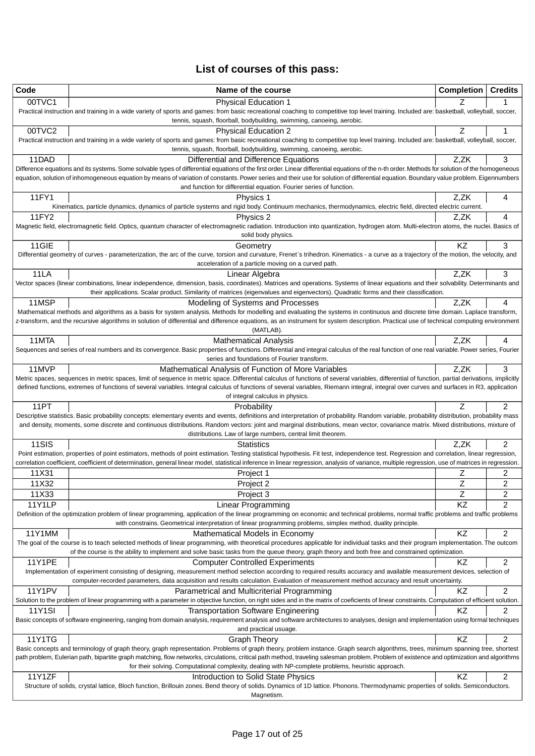# **List of courses of this pass:**

| 00TVC1<br><b>Physical Education 1</b><br>Practical instruction and training in a wide variety of sports and games: from basic recreational coaching to competitive top level training. Included are: basketball, volleyball, soccer,<br>tennis, squash, floorball, bodybuilding, swimming, canoeing, aerobic.<br>00TVC2<br>Z<br><b>Physical Education 2</b><br>1<br>Practical instruction and training in a wide variety of sports and games: from basic recreational coaching to competitive top level training. Included are: basketball, volleyball, soccer,<br>tennis, squash, floorball, bodybuilding, swimming, canoeing, aerobic.<br>11DAD<br>Differential and Difference Equations<br>Z,ZK<br>3<br>Difference equations and its systems. Some solvable types of differential equations of the first order. Linear differential equations of the n-th order. Methods for solution of the homogeneous<br>equation, solution of inhomogeneous equation by means of variation of constants. Power series and their use for solution of differential equation. Boundary value problem. Eigennumbers<br>and function for differential equation. Fourier series of function.<br>11FY1<br>Z,ZK<br>Physics 1<br>4<br>Kinematics, particle dynamics, dynamics of particle systems and rigid body. Continuum mechanics, thermodynamics, electric field, directed electric current.<br>11FY2<br>Physics 2<br>Z.ZK<br>4<br>Magnetic field, electromagnetic field. Optics, quantum character of electromagnetic radiation. Introduction into quantization, hydrogen atom. Multi-electron atoms, the nuclei. Basics of<br>solid body physics.<br>KZ<br>11GIE<br>3<br>Geometry<br>Differential geometry of curves - parameterization, the arc of the curve, torsion and curvature, Frenet's trihedron. Kinematics - a curve as a trajectory of the motion, the velocity, and<br>acceleration of a particle moving on a curved path.<br>Z,ZK<br>11LA<br>3<br>Linear Algebra<br>Vector spaces (linear combinations, linear independence, dimension, basis, coordinates). Matrices and operations. Systems of linear equations and their solvability. Determinants and<br>their applications. Scalar product. Similarity of matrices (eigenvalues and eigenvectors). Quadratic forms and their classification.<br>11MSP<br>Modeling of Systems and Processes<br>Z,ZK<br>4<br>Mathematical methods and algorithms as a basis for system analysis. Methods for modelling and evaluating the systems in continuous and discrete time domain. Laplace transform,<br>z-transform, and the recursive algorithms in solution of differential and difference equations, as an instrument for system description. Practical use of technical computing environment<br>(MATLAB).<br>11MTA<br><b>Mathematical Analysis</b><br>Z,ZK<br>4<br>Sequences and series of real numbers and its convergence. Basic properties of functions. Differential and integral calculus of the real function of one real variable. Power series, Fourier<br>series and foundations of Fourier transform.<br>11MVP<br>Z,ZK<br>3<br>Mathematical Analysis of Function of More Variables<br>Metric spaces, sequences in metric spaces, limit of sequence in metric space. Differential calculus of functions of several variables, differential of function, partial derivations, implicitly<br>defined functions, extremes of functions of several variables. Integral calculus of functions of several variables, Riemann integral, integral over curves and surfaces in R3, application<br>of integral calculus in physics.<br>11PT<br>2<br>Probability<br>Descriptive statistics. Basic probability concepts: elementary events and events, definitions and interpretation of probability. Random variable, probability distribution, probability mass<br>and density, moments, some discrete and continuous distributions. Random vectors: joint and marginal distributions, mean vector, covariance matrix. Mixed distributions, mixture of<br>distributions. Law of large numbers, central limit theorem.<br>11SIS<br>$\overline{2}$<br><b>Statistics</b><br>Z.ZK<br>Point estimation, properties of point estimators, methods of point estimation. Testing statistical hypothesis. Fit test, independence test. Regression and correlation, linear regression,<br>correlation coefficient, coefficient of determination, general linear model, statistical inference in linear regression, analysis of variance, multiple regression, use of matrices in regression.<br>11X31<br>Ζ<br>2<br>Project 1<br>Z<br>$\overline{c}$<br>11X32<br>Project 2<br>Ζ<br>2<br>11X33<br>Project 3<br><b>11Y1LP</b><br><b>Linear Programming</b><br>KZ<br>2<br>Definition of the optimization problem of linear programming, application of the linear programming on economic and technical problems, normal traffic problems and traffic problems<br>with constrains. Geometrical interpretation of linear programming problems, simplex method, duality principle.<br>KZ<br>$\overline{\mathbf{c}}$<br>11Y1MM<br>Mathematical Models in Economy<br>The goal of the course is to teach selected methods of linear programming, with theoretical procedures applicable for individual tasks and their program implementation. The outcom<br>of the course is the ability to implement and solve basic tasks from the queue theory, graph theory and both free and constrained optimization.<br>2<br>11Y1PE<br>KZ<br><b>Computer Controlled Experiments</b><br>Implementation of experiment consisting of designing, measurement method selection according to required results accuracy and available measurement devices, selection of<br>computer-recorded parameters, data acquisition and results calculation. Evaluation of measurement method accuracy and result uncertainty.<br><b>11Y1PV</b><br>2<br>KZ<br>Parametrical and Multicriterial Programming<br>Solution to the problem of linear programming with a parameter in objective function, on right sides and in the matrix of coeficients of linear constraints. Computation of efficient solution.<br>$\overline{2}$<br>11Y1SI<br>ΚZ<br>Transportation Software Engineering<br>Basic concepts of software engineering, ranging from domain analysis, requirement analysis and software architectures to analyses, design and implementation using formal techniques<br>and practical usuage.<br>11Y1TG<br>KZ<br>2<br><b>Graph Theory</b><br>Basic concepts and terminology of graph theory, graph representation. Problems of graph theory, problem instance. Graph search algorithms, trees, minimum spanning tree, shortest<br>path problem, Eulerian path, bipartite graph matching, flow networks, circulations, critical path method, traveling salesman problem. Problem of existence and optimization and algorithms<br>for their solving. Computational complexity, dealing with NP-complete problems, heuristic approach.<br>11Y1ZF<br>2<br>KZ<br>Introduction to Solid State Physics<br>Structure of solids, crystal lattice, Bloch function, Brillouin zones. Bend theory of solids. Dynamics of 1D lattice. Phonons. Thermodynamic properties of solids. Semiconductors. | Code | Name of the course | <b>Completion</b> | <b>Credits</b> |
|----------------------------------------------------------------------------------------------------------------------------------------------------------------------------------------------------------------------------------------------------------------------------------------------------------------------------------------------------------------------------------------------------------------------------------------------------------------------------------------------------------------------------------------------------------------------------------------------------------------------------------------------------------------------------------------------------------------------------------------------------------------------------------------------------------------------------------------------------------------------------------------------------------------------------------------------------------------------------------------------------------------------------------------------------------------------------------------------------------------------------------------------------------------------------------------------------------------------------------------------------------------------------------------------------------------------------------------------------------------------------------------------------------------------------------------------------------------------------------------------------------------------------------------------------------------------------------------------------------------------------------------------------------------------------------------------------------------------------------------------------------------------------------------------------------------------------------------------------------------------------------------------------------------------------------------------------------------------------------------------------------------------------------------------------------------------------------------------------------------------------------------------------------------------------------------------------------------------------------------------------------------------------------------------------------------------------------------------------------------------------------------------------------------------------------------------------------------------------------------------------------------------------------------------------------------------------------------------------------------------------------------------------------------------------------------------------------------------------------------------------------------------------------------------------------------------------------------------------------------------------------------------------------------------------------------------------------------------------------------------------------------------------------------------------------------------------------------------------------------------------------------------------------------------------------------------------------------------------------------------------------------------------------------------------------------------------------------------------------------------------------------------------------------------------------------------------------------------------------------------------------------------------------------------------------------------------------------------------------------------------------------------------------------------------------------------------------------------------------------------------------------------------------------------------------------------------------------------------------------------------------------------------------------------------------------------------------------------------------------------------------------------------------------------------------------------------------------------------------------------------------------------------------------------------------------------------------------------------------------------------------------------------------------------------------------------------------------------------------------------------------------------------------------------------------------------------------------------------------------------------------------------------------------------------------------------------------------------------------------------------------------------------------------------------------------------------------------------------------------------------------------------------------------------------------------------------------------------------------------------------------------------------------------------------------------------------------------------------------------------------------------------------------------------------------------------------------------------------------------------------------------------------------------------------------------------------------------------------------------------------------------------------------------------------------------------------------------------------------------------------------------------------------------------------------------------------------------------------------------------------------------------------------------------------------------------------------------------------------------------------------------------------------------------------------------------------------------------------------------------------------------------------------------------------------------------------------------------------------------------------------------------------------------------------------------------------------------------------------------------------------------------------------------------------------------------------------------------------------------------------------------------------------------------------------------------------------------------------------------------------------------------------------------------------------------------------------------------------------------------------------------------------------------------------------------------------------------------------------------------------------------------------------------------------------------------------------------------------------------------------------------------------------------------------------------------------------------------------------------------------------------------------------------------------------------------------------------------------------------------------------------------------------------------------------------------------------------------------------------------------------------------------------------------------------------------------------------------------------------------------------------------------------------------------------------------------|------|--------------------|-------------------|----------------|
|                                                                                                                                                                                                                                                                                                                                                                                                                                                                                                                                                                                                                                                                                                                                                                                                                                                                                                                                                                                                                                                                                                                                                                                                                                                                                                                                                                                                                                                                                                                                                                                                                                                                                                                                                                                                                                                                                                                                                                                                                                                                                                                                                                                                                                                                                                                                                                                                                                                                                                                                                                                                                                                                                                                                                                                                                                                                                                                                                                                                                                                                                                                                                                                                                                                                                                                                                                                                                                                                                                                                                                                                                                                                                                                                                                                                                                                                                                                                                                                                                                                                                                                                                                                                                                                                                                                                                                                                                                                                                                                                                                                                                                                                                                                                                                                                                                                                                                                                                                                                                                                                                                                                                                                                                                                                                                                                                                                                                                                                                                                                                                                                                                                                                                                                                                                                                                                                                                                                                                                                                                                                                                                                                                                                                                                                                                                                                                                                                                                                                                                                                                                                                                                                                                                                                                                                                                                                                                                                                                                                                                                                                                                                                                                                    |      |                    |                   |                |
|                                                                                                                                                                                                                                                                                                                                                                                                                                                                                                                                                                                                                                                                                                                                                                                                                                                                                                                                                                                                                                                                                                                                                                                                                                                                                                                                                                                                                                                                                                                                                                                                                                                                                                                                                                                                                                                                                                                                                                                                                                                                                                                                                                                                                                                                                                                                                                                                                                                                                                                                                                                                                                                                                                                                                                                                                                                                                                                                                                                                                                                                                                                                                                                                                                                                                                                                                                                                                                                                                                                                                                                                                                                                                                                                                                                                                                                                                                                                                                                                                                                                                                                                                                                                                                                                                                                                                                                                                                                                                                                                                                                                                                                                                                                                                                                                                                                                                                                                                                                                                                                                                                                                                                                                                                                                                                                                                                                                                                                                                                                                                                                                                                                                                                                                                                                                                                                                                                                                                                                                                                                                                                                                                                                                                                                                                                                                                                                                                                                                                                                                                                                                                                                                                                                                                                                                                                                                                                                                                                                                                                                                                                                                                                                                    |      |                    |                   |                |
|                                                                                                                                                                                                                                                                                                                                                                                                                                                                                                                                                                                                                                                                                                                                                                                                                                                                                                                                                                                                                                                                                                                                                                                                                                                                                                                                                                                                                                                                                                                                                                                                                                                                                                                                                                                                                                                                                                                                                                                                                                                                                                                                                                                                                                                                                                                                                                                                                                                                                                                                                                                                                                                                                                                                                                                                                                                                                                                                                                                                                                                                                                                                                                                                                                                                                                                                                                                                                                                                                                                                                                                                                                                                                                                                                                                                                                                                                                                                                                                                                                                                                                                                                                                                                                                                                                                                                                                                                                                                                                                                                                                                                                                                                                                                                                                                                                                                                                                                                                                                                                                                                                                                                                                                                                                                                                                                                                                                                                                                                                                                                                                                                                                                                                                                                                                                                                                                                                                                                                                                                                                                                                                                                                                                                                                                                                                                                                                                                                                                                                                                                                                                                                                                                                                                                                                                                                                                                                                                                                                                                                                                                                                                                                                                    |      |                    |                   |                |
|                                                                                                                                                                                                                                                                                                                                                                                                                                                                                                                                                                                                                                                                                                                                                                                                                                                                                                                                                                                                                                                                                                                                                                                                                                                                                                                                                                                                                                                                                                                                                                                                                                                                                                                                                                                                                                                                                                                                                                                                                                                                                                                                                                                                                                                                                                                                                                                                                                                                                                                                                                                                                                                                                                                                                                                                                                                                                                                                                                                                                                                                                                                                                                                                                                                                                                                                                                                                                                                                                                                                                                                                                                                                                                                                                                                                                                                                                                                                                                                                                                                                                                                                                                                                                                                                                                                                                                                                                                                                                                                                                                                                                                                                                                                                                                                                                                                                                                                                                                                                                                                                                                                                                                                                                                                                                                                                                                                                                                                                                                                                                                                                                                                                                                                                                                                                                                                                                                                                                                                                                                                                                                                                                                                                                                                                                                                                                                                                                                                                                                                                                                                                                                                                                                                                                                                                                                                                                                                                                                                                                                                                                                                                                                                                    |      |                    |                   |                |
|                                                                                                                                                                                                                                                                                                                                                                                                                                                                                                                                                                                                                                                                                                                                                                                                                                                                                                                                                                                                                                                                                                                                                                                                                                                                                                                                                                                                                                                                                                                                                                                                                                                                                                                                                                                                                                                                                                                                                                                                                                                                                                                                                                                                                                                                                                                                                                                                                                                                                                                                                                                                                                                                                                                                                                                                                                                                                                                                                                                                                                                                                                                                                                                                                                                                                                                                                                                                                                                                                                                                                                                                                                                                                                                                                                                                                                                                                                                                                                                                                                                                                                                                                                                                                                                                                                                                                                                                                                                                                                                                                                                                                                                                                                                                                                                                                                                                                                                                                                                                                                                                                                                                                                                                                                                                                                                                                                                                                                                                                                                                                                                                                                                                                                                                                                                                                                                                                                                                                                                                                                                                                                                                                                                                                                                                                                                                                                                                                                                                                                                                                                                                                                                                                                                                                                                                                                                                                                                                                                                                                                                                                                                                                                                                    |      |                    |                   |                |
|                                                                                                                                                                                                                                                                                                                                                                                                                                                                                                                                                                                                                                                                                                                                                                                                                                                                                                                                                                                                                                                                                                                                                                                                                                                                                                                                                                                                                                                                                                                                                                                                                                                                                                                                                                                                                                                                                                                                                                                                                                                                                                                                                                                                                                                                                                                                                                                                                                                                                                                                                                                                                                                                                                                                                                                                                                                                                                                                                                                                                                                                                                                                                                                                                                                                                                                                                                                                                                                                                                                                                                                                                                                                                                                                                                                                                                                                                                                                                                                                                                                                                                                                                                                                                                                                                                                                                                                                                                                                                                                                                                                                                                                                                                                                                                                                                                                                                                                                                                                                                                                                                                                                                                                                                                                                                                                                                                                                                                                                                                                                                                                                                                                                                                                                                                                                                                                                                                                                                                                                                                                                                                                                                                                                                                                                                                                                                                                                                                                                                                                                                                                                                                                                                                                                                                                                                                                                                                                                                                                                                                                                                                                                                                                                    |      |                    |                   |                |
|                                                                                                                                                                                                                                                                                                                                                                                                                                                                                                                                                                                                                                                                                                                                                                                                                                                                                                                                                                                                                                                                                                                                                                                                                                                                                                                                                                                                                                                                                                                                                                                                                                                                                                                                                                                                                                                                                                                                                                                                                                                                                                                                                                                                                                                                                                                                                                                                                                                                                                                                                                                                                                                                                                                                                                                                                                                                                                                                                                                                                                                                                                                                                                                                                                                                                                                                                                                                                                                                                                                                                                                                                                                                                                                                                                                                                                                                                                                                                                                                                                                                                                                                                                                                                                                                                                                                                                                                                                                                                                                                                                                                                                                                                                                                                                                                                                                                                                                                                                                                                                                                                                                                                                                                                                                                                                                                                                                                                                                                                                                                                                                                                                                                                                                                                                                                                                                                                                                                                                                                                                                                                                                                                                                                                                                                                                                                                                                                                                                                                                                                                                                                                                                                                                                                                                                                                                                                                                                                                                                                                                                                                                                                                                                                    |      |                    |                   |                |
|                                                                                                                                                                                                                                                                                                                                                                                                                                                                                                                                                                                                                                                                                                                                                                                                                                                                                                                                                                                                                                                                                                                                                                                                                                                                                                                                                                                                                                                                                                                                                                                                                                                                                                                                                                                                                                                                                                                                                                                                                                                                                                                                                                                                                                                                                                                                                                                                                                                                                                                                                                                                                                                                                                                                                                                                                                                                                                                                                                                                                                                                                                                                                                                                                                                                                                                                                                                                                                                                                                                                                                                                                                                                                                                                                                                                                                                                                                                                                                                                                                                                                                                                                                                                                                                                                                                                                                                                                                                                                                                                                                                                                                                                                                                                                                                                                                                                                                                                                                                                                                                                                                                                                                                                                                                                                                                                                                                                                                                                                                                                                                                                                                                                                                                                                                                                                                                                                                                                                                                                                                                                                                                                                                                                                                                                                                                                                                                                                                                                                                                                                                                                                                                                                                                                                                                                                                                                                                                                                                                                                                                                                                                                                                                                    |      |                    |                   |                |
|                                                                                                                                                                                                                                                                                                                                                                                                                                                                                                                                                                                                                                                                                                                                                                                                                                                                                                                                                                                                                                                                                                                                                                                                                                                                                                                                                                                                                                                                                                                                                                                                                                                                                                                                                                                                                                                                                                                                                                                                                                                                                                                                                                                                                                                                                                                                                                                                                                                                                                                                                                                                                                                                                                                                                                                                                                                                                                                                                                                                                                                                                                                                                                                                                                                                                                                                                                                                                                                                                                                                                                                                                                                                                                                                                                                                                                                                                                                                                                                                                                                                                                                                                                                                                                                                                                                                                                                                                                                                                                                                                                                                                                                                                                                                                                                                                                                                                                                                                                                                                                                                                                                                                                                                                                                                                                                                                                                                                                                                                                                                                                                                                                                                                                                                                                                                                                                                                                                                                                                                                                                                                                                                                                                                                                                                                                                                                                                                                                                                                                                                                                                                                                                                                                                                                                                                                                                                                                                                                                                                                                                                                                                                                                                                    |      |                    |                   |                |
|                                                                                                                                                                                                                                                                                                                                                                                                                                                                                                                                                                                                                                                                                                                                                                                                                                                                                                                                                                                                                                                                                                                                                                                                                                                                                                                                                                                                                                                                                                                                                                                                                                                                                                                                                                                                                                                                                                                                                                                                                                                                                                                                                                                                                                                                                                                                                                                                                                                                                                                                                                                                                                                                                                                                                                                                                                                                                                                                                                                                                                                                                                                                                                                                                                                                                                                                                                                                                                                                                                                                                                                                                                                                                                                                                                                                                                                                                                                                                                                                                                                                                                                                                                                                                                                                                                                                                                                                                                                                                                                                                                                                                                                                                                                                                                                                                                                                                                                                                                                                                                                                                                                                                                                                                                                                                                                                                                                                                                                                                                                                                                                                                                                                                                                                                                                                                                                                                                                                                                                                                                                                                                                                                                                                                                                                                                                                                                                                                                                                                                                                                                                                                                                                                                                                                                                                                                                                                                                                                                                                                                                                                                                                                                                                    |      |                    |                   |                |
|                                                                                                                                                                                                                                                                                                                                                                                                                                                                                                                                                                                                                                                                                                                                                                                                                                                                                                                                                                                                                                                                                                                                                                                                                                                                                                                                                                                                                                                                                                                                                                                                                                                                                                                                                                                                                                                                                                                                                                                                                                                                                                                                                                                                                                                                                                                                                                                                                                                                                                                                                                                                                                                                                                                                                                                                                                                                                                                                                                                                                                                                                                                                                                                                                                                                                                                                                                                                                                                                                                                                                                                                                                                                                                                                                                                                                                                                                                                                                                                                                                                                                                                                                                                                                                                                                                                                                                                                                                                                                                                                                                                                                                                                                                                                                                                                                                                                                                                                                                                                                                                                                                                                                                                                                                                                                                                                                                                                                                                                                                                                                                                                                                                                                                                                                                                                                                                                                                                                                                                                                                                                                                                                                                                                                                                                                                                                                                                                                                                                                                                                                                                                                                                                                                                                                                                                                                                                                                                                                                                                                                                                                                                                                                                                    |      |                    |                   |                |
|                                                                                                                                                                                                                                                                                                                                                                                                                                                                                                                                                                                                                                                                                                                                                                                                                                                                                                                                                                                                                                                                                                                                                                                                                                                                                                                                                                                                                                                                                                                                                                                                                                                                                                                                                                                                                                                                                                                                                                                                                                                                                                                                                                                                                                                                                                                                                                                                                                                                                                                                                                                                                                                                                                                                                                                                                                                                                                                                                                                                                                                                                                                                                                                                                                                                                                                                                                                                                                                                                                                                                                                                                                                                                                                                                                                                                                                                                                                                                                                                                                                                                                                                                                                                                                                                                                                                                                                                                                                                                                                                                                                                                                                                                                                                                                                                                                                                                                                                                                                                                                                                                                                                                                                                                                                                                                                                                                                                                                                                                                                                                                                                                                                                                                                                                                                                                                                                                                                                                                                                                                                                                                                                                                                                                                                                                                                                                                                                                                                                                                                                                                                                                                                                                                                                                                                                                                                                                                                                                                                                                                                                                                                                                                                                    |      |                    |                   |                |
|                                                                                                                                                                                                                                                                                                                                                                                                                                                                                                                                                                                                                                                                                                                                                                                                                                                                                                                                                                                                                                                                                                                                                                                                                                                                                                                                                                                                                                                                                                                                                                                                                                                                                                                                                                                                                                                                                                                                                                                                                                                                                                                                                                                                                                                                                                                                                                                                                                                                                                                                                                                                                                                                                                                                                                                                                                                                                                                                                                                                                                                                                                                                                                                                                                                                                                                                                                                                                                                                                                                                                                                                                                                                                                                                                                                                                                                                                                                                                                                                                                                                                                                                                                                                                                                                                                                                                                                                                                                                                                                                                                                                                                                                                                                                                                                                                                                                                                                                                                                                                                                                                                                                                                                                                                                                                                                                                                                                                                                                                                                                                                                                                                                                                                                                                                                                                                                                                                                                                                                                                                                                                                                                                                                                                                                                                                                                                                                                                                                                                                                                                                                                                                                                                                                                                                                                                                                                                                                                                                                                                                                                                                                                                                                                    |      |                    |                   |                |
|                                                                                                                                                                                                                                                                                                                                                                                                                                                                                                                                                                                                                                                                                                                                                                                                                                                                                                                                                                                                                                                                                                                                                                                                                                                                                                                                                                                                                                                                                                                                                                                                                                                                                                                                                                                                                                                                                                                                                                                                                                                                                                                                                                                                                                                                                                                                                                                                                                                                                                                                                                                                                                                                                                                                                                                                                                                                                                                                                                                                                                                                                                                                                                                                                                                                                                                                                                                                                                                                                                                                                                                                                                                                                                                                                                                                                                                                                                                                                                                                                                                                                                                                                                                                                                                                                                                                                                                                                                                                                                                                                                                                                                                                                                                                                                                                                                                                                                                                                                                                                                                                                                                                                                                                                                                                                                                                                                                                                                                                                                                                                                                                                                                                                                                                                                                                                                                                                                                                                                                                                                                                                                                                                                                                                                                                                                                                                                                                                                                                                                                                                                                                                                                                                                                                                                                                                                                                                                                                                                                                                                                                                                                                                                                                    |      |                    |                   |                |
|                                                                                                                                                                                                                                                                                                                                                                                                                                                                                                                                                                                                                                                                                                                                                                                                                                                                                                                                                                                                                                                                                                                                                                                                                                                                                                                                                                                                                                                                                                                                                                                                                                                                                                                                                                                                                                                                                                                                                                                                                                                                                                                                                                                                                                                                                                                                                                                                                                                                                                                                                                                                                                                                                                                                                                                                                                                                                                                                                                                                                                                                                                                                                                                                                                                                                                                                                                                                                                                                                                                                                                                                                                                                                                                                                                                                                                                                                                                                                                                                                                                                                                                                                                                                                                                                                                                                                                                                                                                                                                                                                                                                                                                                                                                                                                                                                                                                                                                                                                                                                                                                                                                                                                                                                                                                                                                                                                                                                                                                                                                                                                                                                                                                                                                                                                                                                                                                                                                                                                                                                                                                                                                                                                                                                                                                                                                                                                                                                                                                                                                                                                                                                                                                                                                                                                                                                                                                                                                                                                                                                                                                                                                                                                                                    |      |                    |                   |                |
|                                                                                                                                                                                                                                                                                                                                                                                                                                                                                                                                                                                                                                                                                                                                                                                                                                                                                                                                                                                                                                                                                                                                                                                                                                                                                                                                                                                                                                                                                                                                                                                                                                                                                                                                                                                                                                                                                                                                                                                                                                                                                                                                                                                                                                                                                                                                                                                                                                                                                                                                                                                                                                                                                                                                                                                                                                                                                                                                                                                                                                                                                                                                                                                                                                                                                                                                                                                                                                                                                                                                                                                                                                                                                                                                                                                                                                                                                                                                                                                                                                                                                                                                                                                                                                                                                                                                                                                                                                                                                                                                                                                                                                                                                                                                                                                                                                                                                                                                                                                                                                                                                                                                                                                                                                                                                                                                                                                                                                                                                                                                                                                                                                                                                                                                                                                                                                                                                                                                                                                                                                                                                                                                                                                                                                                                                                                                                                                                                                                                                                                                                                                                                                                                                                                                                                                                                                                                                                                                                                                                                                                                                                                                                                                                    |      |                    |                   |                |
|                                                                                                                                                                                                                                                                                                                                                                                                                                                                                                                                                                                                                                                                                                                                                                                                                                                                                                                                                                                                                                                                                                                                                                                                                                                                                                                                                                                                                                                                                                                                                                                                                                                                                                                                                                                                                                                                                                                                                                                                                                                                                                                                                                                                                                                                                                                                                                                                                                                                                                                                                                                                                                                                                                                                                                                                                                                                                                                                                                                                                                                                                                                                                                                                                                                                                                                                                                                                                                                                                                                                                                                                                                                                                                                                                                                                                                                                                                                                                                                                                                                                                                                                                                                                                                                                                                                                                                                                                                                                                                                                                                                                                                                                                                                                                                                                                                                                                                                                                                                                                                                                                                                                                                                                                                                                                                                                                                                                                                                                                                                                                                                                                                                                                                                                                                                                                                                                                                                                                                                                                                                                                                                                                                                                                                                                                                                                                                                                                                                                                                                                                                                                                                                                                                                                                                                                                                                                                                                                                                                                                                                                                                                                                                                                    |      |                    |                   |                |
|                                                                                                                                                                                                                                                                                                                                                                                                                                                                                                                                                                                                                                                                                                                                                                                                                                                                                                                                                                                                                                                                                                                                                                                                                                                                                                                                                                                                                                                                                                                                                                                                                                                                                                                                                                                                                                                                                                                                                                                                                                                                                                                                                                                                                                                                                                                                                                                                                                                                                                                                                                                                                                                                                                                                                                                                                                                                                                                                                                                                                                                                                                                                                                                                                                                                                                                                                                                                                                                                                                                                                                                                                                                                                                                                                                                                                                                                                                                                                                                                                                                                                                                                                                                                                                                                                                                                                                                                                                                                                                                                                                                                                                                                                                                                                                                                                                                                                                                                                                                                                                                                                                                                                                                                                                                                                                                                                                                                                                                                                                                                                                                                                                                                                                                                                                                                                                                                                                                                                                                                                                                                                                                                                                                                                                                                                                                                                                                                                                                                                                                                                                                                                                                                                                                                                                                                                                                                                                                                                                                                                                                                                                                                                                                                    |      |                    |                   |                |
|                                                                                                                                                                                                                                                                                                                                                                                                                                                                                                                                                                                                                                                                                                                                                                                                                                                                                                                                                                                                                                                                                                                                                                                                                                                                                                                                                                                                                                                                                                                                                                                                                                                                                                                                                                                                                                                                                                                                                                                                                                                                                                                                                                                                                                                                                                                                                                                                                                                                                                                                                                                                                                                                                                                                                                                                                                                                                                                                                                                                                                                                                                                                                                                                                                                                                                                                                                                                                                                                                                                                                                                                                                                                                                                                                                                                                                                                                                                                                                                                                                                                                                                                                                                                                                                                                                                                                                                                                                                                                                                                                                                                                                                                                                                                                                                                                                                                                                                                                                                                                                                                                                                                                                                                                                                                                                                                                                                                                                                                                                                                                                                                                                                                                                                                                                                                                                                                                                                                                                                                                                                                                                                                                                                                                                                                                                                                                                                                                                                                                                                                                                                                                                                                                                                                                                                                                                                                                                                                                                                                                                                                                                                                                                                                    |      |                    |                   |                |
|                                                                                                                                                                                                                                                                                                                                                                                                                                                                                                                                                                                                                                                                                                                                                                                                                                                                                                                                                                                                                                                                                                                                                                                                                                                                                                                                                                                                                                                                                                                                                                                                                                                                                                                                                                                                                                                                                                                                                                                                                                                                                                                                                                                                                                                                                                                                                                                                                                                                                                                                                                                                                                                                                                                                                                                                                                                                                                                                                                                                                                                                                                                                                                                                                                                                                                                                                                                                                                                                                                                                                                                                                                                                                                                                                                                                                                                                                                                                                                                                                                                                                                                                                                                                                                                                                                                                                                                                                                                                                                                                                                                                                                                                                                                                                                                                                                                                                                                                                                                                                                                                                                                                                                                                                                                                                                                                                                                                                                                                                                                                                                                                                                                                                                                                                                                                                                                                                                                                                                                                                                                                                                                                                                                                                                                                                                                                                                                                                                                                                                                                                                                                                                                                                                                                                                                                                                                                                                                                                                                                                                                                                                                                                                                                    |      |                    |                   |                |
|                                                                                                                                                                                                                                                                                                                                                                                                                                                                                                                                                                                                                                                                                                                                                                                                                                                                                                                                                                                                                                                                                                                                                                                                                                                                                                                                                                                                                                                                                                                                                                                                                                                                                                                                                                                                                                                                                                                                                                                                                                                                                                                                                                                                                                                                                                                                                                                                                                                                                                                                                                                                                                                                                                                                                                                                                                                                                                                                                                                                                                                                                                                                                                                                                                                                                                                                                                                                                                                                                                                                                                                                                                                                                                                                                                                                                                                                                                                                                                                                                                                                                                                                                                                                                                                                                                                                                                                                                                                                                                                                                                                                                                                                                                                                                                                                                                                                                                                                                                                                                                                                                                                                                                                                                                                                                                                                                                                                                                                                                                                                                                                                                                                                                                                                                                                                                                                                                                                                                                                                                                                                                                                                                                                                                                                                                                                                                                                                                                                                                                                                                                                                                                                                                                                                                                                                                                                                                                                                                                                                                                                                                                                                                                                                    |      |                    |                   |                |
|                                                                                                                                                                                                                                                                                                                                                                                                                                                                                                                                                                                                                                                                                                                                                                                                                                                                                                                                                                                                                                                                                                                                                                                                                                                                                                                                                                                                                                                                                                                                                                                                                                                                                                                                                                                                                                                                                                                                                                                                                                                                                                                                                                                                                                                                                                                                                                                                                                                                                                                                                                                                                                                                                                                                                                                                                                                                                                                                                                                                                                                                                                                                                                                                                                                                                                                                                                                                                                                                                                                                                                                                                                                                                                                                                                                                                                                                                                                                                                                                                                                                                                                                                                                                                                                                                                                                                                                                                                                                                                                                                                                                                                                                                                                                                                                                                                                                                                                                                                                                                                                                                                                                                                                                                                                                                                                                                                                                                                                                                                                                                                                                                                                                                                                                                                                                                                                                                                                                                                                                                                                                                                                                                                                                                                                                                                                                                                                                                                                                                                                                                                                                                                                                                                                                                                                                                                                                                                                                                                                                                                                                                                                                                                                                    |      |                    |                   |                |
|                                                                                                                                                                                                                                                                                                                                                                                                                                                                                                                                                                                                                                                                                                                                                                                                                                                                                                                                                                                                                                                                                                                                                                                                                                                                                                                                                                                                                                                                                                                                                                                                                                                                                                                                                                                                                                                                                                                                                                                                                                                                                                                                                                                                                                                                                                                                                                                                                                                                                                                                                                                                                                                                                                                                                                                                                                                                                                                                                                                                                                                                                                                                                                                                                                                                                                                                                                                                                                                                                                                                                                                                                                                                                                                                                                                                                                                                                                                                                                                                                                                                                                                                                                                                                                                                                                                                                                                                                                                                                                                                                                                                                                                                                                                                                                                                                                                                                                                                                                                                                                                                                                                                                                                                                                                                                                                                                                                                                                                                                                                                                                                                                                                                                                                                                                                                                                                                                                                                                                                                                                                                                                                                                                                                                                                                                                                                                                                                                                                                                                                                                                                                                                                                                                                                                                                                                                                                                                                                                                                                                                                                                                                                                                                                    |      |                    |                   |                |
|                                                                                                                                                                                                                                                                                                                                                                                                                                                                                                                                                                                                                                                                                                                                                                                                                                                                                                                                                                                                                                                                                                                                                                                                                                                                                                                                                                                                                                                                                                                                                                                                                                                                                                                                                                                                                                                                                                                                                                                                                                                                                                                                                                                                                                                                                                                                                                                                                                                                                                                                                                                                                                                                                                                                                                                                                                                                                                                                                                                                                                                                                                                                                                                                                                                                                                                                                                                                                                                                                                                                                                                                                                                                                                                                                                                                                                                                                                                                                                                                                                                                                                                                                                                                                                                                                                                                                                                                                                                                                                                                                                                                                                                                                                                                                                                                                                                                                                                                                                                                                                                                                                                                                                                                                                                                                                                                                                                                                                                                                                                                                                                                                                                                                                                                                                                                                                                                                                                                                                                                                                                                                                                                                                                                                                                                                                                                                                                                                                                                                                                                                                                                                                                                                                                                                                                                                                                                                                                                                                                                                                                                                                                                                                                                    |      |                    |                   |                |
|                                                                                                                                                                                                                                                                                                                                                                                                                                                                                                                                                                                                                                                                                                                                                                                                                                                                                                                                                                                                                                                                                                                                                                                                                                                                                                                                                                                                                                                                                                                                                                                                                                                                                                                                                                                                                                                                                                                                                                                                                                                                                                                                                                                                                                                                                                                                                                                                                                                                                                                                                                                                                                                                                                                                                                                                                                                                                                                                                                                                                                                                                                                                                                                                                                                                                                                                                                                                                                                                                                                                                                                                                                                                                                                                                                                                                                                                                                                                                                                                                                                                                                                                                                                                                                                                                                                                                                                                                                                                                                                                                                                                                                                                                                                                                                                                                                                                                                                                                                                                                                                                                                                                                                                                                                                                                                                                                                                                                                                                                                                                                                                                                                                                                                                                                                                                                                                                                                                                                                                                                                                                                                                                                                                                                                                                                                                                                                                                                                                                                                                                                                                                                                                                                                                                                                                                                                                                                                                                                                                                                                                                                                                                                                                                    |      |                    |                   |                |
|                                                                                                                                                                                                                                                                                                                                                                                                                                                                                                                                                                                                                                                                                                                                                                                                                                                                                                                                                                                                                                                                                                                                                                                                                                                                                                                                                                                                                                                                                                                                                                                                                                                                                                                                                                                                                                                                                                                                                                                                                                                                                                                                                                                                                                                                                                                                                                                                                                                                                                                                                                                                                                                                                                                                                                                                                                                                                                                                                                                                                                                                                                                                                                                                                                                                                                                                                                                                                                                                                                                                                                                                                                                                                                                                                                                                                                                                                                                                                                                                                                                                                                                                                                                                                                                                                                                                                                                                                                                                                                                                                                                                                                                                                                                                                                                                                                                                                                                                                                                                                                                                                                                                                                                                                                                                                                                                                                                                                                                                                                                                                                                                                                                                                                                                                                                                                                                                                                                                                                                                                                                                                                                                                                                                                                                                                                                                                                                                                                                                                                                                                                                                                                                                                                                                                                                                                                                                                                                                                                                                                                                                                                                                                                                                    |      |                    |                   |                |
|                                                                                                                                                                                                                                                                                                                                                                                                                                                                                                                                                                                                                                                                                                                                                                                                                                                                                                                                                                                                                                                                                                                                                                                                                                                                                                                                                                                                                                                                                                                                                                                                                                                                                                                                                                                                                                                                                                                                                                                                                                                                                                                                                                                                                                                                                                                                                                                                                                                                                                                                                                                                                                                                                                                                                                                                                                                                                                                                                                                                                                                                                                                                                                                                                                                                                                                                                                                                                                                                                                                                                                                                                                                                                                                                                                                                                                                                                                                                                                                                                                                                                                                                                                                                                                                                                                                                                                                                                                                                                                                                                                                                                                                                                                                                                                                                                                                                                                                                                                                                                                                                                                                                                                                                                                                                                                                                                                                                                                                                                                                                                                                                                                                                                                                                                                                                                                                                                                                                                                                                                                                                                                                                                                                                                                                                                                                                                                                                                                                                                                                                                                                                                                                                                                                                                                                                                                                                                                                                                                                                                                                                                                                                                                                                    |      |                    |                   |                |
|                                                                                                                                                                                                                                                                                                                                                                                                                                                                                                                                                                                                                                                                                                                                                                                                                                                                                                                                                                                                                                                                                                                                                                                                                                                                                                                                                                                                                                                                                                                                                                                                                                                                                                                                                                                                                                                                                                                                                                                                                                                                                                                                                                                                                                                                                                                                                                                                                                                                                                                                                                                                                                                                                                                                                                                                                                                                                                                                                                                                                                                                                                                                                                                                                                                                                                                                                                                                                                                                                                                                                                                                                                                                                                                                                                                                                                                                                                                                                                                                                                                                                                                                                                                                                                                                                                                                                                                                                                                                                                                                                                                                                                                                                                                                                                                                                                                                                                                                                                                                                                                                                                                                                                                                                                                                                                                                                                                                                                                                                                                                                                                                                                                                                                                                                                                                                                                                                                                                                                                                                                                                                                                                                                                                                                                                                                                                                                                                                                                                                                                                                                                                                                                                                                                                                                                                                                                                                                                                                                                                                                                                                                                                                                                                    |      |                    |                   |                |
|                                                                                                                                                                                                                                                                                                                                                                                                                                                                                                                                                                                                                                                                                                                                                                                                                                                                                                                                                                                                                                                                                                                                                                                                                                                                                                                                                                                                                                                                                                                                                                                                                                                                                                                                                                                                                                                                                                                                                                                                                                                                                                                                                                                                                                                                                                                                                                                                                                                                                                                                                                                                                                                                                                                                                                                                                                                                                                                                                                                                                                                                                                                                                                                                                                                                                                                                                                                                                                                                                                                                                                                                                                                                                                                                                                                                                                                                                                                                                                                                                                                                                                                                                                                                                                                                                                                                                                                                                                                                                                                                                                                                                                                                                                                                                                                                                                                                                                                                                                                                                                                                                                                                                                                                                                                                                                                                                                                                                                                                                                                                                                                                                                                                                                                                                                                                                                                                                                                                                                                                                                                                                                                                                                                                                                                                                                                                                                                                                                                                                                                                                                                                                                                                                                                                                                                                                                                                                                                                                                                                                                                                                                                                                                                                    |      |                    |                   |                |
|                                                                                                                                                                                                                                                                                                                                                                                                                                                                                                                                                                                                                                                                                                                                                                                                                                                                                                                                                                                                                                                                                                                                                                                                                                                                                                                                                                                                                                                                                                                                                                                                                                                                                                                                                                                                                                                                                                                                                                                                                                                                                                                                                                                                                                                                                                                                                                                                                                                                                                                                                                                                                                                                                                                                                                                                                                                                                                                                                                                                                                                                                                                                                                                                                                                                                                                                                                                                                                                                                                                                                                                                                                                                                                                                                                                                                                                                                                                                                                                                                                                                                                                                                                                                                                                                                                                                                                                                                                                                                                                                                                                                                                                                                                                                                                                                                                                                                                                                                                                                                                                                                                                                                                                                                                                                                                                                                                                                                                                                                                                                                                                                                                                                                                                                                                                                                                                                                                                                                                                                                                                                                                                                                                                                                                                                                                                                                                                                                                                                                                                                                                                                                                                                                                                                                                                                                                                                                                                                                                                                                                                                                                                                                                                                    |      |                    |                   |                |
|                                                                                                                                                                                                                                                                                                                                                                                                                                                                                                                                                                                                                                                                                                                                                                                                                                                                                                                                                                                                                                                                                                                                                                                                                                                                                                                                                                                                                                                                                                                                                                                                                                                                                                                                                                                                                                                                                                                                                                                                                                                                                                                                                                                                                                                                                                                                                                                                                                                                                                                                                                                                                                                                                                                                                                                                                                                                                                                                                                                                                                                                                                                                                                                                                                                                                                                                                                                                                                                                                                                                                                                                                                                                                                                                                                                                                                                                                                                                                                                                                                                                                                                                                                                                                                                                                                                                                                                                                                                                                                                                                                                                                                                                                                                                                                                                                                                                                                                                                                                                                                                                                                                                                                                                                                                                                                                                                                                                                                                                                                                                                                                                                                                                                                                                                                                                                                                                                                                                                                                                                                                                                                                                                                                                                                                                                                                                                                                                                                                                                                                                                                                                                                                                                                                                                                                                                                                                                                                                                                                                                                                                                                                                                                                                    |      |                    |                   |                |
|                                                                                                                                                                                                                                                                                                                                                                                                                                                                                                                                                                                                                                                                                                                                                                                                                                                                                                                                                                                                                                                                                                                                                                                                                                                                                                                                                                                                                                                                                                                                                                                                                                                                                                                                                                                                                                                                                                                                                                                                                                                                                                                                                                                                                                                                                                                                                                                                                                                                                                                                                                                                                                                                                                                                                                                                                                                                                                                                                                                                                                                                                                                                                                                                                                                                                                                                                                                                                                                                                                                                                                                                                                                                                                                                                                                                                                                                                                                                                                                                                                                                                                                                                                                                                                                                                                                                                                                                                                                                                                                                                                                                                                                                                                                                                                                                                                                                                                                                                                                                                                                                                                                                                                                                                                                                                                                                                                                                                                                                                                                                                                                                                                                                                                                                                                                                                                                                                                                                                                                                                                                                                                                                                                                                                                                                                                                                                                                                                                                                                                                                                                                                                                                                                                                                                                                                                                                                                                                                                                                                                                                                                                                                                                                                    |      |                    |                   |                |
|                                                                                                                                                                                                                                                                                                                                                                                                                                                                                                                                                                                                                                                                                                                                                                                                                                                                                                                                                                                                                                                                                                                                                                                                                                                                                                                                                                                                                                                                                                                                                                                                                                                                                                                                                                                                                                                                                                                                                                                                                                                                                                                                                                                                                                                                                                                                                                                                                                                                                                                                                                                                                                                                                                                                                                                                                                                                                                                                                                                                                                                                                                                                                                                                                                                                                                                                                                                                                                                                                                                                                                                                                                                                                                                                                                                                                                                                                                                                                                                                                                                                                                                                                                                                                                                                                                                                                                                                                                                                                                                                                                                                                                                                                                                                                                                                                                                                                                                                                                                                                                                                                                                                                                                                                                                                                                                                                                                                                                                                                                                                                                                                                                                                                                                                                                                                                                                                                                                                                                                                                                                                                                                                                                                                                                                                                                                                                                                                                                                                                                                                                                                                                                                                                                                                                                                                                                                                                                                                                                                                                                                                                                                                                                                                    |      |                    |                   |                |
|                                                                                                                                                                                                                                                                                                                                                                                                                                                                                                                                                                                                                                                                                                                                                                                                                                                                                                                                                                                                                                                                                                                                                                                                                                                                                                                                                                                                                                                                                                                                                                                                                                                                                                                                                                                                                                                                                                                                                                                                                                                                                                                                                                                                                                                                                                                                                                                                                                                                                                                                                                                                                                                                                                                                                                                                                                                                                                                                                                                                                                                                                                                                                                                                                                                                                                                                                                                                                                                                                                                                                                                                                                                                                                                                                                                                                                                                                                                                                                                                                                                                                                                                                                                                                                                                                                                                                                                                                                                                                                                                                                                                                                                                                                                                                                                                                                                                                                                                                                                                                                                                                                                                                                                                                                                                                                                                                                                                                                                                                                                                                                                                                                                                                                                                                                                                                                                                                                                                                                                                                                                                                                                                                                                                                                                                                                                                                                                                                                                                                                                                                                                                                                                                                                                                                                                                                                                                                                                                                                                                                                                                                                                                                                                                    |      |                    |                   |                |
|                                                                                                                                                                                                                                                                                                                                                                                                                                                                                                                                                                                                                                                                                                                                                                                                                                                                                                                                                                                                                                                                                                                                                                                                                                                                                                                                                                                                                                                                                                                                                                                                                                                                                                                                                                                                                                                                                                                                                                                                                                                                                                                                                                                                                                                                                                                                                                                                                                                                                                                                                                                                                                                                                                                                                                                                                                                                                                                                                                                                                                                                                                                                                                                                                                                                                                                                                                                                                                                                                                                                                                                                                                                                                                                                                                                                                                                                                                                                                                                                                                                                                                                                                                                                                                                                                                                                                                                                                                                                                                                                                                                                                                                                                                                                                                                                                                                                                                                                                                                                                                                                                                                                                                                                                                                                                                                                                                                                                                                                                                                                                                                                                                                                                                                                                                                                                                                                                                                                                                                                                                                                                                                                                                                                                                                                                                                                                                                                                                                                                                                                                                                                                                                                                                                                                                                                                                                                                                                                                                                                                                                                                                                                                                                                    |      |                    |                   |                |
|                                                                                                                                                                                                                                                                                                                                                                                                                                                                                                                                                                                                                                                                                                                                                                                                                                                                                                                                                                                                                                                                                                                                                                                                                                                                                                                                                                                                                                                                                                                                                                                                                                                                                                                                                                                                                                                                                                                                                                                                                                                                                                                                                                                                                                                                                                                                                                                                                                                                                                                                                                                                                                                                                                                                                                                                                                                                                                                                                                                                                                                                                                                                                                                                                                                                                                                                                                                                                                                                                                                                                                                                                                                                                                                                                                                                                                                                                                                                                                                                                                                                                                                                                                                                                                                                                                                                                                                                                                                                                                                                                                                                                                                                                                                                                                                                                                                                                                                                                                                                                                                                                                                                                                                                                                                                                                                                                                                                                                                                                                                                                                                                                                                                                                                                                                                                                                                                                                                                                                                                                                                                                                                                                                                                                                                                                                                                                                                                                                                                                                                                                                                                                                                                                                                                                                                                                                                                                                                                                                                                                                                                                                                                                                                                    |      |                    |                   |                |
|                                                                                                                                                                                                                                                                                                                                                                                                                                                                                                                                                                                                                                                                                                                                                                                                                                                                                                                                                                                                                                                                                                                                                                                                                                                                                                                                                                                                                                                                                                                                                                                                                                                                                                                                                                                                                                                                                                                                                                                                                                                                                                                                                                                                                                                                                                                                                                                                                                                                                                                                                                                                                                                                                                                                                                                                                                                                                                                                                                                                                                                                                                                                                                                                                                                                                                                                                                                                                                                                                                                                                                                                                                                                                                                                                                                                                                                                                                                                                                                                                                                                                                                                                                                                                                                                                                                                                                                                                                                                                                                                                                                                                                                                                                                                                                                                                                                                                                                                                                                                                                                                                                                                                                                                                                                                                                                                                                                                                                                                                                                                                                                                                                                                                                                                                                                                                                                                                                                                                                                                                                                                                                                                                                                                                                                                                                                                                                                                                                                                                                                                                                                                                                                                                                                                                                                                                                                                                                                                                                                                                                                                                                                                                                                                    |      |                    |                   |                |
|                                                                                                                                                                                                                                                                                                                                                                                                                                                                                                                                                                                                                                                                                                                                                                                                                                                                                                                                                                                                                                                                                                                                                                                                                                                                                                                                                                                                                                                                                                                                                                                                                                                                                                                                                                                                                                                                                                                                                                                                                                                                                                                                                                                                                                                                                                                                                                                                                                                                                                                                                                                                                                                                                                                                                                                                                                                                                                                                                                                                                                                                                                                                                                                                                                                                                                                                                                                                                                                                                                                                                                                                                                                                                                                                                                                                                                                                                                                                                                                                                                                                                                                                                                                                                                                                                                                                                                                                                                                                                                                                                                                                                                                                                                                                                                                                                                                                                                                                                                                                                                                                                                                                                                                                                                                                                                                                                                                                                                                                                                                                                                                                                                                                                                                                                                                                                                                                                                                                                                                                                                                                                                                                                                                                                                                                                                                                                                                                                                                                                                                                                                                                                                                                                                                                                                                                                                                                                                                                                                                                                                                                                                                                                                                                    |      |                    |                   |                |
|                                                                                                                                                                                                                                                                                                                                                                                                                                                                                                                                                                                                                                                                                                                                                                                                                                                                                                                                                                                                                                                                                                                                                                                                                                                                                                                                                                                                                                                                                                                                                                                                                                                                                                                                                                                                                                                                                                                                                                                                                                                                                                                                                                                                                                                                                                                                                                                                                                                                                                                                                                                                                                                                                                                                                                                                                                                                                                                                                                                                                                                                                                                                                                                                                                                                                                                                                                                                                                                                                                                                                                                                                                                                                                                                                                                                                                                                                                                                                                                                                                                                                                                                                                                                                                                                                                                                                                                                                                                                                                                                                                                                                                                                                                                                                                                                                                                                                                                                                                                                                                                                                                                                                                                                                                                                                                                                                                                                                                                                                                                                                                                                                                                                                                                                                                                                                                                                                                                                                                                                                                                                                                                                                                                                                                                                                                                                                                                                                                                                                                                                                                                                                                                                                                                                                                                                                                                                                                                                                                                                                                                                                                                                                                                                    |      |                    |                   |                |
|                                                                                                                                                                                                                                                                                                                                                                                                                                                                                                                                                                                                                                                                                                                                                                                                                                                                                                                                                                                                                                                                                                                                                                                                                                                                                                                                                                                                                                                                                                                                                                                                                                                                                                                                                                                                                                                                                                                                                                                                                                                                                                                                                                                                                                                                                                                                                                                                                                                                                                                                                                                                                                                                                                                                                                                                                                                                                                                                                                                                                                                                                                                                                                                                                                                                                                                                                                                                                                                                                                                                                                                                                                                                                                                                                                                                                                                                                                                                                                                                                                                                                                                                                                                                                                                                                                                                                                                                                                                                                                                                                                                                                                                                                                                                                                                                                                                                                                                                                                                                                                                                                                                                                                                                                                                                                                                                                                                                                                                                                                                                                                                                                                                                                                                                                                                                                                                                                                                                                                                                                                                                                                                                                                                                                                                                                                                                                                                                                                                                                                                                                                                                                                                                                                                                                                                                                                                                                                                                                                                                                                                                                                                                                                                                    |      |                    |                   |                |
|                                                                                                                                                                                                                                                                                                                                                                                                                                                                                                                                                                                                                                                                                                                                                                                                                                                                                                                                                                                                                                                                                                                                                                                                                                                                                                                                                                                                                                                                                                                                                                                                                                                                                                                                                                                                                                                                                                                                                                                                                                                                                                                                                                                                                                                                                                                                                                                                                                                                                                                                                                                                                                                                                                                                                                                                                                                                                                                                                                                                                                                                                                                                                                                                                                                                                                                                                                                                                                                                                                                                                                                                                                                                                                                                                                                                                                                                                                                                                                                                                                                                                                                                                                                                                                                                                                                                                                                                                                                                                                                                                                                                                                                                                                                                                                                                                                                                                                                                                                                                                                                                                                                                                                                                                                                                                                                                                                                                                                                                                                                                                                                                                                                                                                                                                                                                                                                                                                                                                                                                                                                                                                                                                                                                                                                                                                                                                                                                                                                                                                                                                                                                                                                                                                                                                                                                                                                                                                                                                                                                                                                                                                                                                                                                    |      |                    |                   |                |
|                                                                                                                                                                                                                                                                                                                                                                                                                                                                                                                                                                                                                                                                                                                                                                                                                                                                                                                                                                                                                                                                                                                                                                                                                                                                                                                                                                                                                                                                                                                                                                                                                                                                                                                                                                                                                                                                                                                                                                                                                                                                                                                                                                                                                                                                                                                                                                                                                                                                                                                                                                                                                                                                                                                                                                                                                                                                                                                                                                                                                                                                                                                                                                                                                                                                                                                                                                                                                                                                                                                                                                                                                                                                                                                                                                                                                                                                                                                                                                                                                                                                                                                                                                                                                                                                                                                                                                                                                                                                                                                                                                                                                                                                                                                                                                                                                                                                                                                                                                                                                                                                                                                                                                                                                                                                                                                                                                                                                                                                                                                                                                                                                                                                                                                                                                                                                                                                                                                                                                                                                                                                                                                                                                                                                                                                                                                                                                                                                                                                                                                                                                                                                                                                                                                                                                                                                                                                                                                                                                                                                                                                                                                                                                                                    |      |                    |                   |                |
|                                                                                                                                                                                                                                                                                                                                                                                                                                                                                                                                                                                                                                                                                                                                                                                                                                                                                                                                                                                                                                                                                                                                                                                                                                                                                                                                                                                                                                                                                                                                                                                                                                                                                                                                                                                                                                                                                                                                                                                                                                                                                                                                                                                                                                                                                                                                                                                                                                                                                                                                                                                                                                                                                                                                                                                                                                                                                                                                                                                                                                                                                                                                                                                                                                                                                                                                                                                                                                                                                                                                                                                                                                                                                                                                                                                                                                                                                                                                                                                                                                                                                                                                                                                                                                                                                                                                                                                                                                                                                                                                                                                                                                                                                                                                                                                                                                                                                                                                                                                                                                                                                                                                                                                                                                                                                                                                                                                                                                                                                                                                                                                                                                                                                                                                                                                                                                                                                                                                                                                                                                                                                                                                                                                                                                                                                                                                                                                                                                                                                                                                                                                                                                                                                                                                                                                                                                                                                                                                                                                                                                                                                                                                                                                                    |      |                    |                   |                |
|                                                                                                                                                                                                                                                                                                                                                                                                                                                                                                                                                                                                                                                                                                                                                                                                                                                                                                                                                                                                                                                                                                                                                                                                                                                                                                                                                                                                                                                                                                                                                                                                                                                                                                                                                                                                                                                                                                                                                                                                                                                                                                                                                                                                                                                                                                                                                                                                                                                                                                                                                                                                                                                                                                                                                                                                                                                                                                                                                                                                                                                                                                                                                                                                                                                                                                                                                                                                                                                                                                                                                                                                                                                                                                                                                                                                                                                                                                                                                                                                                                                                                                                                                                                                                                                                                                                                                                                                                                                                                                                                                                                                                                                                                                                                                                                                                                                                                                                                                                                                                                                                                                                                                                                                                                                                                                                                                                                                                                                                                                                                                                                                                                                                                                                                                                                                                                                                                                                                                                                                                                                                                                                                                                                                                                                                                                                                                                                                                                                                                                                                                                                                                                                                                                                                                                                                                                                                                                                                                                                                                                                                                                                                                                                                    |      |                    |                   |                |
|                                                                                                                                                                                                                                                                                                                                                                                                                                                                                                                                                                                                                                                                                                                                                                                                                                                                                                                                                                                                                                                                                                                                                                                                                                                                                                                                                                                                                                                                                                                                                                                                                                                                                                                                                                                                                                                                                                                                                                                                                                                                                                                                                                                                                                                                                                                                                                                                                                                                                                                                                                                                                                                                                                                                                                                                                                                                                                                                                                                                                                                                                                                                                                                                                                                                                                                                                                                                                                                                                                                                                                                                                                                                                                                                                                                                                                                                                                                                                                                                                                                                                                                                                                                                                                                                                                                                                                                                                                                                                                                                                                                                                                                                                                                                                                                                                                                                                                                                                                                                                                                                                                                                                                                                                                                                                                                                                                                                                                                                                                                                                                                                                                                                                                                                                                                                                                                                                                                                                                                                                                                                                                                                                                                                                                                                                                                                                                                                                                                                                                                                                                                                                                                                                                                                                                                                                                                                                                                                                                                                                                                                                                                                                                                                    |      |                    |                   |                |
|                                                                                                                                                                                                                                                                                                                                                                                                                                                                                                                                                                                                                                                                                                                                                                                                                                                                                                                                                                                                                                                                                                                                                                                                                                                                                                                                                                                                                                                                                                                                                                                                                                                                                                                                                                                                                                                                                                                                                                                                                                                                                                                                                                                                                                                                                                                                                                                                                                                                                                                                                                                                                                                                                                                                                                                                                                                                                                                                                                                                                                                                                                                                                                                                                                                                                                                                                                                                                                                                                                                                                                                                                                                                                                                                                                                                                                                                                                                                                                                                                                                                                                                                                                                                                                                                                                                                                                                                                                                                                                                                                                                                                                                                                                                                                                                                                                                                                                                                                                                                                                                                                                                                                                                                                                                                                                                                                                                                                                                                                                                                                                                                                                                                                                                                                                                                                                                                                                                                                                                                                                                                                                                                                                                                                                                                                                                                                                                                                                                                                                                                                                                                                                                                                                                                                                                                                                                                                                                                                                                                                                                                                                                                                                                                    |      |                    |                   |                |
|                                                                                                                                                                                                                                                                                                                                                                                                                                                                                                                                                                                                                                                                                                                                                                                                                                                                                                                                                                                                                                                                                                                                                                                                                                                                                                                                                                                                                                                                                                                                                                                                                                                                                                                                                                                                                                                                                                                                                                                                                                                                                                                                                                                                                                                                                                                                                                                                                                                                                                                                                                                                                                                                                                                                                                                                                                                                                                                                                                                                                                                                                                                                                                                                                                                                                                                                                                                                                                                                                                                                                                                                                                                                                                                                                                                                                                                                                                                                                                                                                                                                                                                                                                                                                                                                                                                                                                                                                                                                                                                                                                                                                                                                                                                                                                                                                                                                                                                                                                                                                                                                                                                                                                                                                                                                                                                                                                                                                                                                                                                                                                                                                                                                                                                                                                                                                                                                                                                                                                                                                                                                                                                                                                                                                                                                                                                                                                                                                                                                                                                                                                                                                                                                                                                                                                                                                                                                                                                                                                                                                                                                                                                                                                                                    |      |                    |                   |                |
|                                                                                                                                                                                                                                                                                                                                                                                                                                                                                                                                                                                                                                                                                                                                                                                                                                                                                                                                                                                                                                                                                                                                                                                                                                                                                                                                                                                                                                                                                                                                                                                                                                                                                                                                                                                                                                                                                                                                                                                                                                                                                                                                                                                                                                                                                                                                                                                                                                                                                                                                                                                                                                                                                                                                                                                                                                                                                                                                                                                                                                                                                                                                                                                                                                                                                                                                                                                                                                                                                                                                                                                                                                                                                                                                                                                                                                                                                                                                                                                                                                                                                                                                                                                                                                                                                                                                                                                                                                                                                                                                                                                                                                                                                                                                                                                                                                                                                                                                                                                                                                                                                                                                                                                                                                                                                                                                                                                                                                                                                                                                                                                                                                                                                                                                                                                                                                                                                                                                                                                                                                                                                                                                                                                                                                                                                                                                                                                                                                                                                                                                                                                                                                                                                                                                                                                                                                                                                                                                                                                                                                                                                                                                                                                                    |      |                    |                   |                |
|                                                                                                                                                                                                                                                                                                                                                                                                                                                                                                                                                                                                                                                                                                                                                                                                                                                                                                                                                                                                                                                                                                                                                                                                                                                                                                                                                                                                                                                                                                                                                                                                                                                                                                                                                                                                                                                                                                                                                                                                                                                                                                                                                                                                                                                                                                                                                                                                                                                                                                                                                                                                                                                                                                                                                                                                                                                                                                                                                                                                                                                                                                                                                                                                                                                                                                                                                                                                                                                                                                                                                                                                                                                                                                                                                                                                                                                                                                                                                                                                                                                                                                                                                                                                                                                                                                                                                                                                                                                                                                                                                                                                                                                                                                                                                                                                                                                                                                                                                                                                                                                                                                                                                                                                                                                                                                                                                                                                                                                                                                                                                                                                                                                                                                                                                                                                                                                                                                                                                                                                                                                                                                                                                                                                                                                                                                                                                                                                                                                                                                                                                                                                                                                                                                                                                                                                                                                                                                                                                                                                                                                                                                                                                                                                    |      |                    |                   |                |
|                                                                                                                                                                                                                                                                                                                                                                                                                                                                                                                                                                                                                                                                                                                                                                                                                                                                                                                                                                                                                                                                                                                                                                                                                                                                                                                                                                                                                                                                                                                                                                                                                                                                                                                                                                                                                                                                                                                                                                                                                                                                                                                                                                                                                                                                                                                                                                                                                                                                                                                                                                                                                                                                                                                                                                                                                                                                                                                                                                                                                                                                                                                                                                                                                                                                                                                                                                                                                                                                                                                                                                                                                                                                                                                                                                                                                                                                                                                                                                                                                                                                                                                                                                                                                                                                                                                                                                                                                                                                                                                                                                                                                                                                                                                                                                                                                                                                                                                                                                                                                                                                                                                                                                                                                                                                                                                                                                                                                                                                                                                                                                                                                                                                                                                                                                                                                                                                                                                                                                                                                                                                                                                                                                                                                                                                                                                                                                                                                                                                                                                                                                                                                                                                                                                                                                                                                                                                                                                                                                                                                                                                                                                                                                                                    |      |                    |                   |                |
|                                                                                                                                                                                                                                                                                                                                                                                                                                                                                                                                                                                                                                                                                                                                                                                                                                                                                                                                                                                                                                                                                                                                                                                                                                                                                                                                                                                                                                                                                                                                                                                                                                                                                                                                                                                                                                                                                                                                                                                                                                                                                                                                                                                                                                                                                                                                                                                                                                                                                                                                                                                                                                                                                                                                                                                                                                                                                                                                                                                                                                                                                                                                                                                                                                                                                                                                                                                                                                                                                                                                                                                                                                                                                                                                                                                                                                                                                                                                                                                                                                                                                                                                                                                                                                                                                                                                                                                                                                                                                                                                                                                                                                                                                                                                                                                                                                                                                                                                                                                                                                                                                                                                                                                                                                                                                                                                                                                                                                                                                                                                                                                                                                                                                                                                                                                                                                                                                                                                                                                                                                                                                                                                                                                                                                                                                                                                                                                                                                                                                                                                                                                                                                                                                                                                                                                                                                                                                                                                                                                                                                                                                                                                                                                                    |      |                    |                   |                |
|                                                                                                                                                                                                                                                                                                                                                                                                                                                                                                                                                                                                                                                                                                                                                                                                                                                                                                                                                                                                                                                                                                                                                                                                                                                                                                                                                                                                                                                                                                                                                                                                                                                                                                                                                                                                                                                                                                                                                                                                                                                                                                                                                                                                                                                                                                                                                                                                                                                                                                                                                                                                                                                                                                                                                                                                                                                                                                                                                                                                                                                                                                                                                                                                                                                                                                                                                                                                                                                                                                                                                                                                                                                                                                                                                                                                                                                                                                                                                                                                                                                                                                                                                                                                                                                                                                                                                                                                                                                                                                                                                                                                                                                                                                                                                                                                                                                                                                                                                                                                                                                                                                                                                                                                                                                                                                                                                                                                                                                                                                                                                                                                                                                                                                                                                                                                                                                                                                                                                                                                                                                                                                                                                                                                                                                                                                                                                                                                                                                                                                                                                                                                                                                                                                                                                                                                                                                                                                                                                                                                                                                                                                                                                                                                    |      |                    |                   |                |
|                                                                                                                                                                                                                                                                                                                                                                                                                                                                                                                                                                                                                                                                                                                                                                                                                                                                                                                                                                                                                                                                                                                                                                                                                                                                                                                                                                                                                                                                                                                                                                                                                                                                                                                                                                                                                                                                                                                                                                                                                                                                                                                                                                                                                                                                                                                                                                                                                                                                                                                                                                                                                                                                                                                                                                                                                                                                                                                                                                                                                                                                                                                                                                                                                                                                                                                                                                                                                                                                                                                                                                                                                                                                                                                                                                                                                                                                                                                                                                                                                                                                                                                                                                                                                                                                                                                                                                                                                                                                                                                                                                                                                                                                                                                                                                                                                                                                                                                                                                                                                                                                                                                                                                                                                                                                                                                                                                                                                                                                                                                                                                                                                                                                                                                                                                                                                                                                                                                                                                                                                                                                                                                                                                                                                                                                                                                                                                                                                                                                                                                                                                                                                                                                                                                                                                                                                                                                                                                                                                                                                                                                                                                                                                                                    |      | Magnetism.         |                   |                |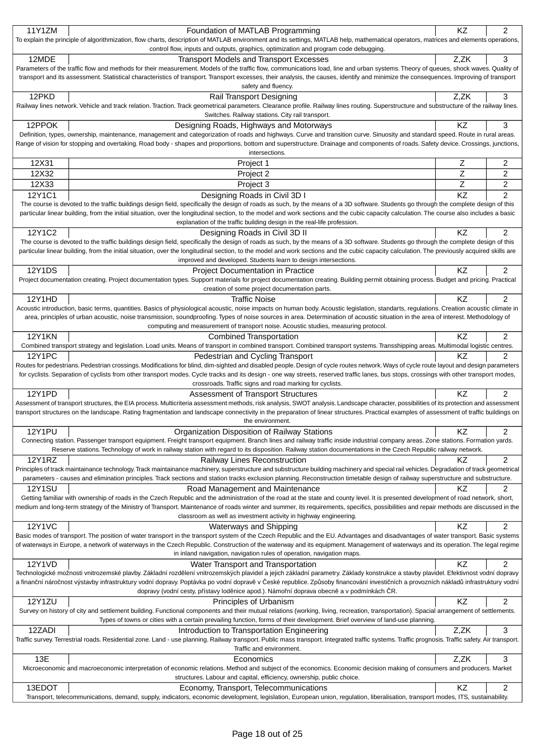| 11Y1ZM        | Foundation of MATLAB Programming                                                                                                                                                                                                                                                                                                                                                | ΚZ   | 2              |
|---------------|---------------------------------------------------------------------------------------------------------------------------------------------------------------------------------------------------------------------------------------------------------------------------------------------------------------------------------------------------------------------------------|------|----------------|
|               | To explain the principle of algorithmization, flow charts, description of MATLAB environment and its settings, MATLAB help, mathematical operators, matrices and elements operations,                                                                                                                                                                                           |      |                |
|               | control flow, inputs and outputs, graphics, optimization and program code debugging.                                                                                                                                                                                                                                                                                            |      |                |
| 12MDE         | <b>Transport Models and Transport Excesses</b>                                                                                                                                                                                                                                                                                                                                  | Z,ZK | 3              |
|               | Parameters of the traffic flow and methods for their measurement. Models of the traffic flow, communications load, line and urban systems. Theory of queues, shock waves. Quality of                                                                                                                                                                                            |      |                |
|               | transport and its assessment. Statistical characteristics of transport. Transport excesses, their analysis, the causes, identify and minimize the consequences. Improving of transport                                                                                                                                                                                          |      |                |
|               | safety and fluency.                                                                                                                                                                                                                                                                                                                                                             |      |                |
| 12PKD         | Rail Transport Designing                                                                                                                                                                                                                                                                                                                                                        | Z,ZK | 3              |
|               | Railway lines network. Vehicle and track relation. Traction. Track geometrical parameters. Clearance profile. Railway lines routing. Superstructure and substructure of the railway lines.                                                                                                                                                                                      |      |                |
|               | Switches. Railway stations. City rail transport.                                                                                                                                                                                                                                                                                                                                |      |                |
| 12PPOK        | Designing Roads, Highways and Motorways                                                                                                                                                                                                                                                                                                                                         | KZ   | 3              |
|               | Definition, types, ownership, maintenance, management and categorization of roads and highways. Curve and transition curve. Sinuosity and standard speed. Route in rural areas.                                                                                                                                                                                                 |      |                |
|               | Range of vision for stopping and overtaking. Road body - shapes and proportions, bottom and superstructure. Drainage and components of roads. Safety device. Crossings, junctions,                                                                                                                                                                                              |      |                |
|               | intersections.                                                                                                                                                                                                                                                                                                                                                                  |      |                |
|               |                                                                                                                                                                                                                                                                                                                                                                                 |      |                |
| 12X31         | Project 1                                                                                                                                                                                                                                                                                                                                                                       | Z    | 2              |
| 12X32         | Project 2                                                                                                                                                                                                                                                                                                                                                                       | Z    | 2              |
| 12X33         | Project 3                                                                                                                                                                                                                                                                                                                                                                       | Z    | $\overline{c}$ |
| 12Y1C1        | Designing Roads in Civil 3D I                                                                                                                                                                                                                                                                                                                                                   | KZ   | $\overline{2}$ |
|               | The course is devoted to the traffic buildings design field, specifically the design of roads as such, by the means of a 3D software. Students go through the complete design of this                                                                                                                                                                                           |      |                |
|               | particular linear building, from the initial situation, over the longitudinal section, to the model and work sections and the cubic capacity calculation. The course also includes a basic                                                                                                                                                                                      |      |                |
|               | explanation of the traffic building design in the real-life profession.                                                                                                                                                                                                                                                                                                         |      |                |
| 12Y1C2        | Designing Roads in Civil 3D II                                                                                                                                                                                                                                                                                                                                                  | KZ   | $\overline{2}$ |
|               | The course is devoted to the traffic buildings design field, specifically the design of roads as such, by the means of a 3D software. Students go through the complete design of this                                                                                                                                                                                           |      |                |
|               | particular linear building, from the initial situation, over the longitudinal section, to the model and work sections and the cubic capacity calculation. The previously acquired skills are                                                                                                                                                                                    |      |                |
|               | improved and developed. Students learn to design intersections.                                                                                                                                                                                                                                                                                                                 |      |                |
| <b>12Y1DS</b> |                                                                                                                                                                                                                                                                                                                                                                                 | KZ   | 2              |
|               | <b>Project Documentation in Practice</b><br>Project documentation creating. Project documentation types. Support materials for project documentation creating. Building permit obtaining process. Budget and pricing. Practical                                                                                                                                                 |      |                |
|               | creation of some project documentation parts.                                                                                                                                                                                                                                                                                                                                   |      |                |
|               |                                                                                                                                                                                                                                                                                                                                                                                 |      |                |
| 12Y1HD        | <b>Traffic Noise</b>                                                                                                                                                                                                                                                                                                                                                            | KZ   | $\overline{2}$ |
|               | Acoustic introduction, basic terms, quantities. Basics of physiological acoustic, noise impacts on human body. Acoustic legislation, standarts, regulations. Creation acoustic climate in<br>area, principles of urban acoustic, noise transmission, soundproofing. Types of noise sources in area. Determination of acoustic situation in the area of interest. Methodology of |      |                |
|               |                                                                                                                                                                                                                                                                                                                                                                                 |      |                |
|               | computing and measurement of transport noise. Acoustic studies, measuring protocol.                                                                                                                                                                                                                                                                                             |      |                |
| <b>12Y1KN</b> | <b>Combined Transportation</b>                                                                                                                                                                                                                                                                                                                                                  | KZ   | 2              |
|               | Combined transport strategy and legislation. Load units. Means of transport in combined transport. Combined transport systems. Transshipping areas. Multimodal logistic centres.                                                                                                                                                                                                |      |                |
| 12Y1PC        | Pedestrian and Cycling Transport                                                                                                                                                                                                                                                                                                                                                | KZ   | $\overline{2}$ |
|               | Routes for pedestrians. Pedestrian crossings. Modifications for blind, dim-sighted and disabled people. Design of cycle routes network. Ways of cycle route layout and design parameters                                                                                                                                                                                        |      |                |
|               | for cyclists. Separation of cyclists from other transport modes. Cycle tracks and its design - one way streets, reserved traffic lanes, bus stops, crossings with other transport modes,                                                                                                                                                                                        |      |                |
|               | crossroads. Traffic signs and road marking for cyclists.                                                                                                                                                                                                                                                                                                                        |      |                |
| 12Y1PD        | Assessment of Transport Structures                                                                                                                                                                                                                                                                                                                                              | KZ   | $\overline{c}$ |
|               | Assessment of transport structures, the EIA process. Multicriteria assessment methods, risk analysis, SWOT analysis. Landscape character, possibilities of its protection and assessment                                                                                                                                                                                        |      |                |
|               | transport structures on the landscape. Rating fragmentation and landscape connectivity in the preparation of linear structures. Practical examples of assessment of traffic buildings on                                                                                                                                                                                        |      |                |
|               | the environment.                                                                                                                                                                                                                                                                                                                                                                |      |                |
| <b>12Y1PU</b> | Organization Disposition of Railway Stations                                                                                                                                                                                                                                                                                                                                    | KZ   | 2              |
|               | Connecting station. Passenger transport equipment. Freight transport equipment. Branch lines and railway traffic inside industrial company areas. Zone stations. Formation yards.                                                                                                                                                                                               |      |                |
|               | Reserve stations. Technology of work in railway station with regard to its disposition. Railway station documentations in the Czech Republic railway network.                                                                                                                                                                                                                   |      |                |
| 12Y1RZ        | <b>Railway Lines Reconstruction</b>                                                                                                                                                                                                                                                                                                                                             | KZ   | 2              |
|               | Principles of track maintainance technology. Track maintainance machinery, superstructure and substructure building machinery and special rail vehicles. Degradation of track geometrical                                                                                                                                                                                       |      |                |
|               | parameters - causes and elimination principles. Track sections and station tracks exclusion planning. Reconstruction timetable design of railway superstructure and substructure.                                                                                                                                                                                               |      |                |
| <b>12Y1SU</b> | Road Management and Maintenance                                                                                                                                                                                                                                                                                                                                                 | ΚZ   | 2              |
|               | Getting familiar with ownership of roads in the Czech Republic and the administration of the road at the state and county level. It is presented development of road network, short,                                                                                                                                                                                            |      |                |
|               | medium and long-term strategy of the Ministry of Transport. Maintenance of roads winter and summer, its requirements, specifics, possibilities and repair methods are discussed in the                                                                                                                                                                                          |      |                |
|               | classroom as well as investment activity in highway engineering.                                                                                                                                                                                                                                                                                                                |      |                |
| <b>12Y1VC</b> | Waterways and Shipping                                                                                                                                                                                                                                                                                                                                                          | KZ   | 2              |
|               | Basic modes of transport. The position of water transport in the transport system of the Czech Republic and the EU. Advantages and disadvantages of water transport. Basic systems                                                                                                                                                                                              |      |                |
|               | of waterways in Europe, a network of waterways in the Czech Republic. Construction of the waterway and its equipment. Management of waterways and its operation. The legal regime                                                                                                                                                                                               |      |                |
|               | in inland navigation, navigation rules of operation, navigation maps.                                                                                                                                                                                                                                                                                                           |      |                |
| 12Y1VD        | Water Transport and Transportation                                                                                                                                                                                                                                                                                                                                              | ΚZ   | 2              |
|               | Technologické možnosti vnitrozemské plavby. Základní rozd lení vnitrozemských plavidel a jejich základní parametry. Základy konstrukce a stavby plavidel. Efektivnost vodní dopravy                                                                                                                                                                                             |      |                |
|               | a finan ní náro nost výstavby infrastruktury vodní dopravy. Poptávka po vodní doprav v eské republice. Zp soby financování investi ních a provozních náklad infrastruktury vodní                                                                                                                                                                                                |      |                |
|               | dopravy (vodní cesty, p ístavy lod nice apod.). Námo ní doprava obecn a v podmínkách R.                                                                                                                                                                                                                                                                                         |      |                |
| 12Y1ZU        | Principles of Urbanism                                                                                                                                                                                                                                                                                                                                                          | KZ   | 2              |
|               | Survey on history of city and settlement building. Functional components and their mutual relations (working, living, recreation, transportation). Spacial arrangement of settlements.                                                                                                                                                                                          |      |                |
|               | Types of towns or cities with a certain prevailing function, forms of their development. Brief overview of land-use planning.                                                                                                                                                                                                                                                   |      |                |
| 12ZADI        | Introduction to Transportation Engineering                                                                                                                                                                                                                                                                                                                                      | Z,ZK | 3              |
|               | Traffic survey. Terrestrial roads. Residential zone. Land - use planning. Railway transport. Public mass transport. Integrated traffic systems. Traffic prognosis. Traffic safety. Air transport.                                                                                                                                                                               |      |                |
|               | Traffic and environment.                                                                                                                                                                                                                                                                                                                                                        |      |                |
| 13E           | Economics                                                                                                                                                                                                                                                                                                                                                                       | Z,ZK | 3              |
|               | Microeconomic and macroeconomic interpretation of economic relations. Method and subject of the economics. Economic decision making of consumers and producers. Market                                                                                                                                                                                                          |      |                |
|               | structures. Labour and capital, efficiency, ownership, public choice.                                                                                                                                                                                                                                                                                                           |      |                |
| 13EDOT        | Economy, Transport, Telecommunications                                                                                                                                                                                                                                                                                                                                          | KZ   | 2              |
|               | Transport, telecommunications, demand, supply, indicators, economic development, legislation, European union, regulation, liberalisation, transport modes, ITS, sustainability.                                                                                                                                                                                                 |      |                |
|               |                                                                                                                                                                                                                                                                                                                                                                                 |      |                |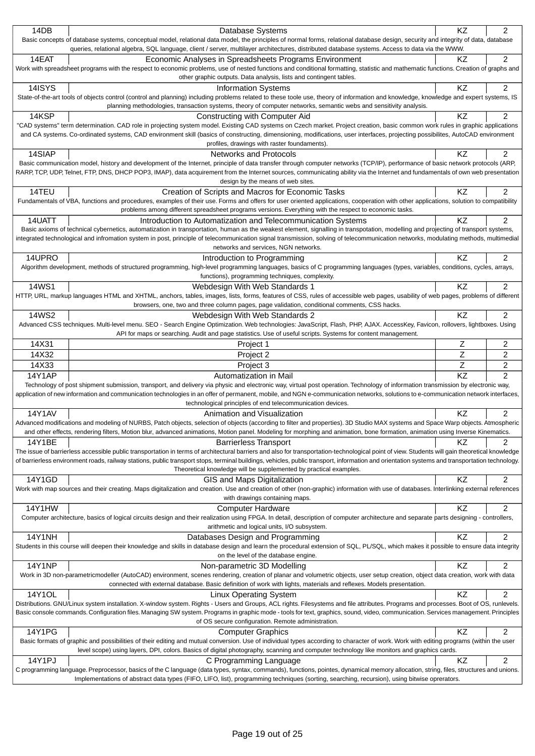| 14DB          | Database Systems                                                                                                                                                                                                                                                                                                                      | KZ | 2              |
|---------------|---------------------------------------------------------------------------------------------------------------------------------------------------------------------------------------------------------------------------------------------------------------------------------------------------------------------------------------|----|----------------|
|               | Basic concepts of database systems, conceptual model, relational data model, the principles of normal forms, relational database design, security and integrity of data, database<br>queries, relational algebra, SQL language, client / server, multilayer architectures, distributed database systems. Access to data via the WWW.  |    |                |
| 14EAT         | Economic Analyses in Spreadsheets Programs Environment                                                                                                                                                                                                                                                                                | KZ | $\overline{2}$ |
|               | Work with spreadsheet programs with the respect to economic problems, use of nested functions and conditional formatting, statistic and mathematic functions. Creation of graphs and<br>other graphic outputs. Data analysis, lists and contingent tables.                                                                            |    |                |
| 14ISYS        | <b>Information Systems</b>                                                                                                                                                                                                                                                                                                            | KZ | 2              |
|               | State-of-the-art tools of objects control (control and planning) including problems related to these toole use, theory of information and knowledge, knowledge and expert systems, IS                                                                                                                                                 |    |                |
|               | planning methodologies, transaction systems, theory of computer networks, semantic webs and sensitivity analysis.                                                                                                                                                                                                                     |    |                |
| 14KSP         | <b>Constructing with Computer Aid</b><br>"CAD systems" term determination. CAD role in projecting system model. Existing CAD systems on Czech market. Project creation, basic common work rules in graphic applications                                                                                                               | ΚZ | 2              |
|               | and CA systems. Co-ordinated systems, CAD environment skill (basics of constructing, dimensioning, modifications, user interfaces, projecting possibilites, AutoCAD environment                                                                                                                                                       |    |                |
|               | profiles, drawings with raster foundaments).                                                                                                                                                                                                                                                                                          |    |                |
| 14SIAP        | <b>Networks and Protocols</b>                                                                                                                                                                                                                                                                                                         | KZ | 2              |
|               | Basic communication model, history and development of the Internet, principle of data transfer through computer networks (TCP/IP), performance of basic network protocols (ARP,                                                                                                                                                       |    |                |
|               | RARP, TCP, UDP, Telnet, FTP, DNS, DHCP POP3, IMAP), data acquirement from the Internet sources, communicating ability via the Internet and fundamentals of own web presentation                                                                                                                                                       |    |                |
|               | design by the means of web sites.                                                                                                                                                                                                                                                                                                     |    |                |
| 14TEU         | Creation of Scripts and Macros for Economic Tasks<br>Fundamentals of VBA, functions and procedures, examples of their use. Forms and offers for user oriented applications, cooperation with other applications, solution to compatibility                                                                                            | ΚZ | $\overline{2}$ |
|               | problems among different spreadsheet programs versions. Everything with the respect to economic tasks.                                                                                                                                                                                                                                |    |                |
| 14UATT        | Introduction to Automatization and Telecommunication Systems                                                                                                                                                                                                                                                                          | ΚZ | 2              |
|               | Basic axioms of technical cybernetics, automatization in transportation, human as the weakest element, signalling in transpotation, modelling and projecting of transport systems,                                                                                                                                                    |    |                |
|               | integrated technological and infromation system in post, principle of telecommunication signal transmission, solving of telecommunication networks, modulating methods, multimedial                                                                                                                                                   |    |                |
|               | networks and services, NGN networks.                                                                                                                                                                                                                                                                                                  |    |                |
| 14UPRO        | Introduction to Programming                                                                                                                                                                                                                                                                                                           | KZ | 2              |
|               | Algorithm development, methods of structured programming, high-level programming languages, basics of C programming languages (types, variables, conditions, cycles, arrays,<br>functions), programming techniques, complexity.                                                                                                       |    |                |
| 14WS1         | Webdesign With Web Standards 1                                                                                                                                                                                                                                                                                                        | KZ | 2              |
|               | HTTP, URL, markup languages HTML and XHTML, anchors, tables, images, lists, forms, features of CSS, rules of accessible web pages, usability of web pages, problems of different                                                                                                                                                      |    |                |
|               | browsers, one, two and three column pages, page validation, conditional comments, CSS hacks.                                                                                                                                                                                                                                          |    |                |
| 14WS2         | Webdesign With Web Standards 2                                                                                                                                                                                                                                                                                                        | KZ | $\overline{c}$ |
|               | Advanced CSS techniques. Multi-level menu. SEO - Search Engine Optimization. Web technologies: JavaScript, Flash, PHP, AJAX. AccessKey, Favicon, rollovers, lightboxes. Using                                                                                                                                                         |    |                |
|               | API for maps or searching. Audit and page statistics. Use of useful scripts. Systems for content management.                                                                                                                                                                                                                          |    |                |
| 14X31         | Project 1                                                                                                                                                                                                                                                                                                                             | Ζ  | 2              |
|               |                                                                                                                                                                                                                                                                                                                                       |    |                |
| 14X32         | Project 2                                                                                                                                                                                                                                                                                                                             | Z  | 2              |
| 14X33         | Project 3                                                                                                                                                                                                                                                                                                                             | Z  | $\overline{c}$ |
| 14Y1AP        | Automatization in Mail                                                                                                                                                                                                                                                                                                                | KZ | $\overline{2}$ |
|               | Technology of post shipment submission, transport, and delivery via physic and electronic way, virtual post operation. Technology of information transmission by electronic way,                                                                                                                                                      |    |                |
|               | application of new information and communication technologies in an offer of permanent, mobile, and NGN e-communication networks, solutions to e-communication network interfaces,                                                                                                                                                    |    |                |
| <b>14Y1AV</b> | technological principles of end telecommunication devices.                                                                                                                                                                                                                                                                            |    |                |
|               | Animation and Visualization<br>Advanced modifications and modeling of NURBS, Patch objects, selection of objects (according to filter and properties). 3D Studio MAX systems and Space Warp objects. Atmospheric                                                                                                                      | KZ | $\overline{c}$ |
|               | and other effects, rendering filters, Motion blur, advanced animations, Motion panel. Modeling for morphing and animation, bone formation, animation using Inverse Kinematics.                                                                                                                                                        |    |                |
| 14Y1BE        | <b>Barrierless Transport</b>                                                                                                                                                                                                                                                                                                          | ΚZ | 2              |
|               | The issue of barrierless accessible public transportation in terms of architectural barriers and also for transportation-technological point of view. Students will gain theoretical knowledge                                                                                                                                        |    |                |
|               | of barrierless environment roads, railway stations, public transport stops, terminal buildings, vehicles, public transport, information and orientation systems and transportation technology.                                                                                                                                        |    |                |
|               | Theoretical knowledge will be supplemented by practical examples.                                                                                                                                                                                                                                                                     |    |                |
| 14Y1GD        | GIS and Maps Digitalization<br>Work with map sources and their creating. Maps digitalization and creation. Use and creation of other (non-graphic) information with use of databases. Interlinking external references                                                                                                                | KZ | 2              |
|               | with drawings containing maps.                                                                                                                                                                                                                                                                                                        |    |                |
| 14Y1HW        | <b>Computer Hardware</b>                                                                                                                                                                                                                                                                                                              | ΚZ | 2              |
|               | Computer architecture, basics of logical circuits design and their realization using FPGA. In detail, description of computer architecture and separate parts designing - controllers,                                                                                                                                                |    |                |
|               | arithmetic and logical units, I/O subsystem.                                                                                                                                                                                                                                                                                          |    |                |
| <b>14Y1NH</b> | Databases Design and Programming                                                                                                                                                                                                                                                                                                      | KZ | 2              |
|               | Students in this course will deepen their knowledge and skills in database design and learn the procedural extension of SQL, PL/SQL, which makes it possible to ensure data integrity                                                                                                                                                 |    |                |
|               | on the level of the database engine.                                                                                                                                                                                                                                                                                                  |    |                |
| <b>14Y1NP</b> | Non-parametric 3D Modelling<br>Work in 3D non-parametricmodeller (AutoCAD) environment, scenes rendering, creation of planar and volumetric objects, user setup creation, object data creation, work with data                                                                                                                        | KZ | 2              |
|               | connected with external database. Basic definition of work with lights, materials and reflexes. Models presentation.                                                                                                                                                                                                                  |    |                |
| 14Y1OL        | <b>Linux Operating System</b>                                                                                                                                                                                                                                                                                                         | KZ | 2              |
|               | Distributions. GNU/Linux system installation. X-window system. Rights - Users and Groups, ACL rights. Filesystems and file attributes. Programs and processes. Boot of OS, runlevels.                                                                                                                                                 |    |                |
|               | Basic console commands. Configuration files. Managing SW system. Programs in graphic mode - tools for text, graphics, sound, video, communication. Services management. Principles                                                                                                                                                    |    |                |
|               | of OS secure configuration. Remote administration.                                                                                                                                                                                                                                                                                    |    |                |
| 14Y1PG        | <b>Computer Graphics</b>                                                                                                                                                                                                                                                                                                              | KZ | 2              |
|               | Basic formats of graphic and possibilities of their editing and mutual conversion. Use of individual types according to character of work. Work with editing programs (within the user<br>level scope) using layers, DPI, colors. Basics of digital photography, scanning and computer technology like monitors and graphics cards.   |    |                |
| 14Y1PJ        | C Programming Language                                                                                                                                                                                                                                                                                                                | KZ | 2              |
|               | C programming language. Preprocessor, basics of the C language (data types, syntax, commands), functions, pointes, dynamical memory allocation, string, files, structures and unions.<br>Implementations of abstract data types (FIFO, LIFO, list), programming techniques (sorting, searching, recursion), using bitwise oprerators. |    |                |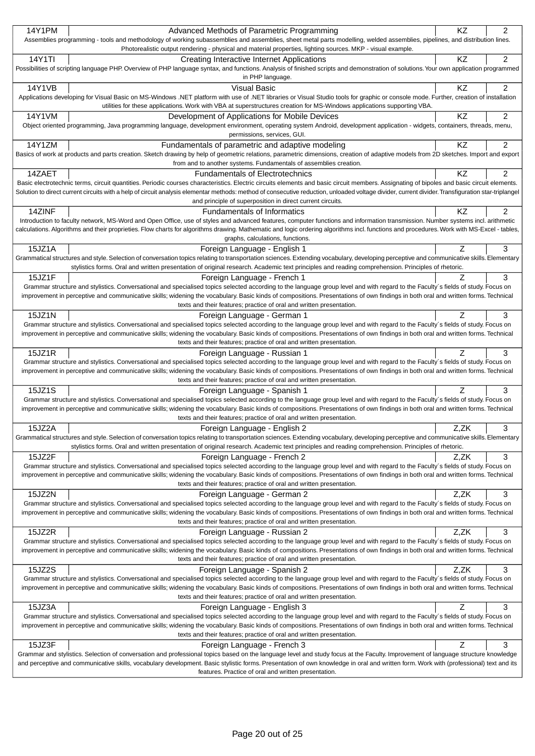| Grammar and stylistics. Selection of conversation and professional topics based on the language level and study focus at the Faculty. Improvement of language structure knowledge<br>and perceptive and communicative skills, vocabulary development. Basic stylistic forms. Presentation of own knowledge in oral and written form. Work with (professional) text and its<br>features. Practice of oral and written presentation.                                                       |          |                     |
|------------------------------------------------------------------------------------------------------------------------------------------------------------------------------------------------------------------------------------------------------------------------------------------------------------------------------------------------------------------------------------------------------------------------------------------------------------------------------------------|----------|---------------------|
| texts and their features; practice of oral and written presentation.<br>15JZ3F<br>Foreign Language - French 3                                                                                                                                                                                                                                                                                                                                                                            | Ζ        | 3                   |
| Grammar structure and stylistics. Conversational and specialised topics selected according to the language group level and with regard to the Faculty's fields of study. Focus on<br>improvement in perceptive and communicative skills; widening the vocabulary. Basic kinds of compositions. Presentations of own findings in both oral and written forms. Technical                                                                                                                   |          |                     |
| Grammar structure and stylistics. Conversational and specialised topics selected according to the language group level and with regard to the Faculty's fields of study. Focus on<br>improvement in perceptive and communicative skills; widening the vocabulary. Basic kinds of compositions. Presentations of own findings in both oral and written forms. Technical<br>texts and their features; practice of oral and written presentation.<br>15JZ3A<br>Foreign Language - English 3 | Z        | 3                   |
| texts and their features; practice of oral and written presentation.<br>15JZ2S<br>Foreign Language - Spanish 2                                                                                                                                                                                                                                                                                                                                                                           | Z,ZK     | 3                   |
| 15JZ2R<br>Foreign Language - Russian 2<br>Grammar structure and stylistics. Conversational and specialised topics selected according to the language group level and with regard to the Faculty's fields of study. Focus on<br>improvement in perceptive and communicative skills; widening the vocabulary. Basic kinds of compositions. Presentations of own findings in both oral and written forms. Technical                                                                         | Z,ZK     | 3                   |
| Grammar structure and stylistics. Conversational and specialised topics selected according to the language group level and with regard to the Faculty's fields of study. Focus on<br>improvement in perceptive and communicative skills; widening the vocabulary. Basic kinds of compositions. Presentations of own findings in both oral and written forms. Technical<br>texts and their features; practice of oral and written presentation.                                           |          |                     |
| texts and their features; practice of oral and written presentation.<br>15JZ2N<br>Foreign Language - German 2                                                                                                                                                                                                                                                                                                                                                                            | Z,ZK     | 3                   |
| 15JZ2F<br>Foreign Language - French 2<br>Grammar structure and stylistics. Conversational and specialised topics selected according to the language group level and with regard to the Faculty's fields of study. Focus on<br>improvement in perceptive and communicative skills; widening the vocabulary. Basic kinds of compositions. Presentations of own findings in both oral and written forms. Technical                                                                          | Z,ZK     | 3                   |
| 15JZ2A<br>Foreign Language - English 2<br>Grammatical structures and style. Selection of conversation topics relating to transportation sciences. Extending vocabulary, developing perceptive and communicative skills. Elementary<br>stylistics forms. Oral and written presentation of original research. Academic text principles and reading comprehension. Principles of rhetoric.                                                                                                  | Z,ZK     | 3                   |
| improvement in perceptive and communicative skills; widening the vocabulary. Basic kinds of compositions. Presentations of own findings in both oral and written forms. Technical<br>texts and their features; practice of oral and written presentation.                                                                                                                                                                                                                                |          |                     |
| texts and their features; practice of oral and written presentation.<br>15JZ1S<br>Foreign Language - Spanish 1<br>Grammar structure and stylistics. Conversational and specialised topics selected according to the language group level and with regard to the Faculty's fields of study. Focus on                                                                                                                                                                                      | Ζ        | 3                   |
| Grammar structure and stylistics. Conversational and specialised topics selected according to the language group level and with regard to the Faculty's fields of study. Focus on<br>improvement in perceptive and communicative skills; widening the vocabulary. Basic kinds of compositions. Presentations of own findings in both oral and written forms. Technical                                                                                                                   |          |                     |
| texts and their features; practice of oral and written presentation.<br>15JZ1R<br>Foreign Language - Russian 1                                                                                                                                                                                                                                                                                                                                                                           | Ζ        | 3                   |
| 15JZ1N<br>Foreign Language - German 1<br>Grammar structure and stylistics. Conversational and specialised topics selected according to the language group level and with regard to the Faculty's fields of study. Focus on<br>improvement in perceptive and communicative skills; widening the vocabulary. Basic kinds of compositions. Presentations of own findings in both oral and written forms. Technical                                                                          | Ζ        | 3                   |
| Grammar structure and stylistics. Conversational and specialised topics selected according to the language group level and with regard to the Faculty's fields of study. Focus on<br>improvement in perceptive and communicative skills; widening the vocabulary. Basic kinds of compositions. Presentations of own findings in both oral and written forms. Technical<br>texts and their features; practice of oral and written presentation.                                           |          |                     |
| 15JZ1A<br>Foreign Language - English 1<br>Grammatical structures and style. Selection of conversation topics relating to transportation sciences. Extending vocabulary, developing perceptive and communicative skills. Elementary<br>stylistics forms. Oral and written presentation of original research. Academic text principles and reading comprehension. Principles of rhetoric.<br>15JZ1F<br>Foreign Language - French 1                                                         | Ζ<br>Z   | 3<br>3              |
| 14ZINF<br><b>Fundamentals of Informatics</b><br>Introduction to faculty network, MS-Word and Open Office, use of styles and advanced features, computer functions and information transmission. Number systems incl. arithmetic<br>calculations. Algorithms and their proprieties. Flow charts for algorithms drawing. Mathematic and logic ordering algorithms incl. functions and procedures. Work with MS-Excel - tables,<br>graphs, calculations, functions.                         | ΚZ       | 2                   |
| Basic electrotechnic terms, circuit quantities. Periodic courses characteristics. Electric circuits elements and basic circuit members. Assignating of bipoles and basic circuit elements.<br>Solution to direct current circuits with a help of circuit analysis elementar methods: method of consecutive reduction, unloaded voltage divider, current divider. Transfiguration star-triplangel<br>and principle of superposition in direct current circuits.                           |          |                     |
| 14Y1ZM<br>Fundamentals of parametric and adaptive modeling<br>Basics of work at products and parts creation. Sketch drawing by help of geometric relations, parametric dimensions, creation of adaptive models from 2D sketches. Import and export<br>from and to another systems. Fundamentals of assemblies creation.<br>14ZAET<br><b>Fundamentals of Electrotechnics</b>                                                                                                              | KZ<br>KZ | $\overline{2}$<br>2 |
| 14Y1VM<br>Development of Applications for Mobile Devices<br>Object oriented programming, Java programming language, development environment, operating system Android, development application - widgets, containers, threads, menu,<br>permissions, services, GUI.                                                                                                                                                                                                                      | KZ       | 2                   |
| 14Y1VB<br><b>Visual Basic</b><br>Applications developing for Visual Basic on MS-Windows .NET platform with use of .NET libraries or Visual Studio tools for graphic or console mode. Further, creation of installation<br>utilities for these applications. Work with VBA at superstructures creation for MS-Windows applications supporting VBA.                                                                                                                                        | KZ       | 2                   |
| 14Y1TI<br>Creating Interactive Internet Applications<br>Possibilities of scripting language PHP. Overview of PHP language syntax, and functions. Analysis of finished scripts and demonstration of solutions. Your own application programmed<br>in PHP language.                                                                                                                                                                                                                        | KZ       | $\overline{c}$      |
| 14Y1PM<br>Advanced Methods of Parametric Programming<br>Assemblies programming - tools and methodology of working subassemblies and assemblies, sheet metal parts modelling, welded assemblies, pipelines, and distribution lines.<br>Photorealistic output rendering - physical and material properties, lighting sources. MKP - visual example.                                                                                                                                        | KZ       | $\overline{2}$      |
|                                                                                                                                                                                                                                                                                                                                                                                                                                                                                          |          |                     |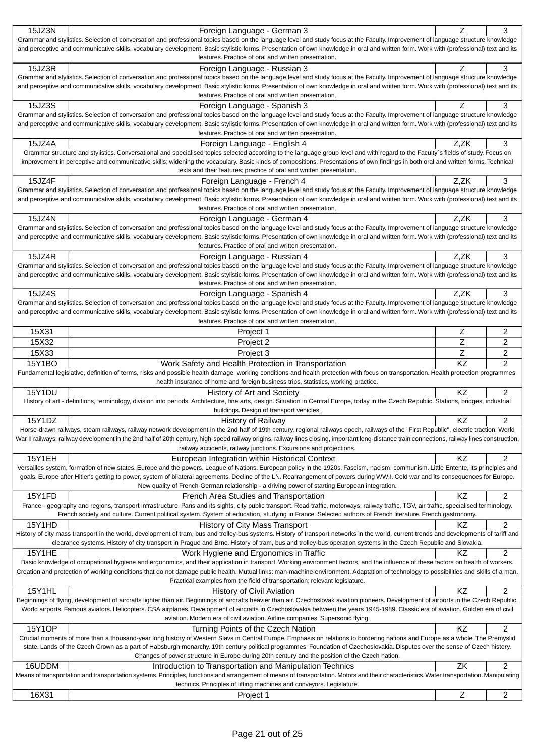| 15JZ3N          | Foreign Language - German 3                                                                                                                                                                                                                                                                                                                                            | Z              | 3                   |
|-----------------|------------------------------------------------------------------------------------------------------------------------------------------------------------------------------------------------------------------------------------------------------------------------------------------------------------------------------------------------------------------------|----------------|---------------------|
|                 | Grammar and stylistics. Selection of conversation and professional topics based on the language level and study focus at the Faculty. Improvement of language structure knowledge                                                                                                                                                                                      |                |                     |
|                 | and perceptive and communicative skills, vocabulary development. Basic stylistic forms. Presentation of own knowledge in oral and written form. Work with (professional) text and its                                                                                                                                                                                  |                |                     |
|                 | features. Practice of oral and written presentation.                                                                                                                                                                                                                                                                                                                   | Z              | 3                   |
| 15JZ3R          | Foreign Language - Russian 3<br>Grammar and stylistics. Selection of conversation and professional topics based on the language level and study focus at the Faculty. Improvement of language structure knowledge                                                                                                                                                      |                |                     |
|                 | and perceptive and communicative skills, vocabulary development. Basic stylistic forms. Presentation of own knowledge in oral and written form. Work with (professional) text and its                                                                                                                                                                                  |                |                     |
|                 | features. Practice of oral and written presentation.                                                                                                                                                                                                                                                                                                                   |                |                     |
| 15JZ3S          | Foreign Language - Spanish 3                                                                                                                                                                                                                                                                                                                                           | Z              | 3                   |
|                 | Grammar and stylistics. Selection of conversation and professional topics based on the language level and study focus at the Faculty. Improvement of language structure knowledge                                                                                                                                                                                      |                |                     |
|                 | and perceptive and communicative skills, vocabulary development. Basic stylistic forms. Presentation of own knowledge in oral and written form. Work with (professional) text and its                                                                                                                                                                                  |                |                     |
|                 | features. Practice of oral and written presentation.                                                                                                                                                                                                                                                                                                                   |                |                     |
| 15JZ4A          | Foreign Language - English 4                                                                                                                                                                                                                                                                                                                                           | Z,ZK           | 3                   |
|                 | Grammar structure and stylistics. Conversational and specialised topics selected according to the language group level and with regard to the Faculty's fields of study. Focus on<br>improvement in perceptive and communicative skills; widening the vocabulary. Basic kinds of compositions. Presentations of own findings in both oral and written forms. Technical |                |                     |
|                 | texts and their features; practice of oral and written presentation.                                                                                                                                                                                                                                                                                                   |                |                     |
| 15JZ4F          | Foreign Language - French 4                                                                                                                                                                                                                                                                                                                                            | Z.ZK           | 3                   |
|                 | Grammar and stylistics. Selection of conversation and professional topics based on the language level and study focus at the Faculty. Improvement of language structure knowledge                                                                                                                                                                                      |                |                     |
|                 | and perceptive and communicative skills, vocabulary development. Basic stylistic forms. Presentation of own knowledge in oral and written form. Work with (professional) text and its                                                                                                                                                                                  |                |                     |
|                 | features. Practice of oral and written presentation.                                                                                                                                                                                                                                                                                                                   |                |                     |
| 15JZ4N          | Foreign Language - German 4                                                                                                                                                                                                                                                                                                                                            | Z,ZK           | 3                   |
|                 | Grammar and stylistics. Selection of conversation and professional topics based on the language level and study focus at the Faculty. Improvement of language structure knowledge                                                                                                                                                                                      |                |                     |
|                 | and perceptive and communicative skills, vocabulary development. Basic stylistic forms. Presentation of own knowledge in oral and written form. Work with (professional) text and its<br>features. Practice of oral and written presentation.                                                                                                                          |                |                     |
| 15JZ4R          | Foreign Language - Russian 4                                                                                                                                                                                                                                                                                                                                           | Z.ZK           | 3                   |
|                 | Grammar and stylistics. Selection of conversation and professional topics based on the language level and study focus at the Faculty. Improvement of language structure knowledge                                                                                                                                                                                      |                |                     |
|                 | and perceptive and communicative skills, vocabulary development. Basic stylistic forms. Presentation of own knowledge in oral and written form. Work with (professional) text and its                                                                                                                                                                                  |                |                     |
|                 | features. Practice of oral and written presentation.                                                                                                                                                                                                                                                                                                                   |                |                     |
| 15JZ4S          | Foreign Language - Spanish 4                                                                                                                                                                                                                                                                                                                                           | Z,ZK           | 3                   |
|                 | Grammar and stylistics. Selection of conversation and professional topics based on the language level and study focus at the Faculty. Improvement of language structure knowledge                                                                                                                                                                                      |                |                     |
|                 | and perceptive and communicative skills, vocabulary development. Basic stylistic forms. Presentation of own knowledge in oral and written form. Work with (professional) text and its                                                                                                                                                                                  |                |                     |
| 15X31           | features. Practice of oral and written presentation.                                                                                                                                                                                                                                                                                                                   | Z              | 2                   |
| 15X32           | Project 1<br>Project 2                                                                                                                                                                                                                                                                                                                                                 | $\overline{z}$ | 2                   |
|                 |                                                                                                                                                                                                                                                                                                                                                                        | Z              |                     |
| 15X33<br>15Y1BO | Project 3                                                                                                                                                                                                                                                                                                                                                              | KZ             | 2<br>$\overline{c}$ |
|                 | Work Safety and Health Protection in Transportation<br>Fundamental legislative, definition of terms, risks and possible health damage, working conditions and health protection with focus on transportation. Health protection programmes,                                                                                                                            |                |                     |
|                 | health insurance of home and foreign business trips, statistics, working practice.                                                                                                                                                                                                                                                                                     |                |                     |
| <b>15Y1DU</b>   | History of Art and Society                                                                                                                                                                                                                                                                                                                                             | KZ             | 2                   |
|                 | History of art - definitions, terminology, division into periods. Architecture, fine arts, design. Situation in Central Europe, today in the Czech Republic. Stations, bridges, industrial                                                                                                                                                                             |                |                     |
|                 | buildings. Design of transport vehicles.                                                                                                                                                                                                                                                                                                                               |                |                     |
| 15Y1DZ          | History of Railway                                                                                                                                                                                                                                                                                                                                                     | KZ             | $\overline{c}$      |
|                 | Horse-drawn railways, steam railways, railway network development in the 2nd half of 19th century, regional railways epoch, railways of the "First Republic", electric traction, World                                                                                                                                                                                 |                |                     |
|                 | War II railways, railway development in the 2nd half of 20th century, high-speed railway origins, railway lines closing, important long-distance train connections, railway lines construction,                                                                                                                                                                        |                |                     |
| 15Y1EH          | railway accidents, railway junctions. Excursions and projections.<br>European Integration within Historical Context                                                                                                                                                                                                                                                    | KZ             | 2                   |
|                 | Versailles system, formation of new states. Europe and the powers, League of Nations. European policy in the 1920s. Fascism, nacism, communism. Little Entente, its principles and                                                                                                                                                                                     |                |                     |
|                 | goals. Europe after Hitler's getting to power, system of bilateral agreements. Decline of the LN. Rearrangement of powers during WWII. Cold war and its consequences for Europe.                                                                                                                                                                                       |                |                     |
|                 | New quality of French-German relationship - a driving power of starting European integration.                                                                                                                                                                                                                                                                          |                |                     |
| 15Y1FD          | French Area Studies and Transportation                                                                                                                                                                                                                                                                                                                                 | <b>KZ</b>      | 2                   |
|                 | France - geography and regions, transport infrastructure. Paris and its sights, city public transport. Road traffic, motorways, railway traffic, TGV, air traffic, specialised terminology.                                                                                                                                                                            |                |                     |
|                 | French society and culture. Current political system. System of education, studying in France. Selected authors of French literature. French gastronomy.                                                                                                                                                                                                               |                |                     |
| 15Y1HD          | History of City Mass Transport                                                                                                                                                                                                                                                                                                                                         | ΚZ             | $\overline{c}$      |
|                 | History of city mass transport in the world, development of tram, bus and trolley-bus systems. History of transport networks in the world, current trends and developments of tariff and                                                                                                                                                                               |                |                     |
| <b>15Y1HE</b>   | clearance systems. History of city transport in Prague and Brno. History of tram, bus and trolley-bus operation systems in the Czech Republic and Slovakia.                                                                                                                                                                                                            | ΚZ             | 2                   |
|                 | Work Hygiene and Ergonomics in Traffic<br>Basic knowledge of occupational hygiene and ergonomics, and their application in transport. Working environment factors, and the influence of these factors on health of workers.                                                                                                                                            |                |                     |
|                 | Creation and protection of working conditions that do not damage public health. Mutual links: man-machine-environment. Adaptation of technology to possibilities and skills of a man.                                                                                                                                                                                  |                |                     |
|                 | Practical examples from the field of transportation; relevant legislature.                                                                                                                                                                                                                                                                                             |                |                     |
| 15Y1HL          | History of Civil Aviation                                                                                                                                                                                                                                                                                                                                              | KZ             | 2                   |
|                 | Beginnings of flying, development of aircrafts lighter than air. Beginnings of aircrafts heavier than air. Czechoslovak aviation pioneers. Development of airports in the Czech Republic.                                                                                                                                                                              |                |                     |
|                 | World airports. Famous aviators. Helicopters. CSA airplanes. Development of aircrafts in Czechoslovakia between the years 1945-1989. Classic era of aviation. Golden era of civil                                                                                                                                                                                      |                |                     |
|                 | aviation. Modern era of civil aviation. Airline companies. Supersonic flying.                                                                                                                                                                                                                                                                                          |                |                     |
| <b>15Y1OP</b>   | Turning Points of the Czech Nation                                                                                                                                                                                                                                                                                                                                     | KZ             | 2                   |
|                 | Crucial moments of more than a thousand-year long history of Western Slavs in Central Europe. Emphasis on relations to bordering nations and Europe as a whole. The Premyslid<br>state. Lands of the Czech Crown as a part of Habsburgh monarchy. 19th century political programmes. Foundation of Czechoslovakia. Disputes over the sense of Czech history.           |                |                     |
|                 | Changes of power structure in Europe during 20th century and the position of the Czech nation.                                                                                                                                                                                                                                                                         |                |                     |
| 16UDDM          |                                                                                                                                                                                                                                                                                                                                                                        |                |                     |
|                 | Introduction to Transportation and Manipulation Technics                                                                                                                                                                                                                                                                                                               | ZK             | 2                   |
|                 | Means of transportation and transportation systems. Principles, functions and arrangement of means of transportation. Motors and their characteristics. Water transportation. Manipulating                                                                                                                                                                             |                |                     |
| 16X31           | technics. Principles of lifting machines and conveyors. Legislature.                                                                                                                                                                                                                                                                                                   | Z              | $\overline{c}$      |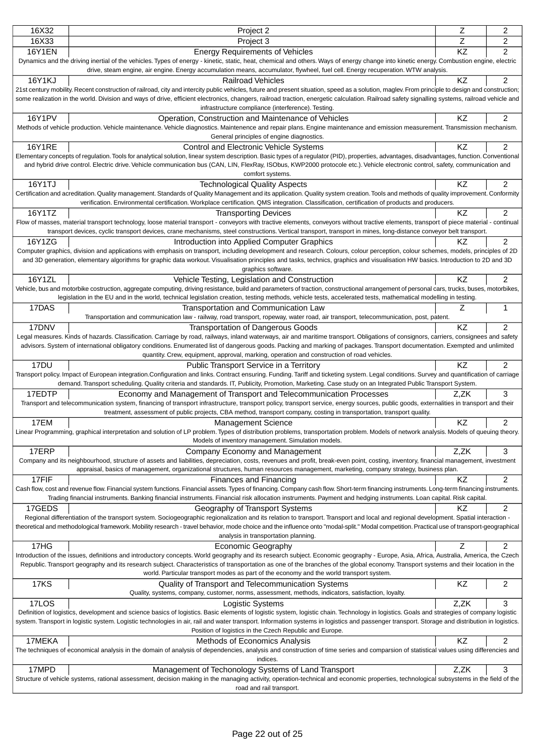| Z<br>16X33<br>Project 3<br>2<br>KZ<br>2<br><b>16Y1EN</b><br><b>Energy Requirements of Vehicles</b><br>Dynamics and the driving inertial of the vehicles. Types of energy - kinetic, static, heat, chemical and others. Ways of energy change into kinetic energy. Combustion engine, electric<br>drive, steam engine, air engine. Energy accumulation means, accumulator, flywheel, fuel cell. Energy recuperation. WTW analysis.<br>16Y1KJ<br>KZ<br>2<br><b>Railroad Vehicles</b><br>21st century mobility. Recent construction of railroad, city and intercity public vehicles, future and present situation, speed as a solution, maglev. From principle to design and construction;<br>some realization in the world. Division and ways of drive, efficient electronics, changers, railroad traction, energetic calculation. Railroad safety signalling systems, railroad vehicle and<br>infrastructure compliance (interference). Testing.<br><b>16Y1PV</b><br>KZ<br>2<br>Operation, Construction and Maintenance of Vehicles<br>Methods of vehicle production. Vehicle maintenance. Vehicle diagnostics. Maintenence and repair plans. Engine maintenance and emission measurement. Transmission mechanism.<br>General principles of engine diagnostics.<br><b>16Y1RE</b><br>KZ<br>2<br>Control and Electronic Vehicle Systems<br>Elementary concepts of regulation. Tools for analytical solution, linear system description. Basic types of a regulator (PID), properties, advantages, disadvantages, function. Conventional<br>and hybrid drive control. Electric drive. Vehicle communication bus (CAN, LIN, FlexRay, ISObus, KWP2000 protocole etc.). Vehicle electronic control, safety, communication and<br>comfort systems.<br>$\overline{c}$<br>16Y1TJ<br><b>Technological Quality Aspects</b><br>KZ<br>Certification and acreditation. Quality management. Standards of Quality Management and its application. Quality system creation. Tools and methods of quality improvement. Conformity<br>verification. Environmental certification. Workplace certification. QMS integration. Classification, certification of products and producers.<br>16Y1TZ<br>2<br><b>Transporting Devices</b><br>ΚZ<br>Flow of masses, material transport technology, loose material transport - conveyors with tractive elements, conveyors without tractive elements, transport of piece material - continual<br>transport devices, cyclic transport devices, crane mechanisms, steel constructions. Vertical transport, transport in mines, long-distance conveyor belt transport.<br>2<br>16Y1ZG<br>KZ<br>Introduction into Applied Computer Graphics<br>Computer graphics, division and applications with emphasis on transport, including development and research. Colours, colour perception, colour schemes, models, principles of 2D<br>and 3D generation, elementary algorithms for graphic data workout. Visualisation principles and tasks, technics, graphics and visualisation HW basics. Introduction to 2D and 3D<br>graphics software.<br>16Y1ZL<br>$\overline{c}$<br>Vehicle Testing, Legislation and Construction<br>ΚZ<br>Vehicle, bus and motorbike costruction, aggregate computing, driving resistance, build and parameters of traction, constructional arrangement of personal cars, trucks, buses, motorbikes,<br>legislation in the EU and in the world, technical legislation creation, testing methods, vehicle tests, accelerated tests, mathematical modelling in testing.<br>17DAS<br>1<br>Transportation and Communication Law<br>Ζ<br>Transportation and communication law - railway, road transport, ropeway, water road, air transport, telecommunication, post, patent.<br>KZ<br>$\overline{2}$<br>17DNV<br><b>Transportation of Dangerous Goods</b><br>Legal measures. Kinds of hazards. Classification. Carriage by road, railways, inland waterways, air and maritime transport. Obligations of consignors, carriers, consignees and safety<br>advisors. System of international obligatory conditions. Enumerated list of dangerous goods. Packing and marking of packages. Transport documentation. Exempted and unlimited<br>quantity. Crew, equipment, approval, marking, operation and construction of road vehicles.<br>17DU<br>$\overline{2}$<br>ΚZ<br>Public Transport Service in a Territory<br>Transport policy. Impact of European integration.Configuration and links. Contract ensuring. Funding. Tariff and ticketing system. Legal conditions. Survey and quantification of carriage<br>demand. Transport scheduling. Quality criteria and standards. IT, Publicity, Promotion, Marketing. Case study on an Integrated Public Transport System.<br>17EDTP<br>3<br>Economy and Management of Transport and Telecommunication Processes<br>Z.ZK<br>Transport and telecommunication system, financing of transport infrastructure, transport policy, transport service, energy sources, public goods, externalities in transport and their<br>treatment, assessment of public projects, CBA method, transport company, costing in transportation, transport quality.<br>17EM<br>KZ<br>2<br><b>Management Science</b><br>Linear Programming, graphical interpretation and solution of LP problem. Types of distribution problems, transportation problem. Models of network analysis. Models of queuing theory.<br>Models of inventory management. Simulation models.<br>17ERP<br>Z,ZK<br>3<br>Company Economy and Management<br>Company and its neighbourhood, structure of assets and liabilities, depreciation, costs, revenues and profit, break-even point, costing, inventory, financial management, investment<br>appraisal, basics of management, organizational structures, human resources management, marketing, company strategy, business plan.<br>17FIF<br>$\overline{c}$<br>KZ<br>Finances and Financing<br>Cash flow, cost and revenue flow. Financial system functions. Financial assets. Types of financing. Company cash flow. Short-term financing instruments. Long-term financing instruments.<br>Trading financial instruments. Banking financial instruments. Financial risk allocation instruments. Payment and hedging instruments. Loan capital. Risk capital.<br>$\overline{2}$<br>17GEDS<br>ΚZ<br>Geography of Transport Systems<br>Regional differentiation of the transport system. Sociogeographic regionalization and its relation to transport. Transport and local and regional development. Spatial interaction -<br>theoretical and methodological framework. Mobility research - travel behavior, mode choice and the influence onto "modal-split." Modal competition. Practical use of transport-geographical<br>analysis in transportation planning.<br>$\overline{2}$<br>17HG<br><b>Economic Geography</b><br>z<br>Introduction of the issues, definitions and introductory concepts. World geography and its research subject. Economic geography - Europe, Asia, Africa, Australia, America, the Czech<br>Republic. Transport geography and its research subject. Characteristics of transportation as one of the branches of the global economy. Transport systems and their location in the<br>world. Particular transport modes as part of the economy and the world transport system.<br><b>17KS</b><br>KZ<br>2<br>Quality of Transport and Telecommunication Systems<br>Quality, systems, company, customer, norms, assessment, methods, indicators, satisfaction, loyalty.<br>17LOS<br>Z,ZK<br>3<br>Logistic Systems<br>Definition of logistics, development and science basics of logistics. Basic elements of logistic system, logistic chain. Technology in logistics. Goals and strategies of company logistic<br>system. Transport in logistic system. Logistic technologies in air, rail and water transport. Information systems in logistics and passenger transport. Storage and distribution in logistics.<br>Position of logistics in the Czech Republic and Europe.<br>$\overline{c}$<br>17MEKA<br>KZ<br>Methods of Economics Analysis<br>The techniques of economical analysis in the domain of analysis of dependencies, analysis and construction of time series and comparsion of statistical values using differencies and<br>indices.<br>17MPD<br>3<br>Management of Techonology Systems of Land Transport<br>Z,ZK<br>Structure of vehicle systems, rational assessment, decision making in the managing activity, operation-technical and economic properties, technological subsystems in the field of the<br>road and rail transport. | 16X32 | Project 2 | Ζ | 2 |  |
|-----------------------------------------------------------------------------------------------------------------------------------------------------------------------------------------------------------------------------------------------------------------------------------------------------------------------------------------------------------------------------------------------------------------------------------------------------------------------------------------------------------------------------------------------------------------------------------------------------------------------------------------------------------------------------------------------------------------------------------------------------------------------------------------------------------------------------------------------------------------------------------------------------------------------------------------------------------------------------------------------------------------------------------------------------------------------------------------------------------------------------------------------------------------------------------------------------------------------------------------------------------------------------------------------------------------------------------------------------------------------------------------------------------------------------------------------------------------------------------------------------------------------------------------------------------------------------------------------------------------------------------------------------------------------------------------------------------------------------------------------------------------------------------------------------------------------------------------------------------------------------------------------------------------------------------------------------------------------------------------------------------------------------------------------------------------------------------------------------------------------------------------------------------------------------------------------------------------------------------------------------------------------------------------------------------------------------------------------------------------------------------------------------------------------------------------------------------------------------------------------------------------------------------------------------------------------------------------------------------------------------------------------------------------------------------------------------------------------------------------------------------------------------------------------------------------------------------------------------------------------------------------------------------------------------------------------------------------------------------------------------------------------------------------------------------------------------------------------------------------------------------------------------------------------------------------------------------------------------------------------------------------------------------------------------------------------------------------------------------------------------------------------------------------------------------------------------------------------------------------------------------------------------------------------------------------------------------------------------------------------------------------------------------------------------------------------------------------------------------------------------------------------------------------------------------------------------------------------------------------------------------------------------------------------------------------------------------------------------------------------------------------------------------------------------------------------------------------------------------------------------------------------------------------------------------------------------------------------------------------------------------------------------------------------------------------------------------------------------------------------------------------------------------------------------------------------------------------------------------------------------------------------------------------------------------------------------------------------------------------------------------------------------------------------------------------------------------------------------------------------------------------------------------------------------------------------------------------------------------------------------------------------------------------------------------------------------------------------------------------------------------------------------------------------------------------------------------------------------------------------------------------------------------------------------------------------------------------------------------------------------------------------------------------------------------------------------------------------------------------------------------------------------------------------------------------------------------------------------------------------------------------------------------------------------------------------------------------------------------------------------------------------------------------------------------------------------------------------------------------------------------------------------------------------------------------------------------------------------------------------------------------------------------------------------------------------------------------------------------------------------------------------------------------------------------------------------------------------------------------------------------------------------------------------------------------------------------------------------------------------------------------------------------------------------------------------------------------------------------------------------------------------------------------------------------------------------------------------------------------------------------------------------------------------------------------------------------------------------------------------------------------------------------------------------------------------------------------------------------------------------------------------------------------------------------------------------------------------------------------------------------------------------------------------------------------------------------------------------------------------------------------------------------------------------------------------------------------------------------------------------------------------------------------------------------------------------------------------------------------------------------------------------------------------------------------------------------------------------------------------------------------------------------------------------------------------------------------------------------------------------------------------------------------------------------------------------------------------------------------------------------------------------------------------------------------------------------------------------------------------------------------------------------------------------------------------------------------------------------------------------------------------------------------------------------------------------------------------------------------------------------------------------------------------------------------------------------------------------------------------------------------------------------------------------------------------------------------------------------------------------------------------------------------------------------------------------------------------------------------------------------------------------------------------------------------------------------------------------------------------------------------------------------------------------------------|-------|-----------|---|---|--|
|                                                                                                                                                                                                                                                                                                                                                                                                                                                                                                                                                                                                                                                                                                                                                                                                                                                                                                                                                                                                                                                                                                                                                                                                                                                                                                                                                                                                                                                                                                                                                                                                                                                                                                                                                                                                                                                                                                                                                                                                                                                                                                                                                                                                                                                                                                                                                                                                                                                                                                                                                                                                                                                                                                                                                                                                                                                                                                                                                                                                                                                                                                                                                                                                                                                                                                                                                                                                                                                                                                                                                                                                                                                                                                                                                                                                                                                                                                                                                                                                                                                                                                                                                                                                                                                                                                                                                                                                                                                                                                                                                                                                                                                                                                                                                                                                                                                                                                                                                                                                                                                                                                                                                                                                                                                                                                                                                                                                                                                                                                                                                                                                                                                                                                                                                                                                                                                                                                                                                                                                                                                                                                                                                                                                                                                                                                                                                                                                                                                                                                                                                                                                                                                                                                                                                                                                                                                                                                                                                                                                                                                                                                                                                                                                                                                                                                                                                                                                                                                                                                                                                                                                                                                                                                                                                                                                                                                                                                                                                                                                                                                                                                                                                                                                                                                                                                                                                                                                                                                                                                                                                                 |       |           |   |   |  |
|                                                                                                                                                                                                                                                                                                                                                                                                                                                                                                                                                                                                                                                                                                                                                                                                                                                                                                                                                                                                                                                                                                                                                                                                                                                                                                                                                                                                                                                                                                                                                                                                                                                                                                                                                                                                                                                                                                                                                                                                                                                                                                                                                                                                                                                                                                                                                                                                                                                                                                                                                                                                                                                                                                                                                                                                                                                                                                                                                                                                                                                                                                                                                                                                                                                                                                                                                                                                                                                                                                                                                                                                                                                                                                                                                                                                                                                                                                                                                                                                                                                                                                                                                                                                                                                                                                                                                                                                                                                                                                                                                                                                                                                                                                                                                                                                                                                                                                                                                                                                                                                                                                                                                                                                                                                                                                                                                                                                                                                                                                                                                                                                                                                                                                                                                                                                                                                                                                                                                                                                                                                                                                                                                                                                                                                                                                                                                                                                                                                                                                                                                                                                                                                                                                                                                                                                                                                                                                                                                                                                                                                                                                                                                                                                                                                                                                                                                                                                                                                                                                                                                                                                                                                                                                                                                                                                                                                                                                                                                                                                                                                                                                                                                                                                                                                                                                                                                                                                                                                                                                                                                                 |       |           |   |   |  |
|                                                                                                                                                                                                                                                                                                                                                                                                                                                                                                                                                                                                                                                                                                                                                                                                                                                                                                                                                                                                                                                                                                                                                                                                                                                                                                                                                                                                                                                                                                                                                                                                                                                                                                                                                                                                                                                                                                                                                                                                                                                                                                                                                                                                                                                                                                                                                                                                                                                                                                                                                                                                                                                                                                                                                                                                                                                                                                                                                                                                                                                                                                                                                                                                                                                                                                                                                                                                                                                                                                                                                                                                                                                                                                                                                                                                                                                                                                                                                                                                                                                                                                                                                                                                                                                                                                                                                                                                                                                                                                                                                                                                                                                                                                                                                                                                                                                                                                                                                                                                                                                                                                                                                                                                                                                                                                                                                                                                                                                                                                                                                                                                                                                                                                                                                                                                                                                                                                                                                                                                                                                                                                                                                                                                                                                                                                                                                                                                                                                                                                                                                                                                                                                                                                                                                                                                                                                                                                                                                                                                                                                                                                                                                                                                                                                                                                                                                                                                                                                                                                                                                                                                                                                                                                                                                                                                                                                                                                                                                                                                                                                                                                                                                                                                                                                                                                                                                                                                                                                                                                                                                                 |       |           |   |   |  |
|                                                                                                                                                                                                                                                                                                                                                                                                                                                                                                                                                                                                                                                                                                                                                                                                                                                                                                                                                                                                                                                                                                                                                                                                                                                                                                                                                                                                                                                                                                                                                                                                                                                                                                                                                                                                                                                                                                                                                                                                                                                                                                                                                                                                                                                                                                                                                                                                                                                                                                                                                                                                                                                                                                                                                                                                                                                                                                                                                                                                                                                                                                                                                                                                                                                                                                                                                                                                                                                                                                                                                                                                                                                                                                                                                                                                                                                                                                                                                                                                                                                                                                                                                                                                                                                                                                                                                                                                                                                                                                                                                                                                                                                                                                                                                                                                                                                                                                                                                                                                                                                                                                                                                                                                                                                                                                                                                                                                                                                                                                                                                                                                                                                                                                                                                                                                                                                                                                                                                                                                                                                                                                                                                                                                                                                                                                                                                                                                                                                                                                                                                                                                                                                                                                                                                                                                                                                                                                                                                                                                                                                                                                                                                                                                                                                                                                                                                                                                                                                                                                                                                                                                                                                                                                                                                                                                                                                                                                                                                                                                                                                                                                                                                                                                                                                                                                                                                                                                                                                                                                                                                                 |       |           |   |   |  |
|                                                                                                                                                                                                                                                                                                                                                                                                                                                                                                                                                                                                                                                                                                                                                                                                                                                                                                                                                                                                                                                                                                                                                                                                                                                                                                                                                                                                                                                                                                                                                                                                                                                                                                                                                                                                                                                                                                                                                                                                                                                                                                                                                                                                                                                                                                                                                                                                                                                                                                                                                                                                                                                                                                                                                                                                                                                                                                                                                                                                                                                                                                                                                                                                                                                                                                                                                                                                                                                                                                                                                                                                                                                                                                                                                                                                                                                                                                                                                                                                                                                                                                                                                                                                                                                                                                                                                                                                                                                                                                                                                                                                                                                                                                                                                                                                                                                                                                                                                                                                                                                                                                                                                                                                                                                                                                                                                                                                                                                                                                                                                                                                                                                                                                                                                                                                                                                                                                                                                                                                                                                                                                                                                                                                                                                                                                                                                                                                                                                                                                                                                                                                                                                                                                                                                                                                                                                                                                                                                                                                                                                                                                                                                                                                                                                                                                                                                                                                                                                                                                                                                                                                                                                                                                                                                                                                                                                                                                                                                                                                                                                                                                                                                                                                                                                                                                                                                                                                                                                                                                                                                                 |       |           |   |   |  |
|                                                                                                                                                                                                                                                                                                                                                                                                                                                                                                                                                                                                                                                                                                                                                                                                                                                                                                                                                                                                                                                                                                                                                                                                                                                                                                                                                                                                                                                                                                                                                                                                                                                                                                                                                                                                                                                                                                                                                                                                                                                                                                                                                                                                                                                                                                                                                                                                                                                                                                                                                                                                                                                                                                                                                                                                                                                                                                                                                                                                                                                                                                                                                                                                                                                                                                                                                                                                                                                                                                                                                                                                                                                                                                                                                                                                                                                                                                                                                                                                                                                                                                                                                                                                                                                                                                                                                                                                                                                                                                                                                                                                                                                                                                                                                                                                                                                                                                                                                                                                                                                                                                                                                                                                                                                                                                                                                                                                                                                                                                                                                                                                                                                                                                                                                                                                                                                                                                                                                                                                                                                                                                                                                                                                                                                                                                                                                                                                                                                                                                                                                                                                                                                                                                                                                                                                                                                                                                                                                                                                                                                                                                                                                                                                                                                                                                                                                                                                                                                                                                                                                                                                                                                                                                                                                                                                                                                                                                                                                                                                                                                                                                                                                                                                                                                                                                                                                                                                                                                                                                                                                                 |       |           |   |   |  |
|                                                                                                                                                                                                                                                                                                                                                                                                                                                                                                                                                                                                                                                                                                                                                                                                                                                                                                                                                                                                                                                                                                                                                                                                                                                                                                                                                                                                                                                                                                                                                                                                                                                                                                                                                                                                                                                                                                                                                                                                                                                                                                                                                                                                                                                                                                                                                                                                                                                                                                                                                                                                                                                                                                                                                                                                                                                                                                                                                                                                                                                                                                                                                                                                                                                                                                                                                                                                                                                                                                                                                                                                                                                                                                                                                                                                                                                                                                                                                                                                                                                                                                                                                                                                                                                                                                                                                                                                                                                                                                                                                                                                                                                                                                                                                                                                                                                                                                                                                                                                                                                                                                                                                                                                                                                                                                                                                                                                                                                                                                                                                                                                                                                                                                                                                                                                                                                                                                                                                                                                                                                                                                                                                                                                                                                                                                                                                                                                                                                                                                                                                                                                                                                                                                                                                                                                                                                                                                                                                                                                                                                                                                                                                                                                                                                                                                                                                                                                                                                                                                                                                                                                                                                                                                                                                                                                                                                                                                                                                                                                                                                                                                                                                                                                                                                                                                                                                                                                                                                                                                                                                                 |       |           |   |   |  |
|                                                                                                                                                                                                                                                                                                                                                                                                                                                                                                                                                                                                                                                                                                                                                                                                                                                                                                                                                                                                                                                                                                                                                                                                                                                                                                                                                                                                                                                                                                                                                                                                                                                                                                                                                                                                                                                                                                                                                                                                                                                                                                                                                                                                                                                                                                                                                                                                                                                                                                                                                                                                                                                                                                                                                                                                                                                                                                                                                                                                                                                                                                                                                                                                                                                                                                                                                                                                                                                                                                                                                                                                                                                                                                                                                                                                                                                                                                                                                                                                                                                                                                                                                                                                                                                                                                                                                                                                                                                                                                                                                                                                                                                                                                                                                                                                                                                                                                                                                                                                                                                                                                                                                                                                                                                                                                                                                                                                                                                                                                                                                                                                                                                                                                                                                                                                                                                                                                                                                                                                                                                                                                                                                                                                                                                                                                                                                                                                                                                                                                                                                                                                                                                                                                                                                                                                                                                                                                                                                                                                                                                                                                                                                                                                                                                                                                                                                                                                                                                                                                                                                                                                                                                                                                                                                                                                                                                                                                                                                                                                                                                                                                                                                                                                                                                                                                                                                                                                                                                                                                                                                                 |       |           |   |   |  |
|                                                                                                                                                                                                                                                                                                                                                                                                                                                                                                                                                                                                                                                                                                                                                                                                                                                                                                                                                                                                                                                                                                                                                                                                                                                                                                                                                                                                                                                                                                                                                                                                                                                                                                                                                                                                                                                                                                                                                                                                                                                                                                                                                                                                                                                                                                                                                                                                                                                                                                                                                                                                                                                                                                                                                                                                                                                                                                                                                                                                                                                                                                                                                                                                                                                                                                                                                                                                                                                                                                                                                                                                                                                                                                                                                                                                                                                                                                                                                                                                                                                                                                                                                                                                                                                                                                                                                                                                                                                                                                                                                                                                                                                                                                                                                                                                                                                                                                                                                                                                                                                                                                                                                                                                                                                                                                                                                                                                                                                                                                                                                                                                                                                                                                                                                                                                                                                                                                                                                                                                                                                                                                                                                                                                                                                                                                                                                                                                                                                                                                                                                                                                                                                                                                                                                                                                                                                                                                                                                                                                                                                                                                                                                                                                                                                                                                                                                                                                                                                                                                                                                                                                                                                                                                                                                                                                                                                                                                                                                                                                                                                                                                                                                                                                                                                                                                                                                                                                                                                                                                                                                                 |       |           |   |   |  |
|                                                                                                                                                                                                                                                                                                                                                                                                                                                                                                                                                                                                                                                                                                                                                                                                                                                                                                                                                                                                                                                                                                                                                                                                                                                                                                                                                                                                                                                                                                                                                                                                                                                                                                                                                                                                                                                                                                                                                                                                                                                                                                                                                                                                                                                                                                                                                                                                                                                                                                                                                                                                                                                                                                                                                                                                                                                                                                                                                                                                                                                                                                                                                                                                                                                                                                                                                                                                                                                                                                                                                                                                                                                                                                                                                                                                                                                                                                                                                                                                                                                                                                                                                                                                                                                                                                                                                                                                                                                                                                                                                                                                                                                                                                                                                                                                                                                                                                                                                                                                                                                                                                                                                                                                                                                                                                                                                                                                                                                                                                                                                                                                                                                                                                                                                                                                                                                                                                                                                                                                                                                                                                                                                                                                                                                                                                                                                                                                                                                                                                                                                                                                                                                                                                                                                                                                                                                                                                                                                                                                                                                                                                                                                                                                                                                                                                                                                                                                                                                                                                                                                                                                                                                                                                                                                                                                                                                                                                                                                                                                                                                                                                                                                                                                                                                                                                                                                                                                                                                                                                                                                                 |       |           |   |   |  |
|                                                                                                                                                                                                                                                                                                                                                                                                                                                                                                                                                                                                                                                                                                                                                                                                                                                                                                                                                                                                                                                                                                                                                                                                                                                                                                                                                                                                                                                                                                                                                                                                                                                                                                                                                                                                                                                                                                                                                                                                                                                                                                                                                                                                                                                                                                                                                                                                                                                                                                                                                                                                                                                                                                                                                                                                                                                                                                                                                                                                                                                                                                                                                                                                                                                                                                                                                                                                                                                                                                                                                                                                                                                                                                                                                                                                                                                                                                                                                                                                                                                                                                                                                                                                                                                                                                                                                                                                                                                                                                                                                                                                                                                                                                                                                                                                                                                                                                                                                                                                                                                                                                                                                                                                                                                                                                                                                                                                                                                                                                                                                                                                                                                                                                                                                                                                                                                                                                                                                                                                                                                                                                                                                                                                                                                                                                                                                                                                                                                                                                                                                                                                                                                                                                                                                                                                                                                                                                                                                                                                                                                                                                                                                                                                                                                                                                                                                                                                                                                                                                                                                                                                                                                                                                                                                                                                                                                                                                                                                                                                                                                                                                                                                                                                                                                                                                                                                                                                                                                                                                                                                                 |       |           |   |   |  |
|                                                                                                                                                                                                                                                                                                                                                                                                                                                                                                                                                                                                                                                                                                                                                                                                                                                                                                                                                                                                                                                                                                                                                                                                                                                                                                                                                                                                                                                                                                                                                                                                                                                                                                                                                                                                                                                                                                                                                                                                                                                                                                                                                                                                                                                                                                                                                                                                                                                                                                                                                                                                                                                                                                                                                                                                                                                                                                                                                                                                                                                                                                                                                                                                                                                                                                                                                                                                                                                                                                                                                                                                                                                                                                                                                                                                                                                                                                                                                                                                                                                                                                                                                                                                                                                                                                                                                                                                                                                                                                                                                                                                                                                                                                                                                                                                                                                                                                                                                                                                                                                                                                                                                                                                                                                                                                                                                                                                                                                                                                                                                                                                                                                                                                                                                                                                                                                                                                                                                                                                                                                                                                                                                                                                                                                                                                                                                                                                                                                                                                                                                                                                                                                                                                                                                                                                                                                                                                                                                                                                                                                                                                                                                                                                                                                                                                                                                                                                                                                                                                                                                                                                                                                                                                                                                                                                                                                                                                                                                                                                                                                                                                                                                                                                                                                                                                                                                                                                                                                                                                                                                                 |       |           |   |   |  |
|                                                                                                                                                                                                                                                                                                                                                                                                                                                                                                                                                                                                                                                                                                                                                                                                                                                                                                                                                                                                                                                                                                                                                                                                                                                                                                                                                                                                                                                                                                                                                                                                                                                                                                                                                                                                                                                                                                                                                                                                                                                                                                                                                                                                                                                                                                                                                                                                                                                                                                                                                                                                                                                                                                                                                                                                                                                                                                                                                                                                                                                                                                                                                                                                                                                                                                                                                                                                                                                                                                                                                                                                                                                                                                                                                                                                                                                                                                                                                                                                                                                                                                                                                                                                                                                                                                                                                                                                                                                                                                                                                                                                                                                                                                                                                                                                                                                                                                                                                                                                                                                                                                                                                                                                                                                                                                                                                                                                                                                                                                                                                                                                                                                                                                                                                                                                                                                                                                                                                                                                                                                                                                                                                                                                                                                                                                                                                                                                                                                                                                                                                                                                                                                                                                                                                                                                                                                                                                                                                                                                                                                                                                                                                                                                                                                                                                                                                                                                                                                                                                                                                                                                                                                                                                                                                                                                                                                                                                                                                                                                                                                                                                                                                                                                                                                                                                                                                                                                                                                                                                                                                                 |       |           |   |   |  |
|                                                                                                                                                                                                                                                                                                                                                                                                                                                                                                                                                                                                                                                                                                                                                                                                                                                                                                                                                                                                                                                                                                                                                                                                                                                                                                                                                                                                                                                                                                                                                                                                                                                                                                                                                                                                                                                                                                                                                                                                                                                                                                                                                                                                                                                                                                                                                                                                                                                                                                                                                                                                                                                                                                                                                                                                                                                                                                                                                                                                                                                                                                                                                                                                                                                                                                                                                                                                                                                                                                                                                                                                                                                                                                                                                                                                                                                                                                                                                                                                                                                                                                                                                                                                                                                                                                                                                                                                                                                                                                                                                                                                                                                                                                                                                                                                                                                                                                                                                                                                                                                                                                                                                                                                                                                                                                                                                                                                                                                                                                                                                                                                                                                                                                                                                                                                                                                                                                                                                                                                                                                                                                                                                                                                                                                                                                                                                                                                                                                                                                                                                                                                                                                                                                                                                                                                                                                                                                                                                                                                                                                                                                                                                                                                                                                                                                                                                                                                                                                                                                                                                                                                                                                                                                                                                                                                                                                                                                                                                                                                                                                                                                                                                                                                                                                                                                                                                                                                                                                                                                                                                                 |       |           |   |   |  |
|                                                                                                                                                                                                                                                                                                                                                                                                                                                                                                                                                                                                                                                                                                                                                                                                                                                                                                                                                                                                                                                                                                                                                                                                                                                                                                                                                                                                                                                                                                                                                                                                                                                                                                                                                                                                                                                                                                                                                                                                                                                                                                                                                                                                                                                                                                                                                                                                                                                                                                                                                                                                                                                                                                                                                                                                                                                                                                                                                                                                                                                                                                                                                                                                                                                                                                                                                                                                                                                                                                                                                                                                                                                                                                                                                                                                                                                                                                                                                                                                                                                                                                                                                                                                                                                                                                                                                                                                                                                                                                                                                                                                                                                                                                                                                                                                                                                                                                                                                                                                                                                                                                                                                                                                                                                                                                                                                                                                                                                                                                                                                                                                                                                                                                                                                                                                                                                                                                                                                                                                                                                                                                                                                                                                                                                                                                                                                                                                                                                                                                                                                                                                                                                                                                                                                                                                                                                                                                                                                                                                                                                                                                                                                                                                                                                                                                                                                                                                                                                                                                                                                                                                                                                                                                                                                                                                                                                                                                                                                                                                                                                                                                                                                                                                                                                                                                                                                                                                                                                                                                                                                                 |       |           |   |   |  |
|                                                                                                                                                                                                                                                                                                                                                                                                                                                                                                                                                                                                                                                                                                                                                                                                                                                                                                                                                                                                                                                                                                                                                                                                                                                                                                                                                                                                                                                                                                                                                                                                                                                                                                                                                                                                                                                                                                                                                                                                                                                                                                                                                                                                                                                                                                                                                                                                                                                                                                                                                                                                                                                                                                                                                                                                                                                                                                                                                                                                                                                                                                                                                                                                                                                                                                                                                                                                                                                                                                                                                                                                                                                                                                                                                                                                                                                                                                                                                                                                                                                                                                                                                                                                                                                                                                                                                                                                                                                                                                                                                                                                                                                                                                                                                                                                                                                                                                                                                                                                                                                                                                                                                                                                                                                                                                                                                                                                                                                                                                                                                                                                                                                                                                                                                                                                                                                                                                                                                                                                                                                                                                                                                                                                                                                                                                                                                                                                                                                                                                                                                                                                                                                                                                                                                                                                                                                                                                                                                                                                                                                                                                                                                                                                                                                                                                                                                                                                                                                                                                                                                                                                                                                                                                                                                                                                                                                                                                                                                                                                                                                                                                                                                                                                                                                                                                                                                                                                                                                                                                                                                                 |       |           |   |   |  |
|                                                                                                                                                                                                                                                                                                                                                                                                                                                                                                                                                                                                                                                                                                                                                                                                                                                                                                                                                                                                                                                                                                                                                                                                                                                                                                                                                                                                                                                                                                                                                                                                                                                                                                                                                                                                                                                                                                                                                                                                                                                                                                                                                                                                                                                                                                                                                                                                                                                                                                                                                                                                                                                                                                                                                                                                                                                                                                                                                                                                                                                                                                                                                                                                                                                                                                                                                                                                                                                                                                                                                                                                                                                                                                                                                                                                                                                                                                                                                                                                                                                                                                                                                                                                                                                                                                                                                                                                                                                                                                                                                                                                                                                                                                                                                                                                                                                                                                                                                                                                                                                                                                                                                                                                                                                                                                                                                                                                                                                                                                                                                                                                                                                                                                                                                                                                                                                                                                                                                                                                                                                                                                                                                                                                                                                                                                                                                                                                                                                                                                                                                                                                                                                                                                                                                                                                                                                                                                                                                                                                                                                                                                                                                                                                                                                                                                                                                                                                                                                                                                                                                                                                                                                                                                                                                                                                                                                                                                                                                                                                                                                                                                                                                                                                                                                                                                                                                                                                                                                                                                                                                                 |       |           |   |   |  |
|                                                                                                                                                                                                                                                                                                                                                                                                                                                                                                                                                                                                                                                                                                                                                                                                                                                                                                                                                                                                                                                                                                                                                                                                                                                                                                                                                                                                                                                                                                                                                                                                                                                                                                                                                                                                                                                                                                                                                                                                                                                                                                                                                                                                                                                                                                                                                                                                                                                                                                                                                                                                                                                                                                                                                                                                                                                                                                                                                                                                                                                                                                                                                                                                                                                                                                                                                                                                                                                                                                                                                                                                                                                                                                                                                                                                                                                                                                                                                                                                                                                                                                                                                                                                                                                                                                                                                                                                                                                                                                                                                                                                                                                                                                                                                                                                                                                                                                                                                                                                                                                                                                                                                                                                                                                                                                                                                                                                                                                                                                                                                                                                                                                                                                                                                                                                                                                                                                                                                                                                                                                                                                                                                                                                                                                                                                                                                                                                                                                                                                                                                                                                                                                                                                                                                                                                                                                                                                                                                                                                                                                                                                                                                                                                                                                                                                                                                                                                                                                                                                                                                                                                                                                                                                                                                                                                                                                                                                                                                                                                                                                                                                                                                                                                                                                                                                                                                                                                                                                                                                                                                                 |       |           |   |   |  |
|                                                                                                                                                                                                                                                                                                                                                                                                                                                                                                                                                                                                                                                                                                                                                                                                                                                                                                                                                                                                                                                                                                                                                                                                                                                                                                                                                                                                                                                                                                                                                                                                                                                                                                                                                                                                                                                                                                                                                                                                                                                                                                                                                                                                                                                                                                                                                                                                                                                                                                                                                                                                                                                                                                                                                                                                                                                                                                                                                                                                                                                                                                                                                                                                                                                                                                                                                                                                                                                                                                                                                                                                                                                                                                                                                                                                                                                                                                                                                                                                                                                                                                                                                                                                                                                                                                                                                                                                                                                                                                                                                                                                                                                                                                                                                                                                                                                                                                                                                                                                                                                                                                                                                                                                                                                                                                                                                                                                                                                                                                                                                                                                                                                                                                                                                                                                                                                                                                                                                                                                                                                                                                                                                                                                                                                                                                                                                                                                                                                                                                                                                                                                                                                                                                                                                                                                                                                                                                                                                                                                                                                                                                                                                                                                                                                                                                                                                                                                                                                                                                                                                                                                                                                                                                                                                                                                                                                                                                                                                                                                                                                                                                                                                                                                                                                                                                                                                                                                                                                                                                                                                                 |       |           |   |   |  |
|                                                                                                                                                                                                                                                                                                                                                                                                                                                                                                                                                                                                                                                                                                                                                                                                                                                                                                                                                                                                                                                                                                                                                                                                                                                                                                                                                                                                                                                                                                                                                                                                                                                                                                                                                                                                                                                                                                                                                                                                                                                                                                                                                                                                                                                                                                                                                                                                                                                                                                                                                                                                                                                                                                                                                                                                                                                                                                                                                                                                                                                                                                                                                                                                                                                                                                                                                                                                                                                                                                                                                                                                                                                                                                                                                                                                                                                                                                                                                                                                                                                                                                                                                                                                                                                                                                                                                                                                                                                                                                                                                                                                                                                                                                                                                                                                                                                                                                                                                                                                                                                                                                                                                                                                                                                                                                                                                                                                                                                                                                                                                                                                                                                                                                                                                                                                                                                                                                                                                                                                                                                                                                                                                                                                                                                                                                                                                                                                                                                                                                                                                                                                                                                                                                                                                                                                                                                                                                                                                                                                                                                                                                                                                                                                                                                                                                                                                                                                                                                                                                                                                                                                                                                                                                                                                                                                                                                                                                                                                                                                                                                                                                                                                                                                                                                                                                                                                                                                                                                                                                                                                                 |       |           |   |   |  |
|                                                                                                                                                                                                                                                                                                                                                                                                                                                                                                                                                                                                                                                                                                                                                                                                                                                                                                                                                                                                                                                                                                                                                                                                                                                                                                                                                                                                                                                                                                                                                                                                                                                                                                                                                                                                                                                                                                                                                                                                                                                                                                                                                                                                                                                                                                                                                                                                                                                                                                                                                                                                                                                                                                                                                                                                                                                                                                                                                                                                                                                                                                                                                                                                                                                                                                                                                                                                                                                                                                                                                                                                                                                                                                                                                                                                                                                                                                                                                                                                                                                                                                                                                                                                                                                                                                                                                                                                                                                                                                                                                                                                                                                                                                                                                                                                                                                                                                                                                                                                                                                                                                                                                                                                                                                                                                                                                                                                                                                                                                                                                                                                                                                                                                                                                                                                                                                                                                                                                                                                                                                                                                                                                                                                                                                                                                                                                                                                                                                                                                                                                                                                                                                                                                                                                                                                                                                                                                                                                                                                                                                                                                                                                                                                                                                                                                                                                                                                                                                                                                                                                                                                                                                                                                                                                                                                                                                                                                                                                                                                                                                                                                                                                                                                                                                                                                                                                                                                                                                                                                                                                                 |       |           |   |   |  |
|                                                                                                                                                                                                                                                                                                                                                                                                                                                                                                                                                                                                                                                                                                                                                                                                                                                                                                                                                                                                                                                                                                                                                                                                                                                                                                                                                                                                                                                                                                                                                                                                                                                                                                                                                                                                                                                                                                                                                                                                                                                                                                                                                                                                                                                                                                                                                                                                                                                                                                                                                                                                                                                                                                                                                                                                                                                                                                                                                                                                                                                                                                                                                                                                                                                                                                                                                                                                                                                                                                                                                                                                                                                                                                                                                                                                                                                                                                                                                                                                                                                                                                                                                                                                                                                                                                                                                                                                                                                                                                                                                                                                                                                                                                                                                                                                                                                                                                                                                                                                                                                                                                                                                                                                                                                                                                                                                                                                                                                                                                                                                                                                                                                                                                                                                                                                                                                                                                                                                                                                                                                                                                                                                                                                                                                                                                                                                                                                                                                                                                                                                                                                                                                                                                                                                                                                                                                                                                                                                                                                                                                                                                                                                                                                                                                                                                                                                                                                                                                                                                                                                                                                                                                                                                                                                                                                                                                                                                                                                                                                                                                                                                                                                                                                                                                                                                                                                                                                                                                                                                                                                                 |       |           |   |   |  |
|                                                                                                                                                                                                                                                                                                                                                                                                                                                                                                                                                                                                                                                                                                                                                                                                                                                                                                                                                                                                                                                                                                                                                                                                                                                                                                                                                                                                                                                                                                                                                                                                                                                                                                                                                                                                                                                                                                                                                                                                                                                                                                                                                                                                                                                                                                                                                                                                                                                                                                                                                                                                                                                                                                                                                                                                                                                                                                                                                                                                                                                                                                                                                                                                                                                                                                                                                                                                                                                                                                                                                                                                                                                                                                                                                                                                                                                                                                                                                                                                                                                                                                                                                                                                                                                                                                                                                                                                                                                                                                                                                                                                                                                                                                                                                                                                                                                                                                                                                                                                                                                                                                                                                                                                                                                                                                                                                                                                                                                                                                                                                                                                                                                                                                                                                                                                                                                                                                                                                                                                                                                                                                                                                                                                                                                                                                                                                                                                                                                                                                                                                                                                                                                                                                                                                                                                                                                                                                                                                                                                                                                                                                                                                                                                                                                                                                                                                                                                                                                                                                                                                                                                                                                                                                                                                                                                                                                                                                                                                                                                                                                                                                                                                                                                                                                                                                                                                                                                                                                                                                                                                                 |       |           |   |   |  |
|                                                                                                                                                                                                                                                                                                                                                                                                                                                                                                                                                                                                                                                                                                                                                                                                                                                                                                                                                                                                                                                                                                                                                                                                                                                                                                                                                                                                                                                                                                                                                                                                                                                                                                                                                                                                                                                                                                                                                                                                                                                                                                                                                                                                                                                                                                                                                                                                                                                                                                                                                                                                                                                                                                                                                                                                                                                                                                                                                                                                                                                                                                                                                                                                                                                                                                                                                                                                                                                                                                                                                                                                                                                                                                                                                                                                                                                                                                                                                                                                                                                                                                                                                                                                                                                                                                                                                                                                                                                                                                                                                                                                                                                                                                                                                                                                                                                                                                                                                                                                                                                                                                                                                                                                                                                                                                                                                                                                                                                                                                                                                                                                                                                                                                                                                                                                                                                                                                                                                                                                                                                                                                                                                                                                                                                                                                                                                                                                                                                                                                                                                                                                                                                                                                                                                                                                                                                                                                                                                                                                                                                                                                                                                                                                                                                                                                                                                                                                                                                                                                                                                                                                                                                                                                                                                                                                                                                                                                                                                                                                                                                                                                                                                                                                                                                                                                                                                                                                                                                                                                                                                                 |       |           |   |   |  |
|                                                                                                                                                                                                                                                                                                                                                                                                                                                                                                                                                                                                                                                                                                                                                                                                                                                                                                                                                                                                                                                                                                                                                                                                                                                                                                                                                                                                                                                                                                                                                                                                                                                                                                                                                                                                                                                                                                                                                                                                                                                                                                                                                                                                                                                                                                                                                                                                                                                                                                                                                                                                                                                                                                                                                                                                                                                                                                                                                                                                                                                                                                                                                                                                                                                                                                                                                                                                                                                                                                                                                                                                                                                                                                                                                                                                                                                                                                                                                                                                                                                                                                                                                                                                                                                                                                                                                                                                                                                                                                                                                                                                                                                                                                                                                                                                                                                                                                                                                                                                                                                                                                                                                                                                                                                                                                                                                                                                                                                                                                                                                                                                                                                                                                                                                                                                                                                                                                                                                                                                                                                                                                                                                                                                                                                                                                                                                                                                                                                                                                                                                                                                                                                                                                                                                                                                                                                                                                                                                                                                                                                                                                                                                                                                                                                                                                                                                                                                                                                                                                                                                                                                                                                                                                                                                                                                                                                                                                                                                                                                                                                                                                                                                                                                                                                                                                                                                                                                                                                                                                                                                                 |       |           |   |   |  |
|                                                                                                                                                                                                                                                                                                                                                                                                                                                                                                                                                                                                                                                                                                                                                                                                                                                                                                                                                                                                                                                                                                                                                                                                                                                                                                                                                                                                                                                                                                                                                                                                                                                                                                                                                                                                                                                                                                                                                                                                                                                                                                                                                                                                                                                                                                                                                                                                                                                                                                                                                                                                                                                                                                                                                                                                                                                                                                                                                                                                                                                                                                                                                                                                                                                                                                                                                                                                                                                                                                                                                                                                                                                                                                                                                                                                                                                                                                                                                                                                                                                                                                                                                                                                                                                                                                                                                                                                                                                                                                                                                                                                                                                                                                                                                                                                                                                                                                                                                                                                                                                                                                                                                                                                                                                                                                                                                                                                                                                                                                                                                                                                                                                                                                                                                                                                                                                                                                                                                                                                                                                                                                                                                                                                                                                                                                                                                                                                                                                                                                                                                                                                                                                                                                                                                                                                                                                                                                                                                                                                                                                                                                                                                                                                                                                                                                                                                                                                                                                                                                                                                                                                                                                                                                                                                                                                                                                                                                                                                                                                                                                                                                                                                                                                                                                                                                                                                                                                                                                                                                                                                                 |       |           |   |   |  |
|                                                                                                                                                                                                                                                                                                                                                                                                                                                                                                                                                                                                                                                                                                                                                                                                                                                                                                                                                                                                                                                                                                                                                                                                                                                                                                                                                                                                                                                                                                                                                                                                                                                                                                                                                                                                                                                                                                                                                                                                                                                                                                                                                                                                                                                                                                                                                                                                                                                                                                                                                                                                                                                                                                                                                                                                                                                                                                                                                                                                                                                                                                                                                                                                                                                                                                                                                                                                                                                                                                                                                                                                                                                                                                                                                                                                                                                                                                                                                                                                                                                                                                                                                                                                                                                                                                                                                                                                                                                                                                                                                                                                                                                                                                                                                                                                                                                                                                                                                                                                                                                                                                                                                                                                                                                                                                                                                                                                                                                                                                                                                                                                                                                                                                                                                                                                                                                                                                                                                                                                                                                                                                                                                                                                                                                                                                                                                                                                                                                                                                                                                                                                                                                                                                                                                                                                                                                                                                                                                                                                                                                                                                                                                                                                                                                                                                                                                                                                                                                                                                                                                                                                                                                                                                                                                                                                                                                                                                                                                                                                                                                                                                                                                                                                                                                                                                                                                                                                                                                                                                                                                                 |       |           |   |   |  |
|                                                                                                                                                                                                                                                                                                                                                                                                                                                                                                                                                                                                                                                                                                                                                                                                                                                                                                                                                                                                                                                                                                                                                                                                                                                                                                                                                                                                                                                                                                                                                                                                                                                                                                                                                                                                                                                                                                                                                                                                                                                                                                                                                                                                                                                                                                                                                                                                                                                                                                                                                                                                                                                                                                                                                                                                                                                                                                                                                                                                                                                                                                                                                                                                                                                                                                                                                                                                                                                                                                                                                                                                                                                                                                                                                                                                                                                                                                                                                                                                                                                                                                                                                                                                                                                                                                                                                                                                                                                                                                                                                                                                                                                                                                                                                                                                                                                                                                                                                                                                                                                                                                                                                                                                                                                                                                                                                                                                                                                                                                                                                                                                                                                                                                                                                                                                                                                                                                                                                                                                                                                                                                                                                                                                                                                                                                                                                                                                                                                                                                                                                                                                                                                                                                                                                                                                                                                                                                                                                                                                                                                                                                                                                                                                                                                                                                                                                                                                                                                                                                                                                                                                                                                                                                                                                                                                                                                                                                                                                                                                                                                                                                                                                                                                                                                                                                                                                                                                                                                                                                                                                                 |       |           |   |   |  |
|                                                                                                                                                                                                                                                                                                                                                                                                                                                                                                                                                                                                                                                                                                                                                                                                                                                                                                                                                                                                                                                                                                                                                                                                                                                                                                                                                                                                                                                                                                                                                                                                                                                                                                                                                                                                                                                                                                                                                                                                                                                                                                                                                                                                                                                                                                                                                                                                                                                                                                                                                                                                                                                                                                                                                                                                                                                                                                                                                                                                                                                                                                                                                                                                                                                                                                                                                                                                                                                                                                                                                                                                                                                                                                                                                                                                                                                                                                                                                                                                                                                                                                                                                                                                                                                                                                                                                                                                                                                                                                                                                                                                                                                                                                                                                                                                                                                                                                                                                                                                                                                                                                                                                                                                                                                                                                                                                                                                                                                                                                                                                                                                                                                                                                                                                                                                                                                                                                                                                                                                                                                                                                                                                                                                                                                                                                                                                                                                                                                                                                                                                                                                                                                                                                                                                                                                                                                                                                                                                                                                                                                                                                                                                                                                                                                                                                                                                                                                                                                                                                                                                                                                                                                                                                                                                                                                                                                                                                                                                                                                                                                                                                                                                                                                                                                                                                                                                                                                                                                                                                                                                                 |       |           |   |   |  |
|                                                                                                                                                                                                                                                                                                                                                                                                                                                                                                                                                                                                                                                                                                                                                                                                                                                                                                                                                                                                                                                                                                                                                                                                                                                                                                                                                                                                                                                                                                                                                                                                                                                                                                                                                                                                                                                                                                                                                                                                                                                                                                                                                                                                                                                                                                                                                                                                                                                                                                                                                                                                                                                                                                                                                                                                                                                                                                                                                                                                                                                                                                                                                                                                                                                                                                                                                                                                                                                                                                                                                                                                                                                                                                                                                                                                                                                                                                                                                                                                                                                                                                                                                                                                                                                                                                                                                                                                                                                                                                                                                                                                                                                                                                                                                                                                                                                                                                                                                                                                                                                                                                                                                                                                                                                                                                                                                                                                                                                                                                                                                                                                                                                                                                                                                                                                                                                                                                                                                                                                                                                                                                                                                                                                                                                                                                                                                                                                                                                                                                                                                                                                                                                                                                                                                                                                                                                                                                                                                                                                                                                                                                                                                                                                                                                                                                                                                                                                                                                                                                                                                                                                                                                                                                                                                                                                                                                                                                                                                                                                                                                                                                                                                                                                                                                                                                                                                                                                                                                                                                                                                                 |       |           |   |   |  |
|                                                                                                                                                                                                                                                                                                                                                                                                                                                                                                                                                                                                                                                                                                                                                                                                                                                                                                                                                                                                                                                                                                                                                                                                                                                                                                                                                                                                                                                                                                                                                                                                                                                                                                                                                                                                                                                                                                                                                                                                                                                                                                                                                                                                                                                                                                                                                                                                                                                                                                                                                                                                                                                                                                                                                                                                                                                                                                                                                                                                                                                                                                                                                                                                                                                                                                                                                                                                                                                                                                                                                                                                                                                                                                                                                                                                                                                                                                                                                                                                                                                                                                                                                                                                                                                                                                                                                                                                                                                                                                                                                                                                                                                                                                                                                                                                                                                                                                                                                                                                                                                                                                                                                                                                                                                                                                                                                                                                                                                                                                                                                                                                                                                                                                                                                                                                                                                                                                                                                                                                                                                                                                                                                                                                                                                                                                                                                                                                                                                                                                                                                                                                                                                                                                                                                                                                                                                                                                                                                                                                                                                                                                                                                                                                                                                                                                                                                                                                                                                                                                                                                                                                                                                                                                                                                                                                                                                                                                                                                                                                                                                                                                                                                                                                                                                                                                                                                                                                                                                                                                                                                                 |       |           |   |   |  |
|                                                                                                                                                                                                                                                                                                                                                                                                                                                                                                                                                                                                                                                                                                                                                                                                                                                                                                                                                                                                                                                                                                                                                                                                                                                                                                                                                                                                                                                                                                                                                                                                                                                                                                                                                                                                                                                                                                                                                                                                                                                                                                                                                                                                                                                                                                                                                                                                                                                                                                                                                                                                                                                                                                                                                                                                                                                                                                                                                                                                                                                                                                                                                                                                                                                                                                                                                                                                                                                                                                                                                                                                                                                                                                                                                                                                                                                                                                                                                                                                                                                                                                                                                                                                                                                                                                                                                                                                                                                                                                                                                                                                                                                                                                                                                                                                                                                                                                                                                                                                                                                                                                                                                                                                                                                                                                                                                                                                                                                                                                                                                                                                                                                                                                                                                                                                                                                                                                                                                                                                                                                                                                                                                                                                                                                                                                                                                                                                                                                                                                                                                                                                                                                                                                                                                                                                                                                                                                                                                                                                                                                                                                                                                                                                                                                                                                                                                                                                                                                                                                                                                                                                                                                                                                                                                                                                                                                                                                                                                                                                                                                                                                                                                                                                                                                                                                                                                                                                                                                                                                                                                                 |       |           |   |   |  |
|                                                                                                                                                                                                                                                                                                                                                                                                                                                                                                                                                                                                                                                                                                                                                                                                                                                                                                                                                                                                                                                                                                                                                                                                                                                                                                                                                                                                                                                                                                                                                                                                                                                                                                                                                                                                                                                                                                                                                                                                                                                                                                                                                                                                                                                                                                                                                                                                                                                                                                                                                                                                                                                                                                                                                                                                                                                                                                                                                                                                                                                                                                                                                                                                                                                                                                                                                                                                                                                                                                                                                                                                                                                                                                                                                                                                                                                                                                                                                                                                                                                                                                                                                                                                                                                                                                                                                                                                                                                                                                                                                                                                                                                                                                                                                                                                                                                                                                                                                                                                                                                                                                                                                                                                                                                                                                                                                                                                                                                                                                                                                                                                                                                                                                                                                                                                                                                                                                                                                                                                                                                                                                                                                                                                                                                                                                                                                                                                                                                                                                                                                                                                                                                                                                                                                                                                                                                                                                                                                                                                                                                                                                                                                                                                                                                                                                                                                                                                                                                                                                                                                                                                                                                                                                                                                                                                                                                                                                                                                                                                                                                                                                                                                                                                                                                                                                                                                                                                                                                                                                                                                                 |       |           |   |   |  |
|                                                                                                                                                                                                                                                                                                                                                                                                                                                                                                                                                                                                                                                                                                                                                                                                                                                                                                                                                                                                                                                                                                                                                                                                                                                                                                                                                                                                                                                                                                                                                                                                                                                                                                                                                                                                                                                                                                                                                                                                                                                                                                                                                                                                                                                                                                                                                                                                                                                                                                                                                                                                                                                                                                                                                                                                                                                                                                                                                                                                                                                                                                                                                                                                                                                                                                                                                                                                                                                                                                                                                                                                                                                                                                                                                                                                                                                                                                                                                                                                                                                                                                                                                                                                                                                                                                                                                                                                                                                                                                                                                                                                                                                                                                                                                                                                                                                                                                                                                                                                                                                                                                                                                                                                                                                                                                                                                                                                                                                                                                                                                                                                                                                                                                                                                                                                                                                                                                                                                                                                                                                                                                                                                                                                                                                                                                                                                                                                                                                                                                                                                                                                                                                                                                                                                                                                                                                                                                                                                                                                                                                                                                                                                                                                                                                                                                                                                                                                                                                                                                                                                                                                                                                                                                                                                                                                                                                                                                                                                                                                                                                                                                                                                                                                                                                                                                                                                                                                                                                                                                                                                                 |       |           |   |   |  |
|                                                                                                                                                                                                                                                                                                                                                                                                                                                                                                                                                                                                                                                                                                                                                                                                                                                                                                                                                                                                                                                                                                                                                                                                                                                                                                                                                                                                                                                                                                                                                                                                                                                                                                                                                                                                                                                                                                                                                                                                                                                                                                                                                                                                                                                                                                                                                                                                                                                                                                                                                                                                                                                                                                                                                                                                                                                                                                                                                                                                                                                                                                                                                                                                                                                                                                                                                                                                                                                                                                                                                                                                                                                                                                                                                                                                                                                                                                                                                                                                                                                                                                                                                                                                                                                                                                                                                                                                                                                                                                                                                                                                                                                                                                                                                                                                                                                                                                                                                                                                                                                                                                                                                                                                                                                                                                                                                                                                                                                                                                                                                                                                                                                                                                                                                                                                                                                                                                                                                                                                                                                                                                                                                                                                                                                                                                                                                                                                                                                                                                                                                                                                                                                                                                                                                                                                                                                                                                                                                                                                                                                                                                                                                                                                                                                                                                                                                                                                                                                                                                                                                                                                                                                                                                                                                                                                                                                                                                                                                                                                                                                                                                                                                                                                                                                                                                                                                                                                                                                                                                                                                                 |       |           |   |   |  |
|                                                                                                                                                                                                                                                                                                                                                                                                                                                                                                                                                                                                                                                                                                                                                                                                                                                                                                                                                                                                                                                                                                                                                                                                                                                                                                                                                                                                                                                                                                                                                                                                                                                                                                                                                                                                                                                                                                                                                                                                                                                                                                                                                                                                                                                                                                                                                                                                                                                                                                                                                                                                                                                                                                                                                                                                                                                                                                                                                                                                                                                                                                                                                                                                                                                                                                                                                                                                                                                                                                                                                                                                                                                                                                                                                                                                                                                                                                                                                                                                                                                                                                                                                                                                                                                                                                                                                                                                                                                                                                                                                                                                                                                                                                                                                                                                                                                                                                                                                                                                                                                                                                                                                                                                                                                                                                                                                                                                                                                                                                                                                                                                                                                                                                                                                                                                                                                                                                                                                                                                                                                                                                                                                                                                                                                                                                                                                                                                                                                                                                                                                                                                                                                                                                                                                                                                                                                                                                                                                                                                                                                                                                                                                                                                                                                                                                                                                                                                                                                                                                                                                                                                                                                                                                                                                                                                                                                                                                                                                                                                                                                                                                                                                                                                                                                                                                                                                                                                                                                                                                                                                                 |       |           |   |   |  |
|                                                                                                                                                                                                                                                                                                                                                                                                                                                                                                                                                                                                                                                                                                                                                                                                                                                                                                                                                                                                                                                                                                                                                                                                                                                                                                                                                                                                                                                                                                                                                                                                                                                                                                                                                                                                                                                                                                                                                                                                                                                                                                                                                                                                                                                                                                                                                                                                                                                                                                                                                                                                                                                                                                                                                                                                                                                                                                                                                                                                                                                                                                                                                                                                                                                                                                                                                                                                                                                                                                                                                                                                                                                                                                                                                                                                                                                                                                                                                                                                                                                                                                                                                                                                                                                                                                                                                                                                                                                                                                                                                                                                                                                                                                                                                                                                                                                                                                                                                                                                                                                                                                                                                                                                                                                                                                                                                                                                                                                                                                                                                                                                                                                                                                                                                                                                                                                                                                                                                                                                                                                                                                                                                                                                                                                                                                                                                                                                                                                                                                                                                                                                                                                                                                                                                                                                                                                                                                                                                                                                                                                                                                                                                                                                                                                                                                                                                                                                                                                                                                                                                                                                                                                                                                                                                                                                                                                                                                                                                                                                                                                                                                                                                                                                                                                                                                                                                                                                                                                                                                                                                                 |       |           |   |   |  |
|                                                                                                                                                                                                                                                                                                                                                                                                                                                                                                                                                                                                                                                                                                                                                                                                                                                                                                                                                                                                                                                                                                                                                                                                                                                                                                                                                                                                                                                                                                                                                                                                                                                                                                                                                                                                                                                                                                                                                                                                                                                                                                                                                                                                                                                                                                                                                                                                                                                                                                                                                                                                                                                                                                                                                                                                                                                                                                                                                                                                                                                                                                                                                                                                                                                                                                                                                                                                                                                                                                                                                                                                                                                                                                                                                                                                                                                                                                                                                                                                                                                                                                                                                                                                                                                                                                                                                                                                                                                                                                                                                                                                                                                                                                                                                                                                                                                                                                                                                                                                                                                                                                                                                                                                                                                                                                                                                                                                                                                                                                                                                                                                                                                                                                                                                                                                                                                                                                                                                                                                                                                                                                                                                                                                                                                                                                                                                                                                                                                                                                                                                                                                                                                                                                                                                                                                                                                                                                                                                                                                                                                                                                                                                                                                                                                                                                                                                                                                                                                                                                                                                                                                                                                                                                                                                                                                                                                                                                                                                                                                                                                                                                                                                                                                                                                                                                                                                                                                                                                                                                                                                                 |       |           |   |   |  |
|                                                                                                                                                                                                                                                                                                                                                                                                                                                                                                                                                                                                                                                                                                                                                                                                                                                                                                                                                                                                                                                                                                                                                                                                                                                                                                                                                                                                                                                                                                                                                                                                                                                                                                                                                                                                                                                                                                                                                                                                                                                                                                                                                                                                                                                                                                                                                                                                                                                                                                                                                                                                                                                                                                                                                                                                                                                                                                                                                                                                                                                                                                                                                                                                                                                                                                                                                                                                                                                                                                                                                                                                                                                                                                                                                                                                                                                                                                                                                                                                                                                                                                                                                                                                                                                                                                                                                                                                                                                                                                                                                                                                                                                                                                                                                                                                                                                                                                                                                                                                                                                                                                                                                                                                                                                                                                                                                                                                                                                                                                                                                                                                                                                                                                                                                                                                                                                                                                                                                                                                                                                                                                                                                                                                                                                                                                                                                                                                                                                                                                                                                                                                                                                                                                                                                                                                                                                                                                                                                                                                                                                                                                                                                                                                                                                                                                                                                                                                                                                                                                                                                                                                                                                                                                                                                                                                                                                                                                                                                                                                                                                                                                                                                                                                                                                                                                                                                                                                                                                                                                                                                                 |       |           |   |   |  |
|                                                                                                                                                                                                                                                                                                                                                                                                                                                                                                                                                                                                                                                                                                                                                                                                                                                                                                                                                                                                                                                                                                                                                                                                                                                                                                                                                                                                                                                                                                                                                                                                                                                                                                                                                                                                                                                                                                                                                                                                                                                                                                                                                                                                                                                                                                                                                                                                                                                                                                                                                                                                                                                                                                                                                                                                                                                                                                                                                                                                                                                                                                                                                                                                                                                                                                                                                                                                                                                                                                                                                                                                                                                                                                                                                                                                                                                                                                                                                                                                                                                                                                                                                                                                                                                                                                                                                                                                                                                                                                                                                                                                                                                                                                                                                                                                                                                                                                                                                                                                                                                                                                                                                                                                                                                                                                                                                                                                                                                                                                                                                                                                                                                                                                                                                                                                                                                                                                                                                                                                                                                                                                                                                                                                                                                                                                                                                                                                                                                                                                                                                                                                                                                                                                                                                                                                                                                                                                                                                                                                                                                                                                                                                                                                                                                                                                                                                                                                                                                                                                                                                                                                                                                                                                                                                                                                                                                                                                                                                                                                                                                                                                                                                                                                                                                                                                                                                                                                                                                                                                                                                                 |       |           |   |   |  |
|                                                                                                                                                                                                                                                                                                                                                                                                                                                                                                                                                                                                                                                                                                                                                                                                                                                                                                                                                                                                                                                                                                                                                                                                                                                                                                                                                                                                                                                                                                                                                                                                                                                                                                                                                                                                                                                                                                                                                                                                                                                                                                                                                                                                                                                                                                                                                                                                                                                                                                                                                                                                                                                                                                                                                                                                                                                                                                                                                                                                                                                                                                                                                                                                                                                                                                                                                                                                                                                                                                                                                                                                                                                                                                                                                                                                                                                                                                                                                                                                                                                                                                                                                                                                                                                                                                                                                                                                                                                                                                                                                                                                                                                                                                                                                                                                                                                                                                                                                                                                                                                                                                                                                                                                                                                                                                                                                                                                                                                                                                                                                                                                                                                                                                                                                                                                                                                                                                                                                                                                                                                                                                                                                                                                                                                                                                                                                                                                                                                                                                                                                                                                                                                                                                                                                                                                                                                                                                                                                                                                                                                                                                                                                                                                                                                                                                                                                                                                                                                                                                                                                                                                                                                                                                                                                                                                                                                                                                                                                                                                                                                                                                                                                                                                                                                                                                                                                                                                                                                                                                                                                                 |       |           |   |   |  |
|                                                                                                                                                                                                                                                                                                                                                                                                                                                                                                                                                                                                                                                                                                                                                                                                                                                                                                                                                                                                                                                                                                                                                                                                                                                                                                                                                                                                                                                                                                                                                                                                                                                                                                                                                                                                                                                                                                                                                                                                                                                                                                                                                                                                                                                                                                                                                                                                                                                                                                                                                                                                                                                                                                                                                                                                                                                                                                                                                                                                                                                                                                                                                                                                                                                                                                                                                                                                                                                                                                                                                                                                                                                                                                                                                                                                                                                                                                                                                                                                                                                                                                                                                                                                                                                                                                                                                                                                                                                                                                                                                                                                                                                                                                                                                                                                                                                                                                                                                                                                                                                                                                                                                                                                                                                                                                                                                                                                                                                                                                                                                                                                                                                                                                                                                                                                                                                                                                                                                                                                                                                                                                                                                                                                                                                                                                                                                                                                                                                                                                                                                                                                                                                                                                                                                                                                                                                                                                                                                                                                                                                                                                                                                                                                                                                                                                                                                                                                                                                                                                                                                                                                                                                                                                                                                                                                                                                                                                                                                                                                                                                                                                                                                                                                                                                                                                                                                                                                                                                                                                                                                                 |       |           |   |   |  |
|                                                                                                                                                                                                                                                                                                                                                                                                                                                                                                                                                                                                                                                                                                                                                                                                                                                                                                                                                                                                                                                                                                                                                                                                                                                                                                                                                                                                                                                                                                                                                                                                                                                                                                                                                                                                                                                                                                                                                                                                                                                                                                                                                                                                                                                                                                                                                                                                                                                                                                                                                                                                                                                                                                                                                                                                                                                                                                                                                                                                                                                                                                                                                                                                                                                                                                                                                                                                                                                                                                                                                                                                                                                                                                                                                                                                                                                                                                                                                                                                                                                                                                                                                                                                                                                                                                                                                                                                                                                                                                                                                                                                                                                                                                                                                                                                                                                                                                                                                                                                                                                                                                                                                                                                                                                                                                                                                                                                                                                                                                                                                                                                                                                                                                                                                                                                                                                                                                                                                                                                                                                                                                                                                                                                                                                                                                                                                                                                                                                                                                                                                                                                                                                                                                                                                                                                                                                                                                                                                                                                                                                                                                                                                                                                                                                                                                                                                                                                                                                                                                                                                                                                                                                                                                                                                                                                                                                                                                                                                                                                                                                                                                                                                                                                                                                                                                                                                                                                                                                                                                                                                                 |       |           |   |   |  |
|                                                                                                                                                                                                                                                                                                                                                                                                                                                                                                                                                                                                                                                                                                                                                                                                                                                                                                                                                                                                                                                                                                                                                                                                                                                                                                                                                                                                                                                                                                                                                                                                                                                                                                                                                                                                                                                                                                                                                                                                                                                                                                                                                                                                                                                                                                                                                                                                                                                                                                                                                                                                                                                                                                                                                                                                                                                                                                                                                                                                                                                                                                                                                                                                                                                                                                                                                                                                                                                                                                                                                                                                                                                                                                                                                                                                                                                                                                                                                                                                                                                                                                                                                                                                                                                                                                                                                                                                                                                                                                                                                                                                                                                                                                                                                                                                                                                                                                                                                                                                                                                                                                                                                                                                                                                                                                                                                                                                                                                                                                                                                                                                                                                                                                                                                                                                                                                                                                                                                                                                                                                                                                                                                                                                                                                                                                                                                                                                                                                                                                                                                                                                                                                                                                                                                                                                                                                                                                                                                                                                                                                                                                                                                                                                                                                                                                                                                                                                                                                                                                                                                                                                                                                                                                                                                                                                                                                                                                                                                                                                                                                                                                                                                                                                                                                                                                                                                                                                                                                                                                                                                                 |       |           |   |   |  |
|                                                                                                                                                                                                                                                                                                                                                                                                                                                                                                                                                                                                                                                                                                                                                                                                                                                                                                                                                                                                                                                                                                                                                                                                                                                                                                                                                                                                                                                                                                                                                                                                                                                                                                                                                                                                                                                                                                                                                                                                                                                                                                                                                                                                                                                                                                                                                                                                                                                                                                                                                                                                                                                                                                                                                                                                                                                                                                                                                                                                                                                                                                                                                                                                                                                                                                                                                                                                                                                                                                                                                                                                                                                                                                                                                                                                                                                                                                                                                                                                                                                                                                                                                                                                                                                                                                                                                                                                                                                                                                                                                                                                                                                                                                                                                                                                                                                                                                                                                                                                                                                                                                                                                                                                                                                                                                                                                                                                                                                                                                                                                                                                                                                                                                                                                                                                                                                                                                                                                                                                                                                                                                                                                                                                                                                                                                                                                                                                                                                                                                                                                                                                                                                                                                                                                                                                                                                                                                                                                                                                                                                                                                                                                                                                                                                                                                                                                                                                                                                                                                                                                                                                                                                                                                                                                                                                                                                                                                                                                                                                                                                                                                                                                                                                                                                                                                                                                                                                                                                                                                                                                                 |       |           |   |   |  |
|                                                                                                                                                                                                                                                                                                                                                                                                                                                                                                                                                                                                                                                                                                                                                                                                                                                                                                                                                                                                                                                                                                                                                                                                                                                                                                                                                                                                                                                                                                                                                                                                                                                                                                                                                                                                                                                                                                                                                                                                                                                                                                                                                                                                                                                                                                                                                                                                                                                                                                                                                                                                                                                                                                                                                                                                                                                                                                                                                                                                                                                                                                                                                                                                                                                                                                                                                                                                                                                                                                                                                                                                                                                                                                                                                                                                                                                                                                                                                                                                                                                                                                                                                                                                                                                                                                                                                                                                                                                                                                                                                                                                                                                                                                                                                                                                                                                                                                                                                                                                                                                                                                                                                                                                                                                                                                                                                                                                                                                                                                                                                                                                                                                                                                                                                                                                                                                                                                                                                                                                                                                                                                                                                                                                                                                                                                                                                                                                                                                                                                                                                                                                                                                                                                                                                                                                                                                                                                                                                                                                                                                                                                                                                                                                                                                                                                                                                                                                                                                                                                                                                                                                                                                                                                                                                                                                                                                                                                                                                                                                                                                                                                                                                                                                                                                                                                                                                                                                                                                                                                                                                                 |       |           |   |   |  |
|                                                                                                                                                                                                                                                                                                                                                                                                                                                                                                                                                                                                                                                                                                                                                                                                                                                                                                                                                                                                                                                                                                                                                                                                                                                                                                                                                                                                                                                                                                                                                                                                                                                                                                                                                                                                                                                                                                                                                                                                                                                                                                                                                                                                                                                                                                                                                                                                                                                                                                                                                                                                                                                                                                                                                                                                                                                                                                                                                                                                                                                                                                                                                                                                                                                                                                                                                                                                                                                                                                                                                                                                                                                                                                                                                                                                                                                                                                                                                                                                                                                                                                                                                                                                                                                                                                                                                                                                                                                                                                                                                                                                                                                                                                                                                                                                                                                                                                                                                                                                                                                                                                                                                                                                                                                                                                                                                                                                                                                                                                                                                                                                                                                                                                                                                                                                                                                                                                                                                                                                                                                                                                                                                                                                                                                                                                                                                                                                                                                                                                                                                                                                                                                                                                                                                                                                                                                                                                                                                                                                                                                                                                                                                                                                                                                                                                                                                                                                                                                                                                                                                                                                                                                                                                                                                                                                                                                                                                                                                                                                                                                                                                                                                                                                                                                                                                                                                                                                                                                                                                                                                                 |       |           |   |   |  |
|                                                                                                                                                                                                                                                                                                                                                                                                                                                                                                                                                                                                                                                                                                                                                                                                                                                                                                                                                                                                                                                                                                                                                                                                                                                                                                                                                                                                                                                                                                                                                                                                                                                                                                                                                                                                                                                                                                                                                                                                                                                                                                                                                                                                                                                                                                                                                                                                                                                                                                                                                                                                                                                                                                                                                                                                                                                                                                                                                                                                                                                                                                                                                                                                                                                                                                                                                                                                                                                                                                                                                                                                                                                                                                                                                                                                                                                                                                                                                                                                                                                                                                                                                                                                                                                                                                                                                                                                                                                                                                                                                                                                                                                                                                                                                                                                                                                                                                                                                                                                                                                                                                                                                                                                                                                                                                                                                                                                                                                                                                                                                                                                                                                                                                                                                                                                                                                                                                                                                                                                                                                                                                                                                                                                                                                                                                                                                                                                                                                                                                                                                                                                                                                                                                                                                                                                                                                                                                                                                                                                                                                                                                                                                                                                                                                                                                                                                                                                                                                                                                                                                                                                                                                                                                                                                                                                                                                                                                                                                                                                                                                                                                                                                                                                                                                                                                                                                                                                                                                                                                                                                                 |       |           |   |   |  |
|                                                                                                                                                                                                                                                                                                                                                                                                                                                                                                                                                                                                                                                                                                                                                                                                                                                                                                                                                                                                                                                                                                                                                                                                                                                                                                                                                                                                                                                                                                                                                                                                                                                                                                                                                                                                                                                                                                                                                                                                                                                                                                                                                                                                                                                                                                                                                                                                                                                                                                                                                                                                                                                                                                                                                                                                                                                                                                                                                                                                                                                                                                                                                                                                                                                                                                                                                                                                                                                                                                                                                                                                                                                                                                                                                                                                                                                                                                                                                                                                                                                                                                                                                                                                                                                                                                                                                                                                                                                                                                                                                                                                                                                                                                                                                                                                                                                                                                                                                                                                                                                                                                                                                                                                                                                                                                                                                                                                                                                                                                                                                                                                                                                                                                                                                                                                                                                                                                                                                                                                                                                                                                                                                                                                                                                                                                                                                                                                                                                                                                                                                                                                                                                                                                                                                                                                                                                                                                                                                                                                                                                                                                                                                                                                                                                                                                                                                                                                                                                                                                                                                                                                                                                                                                                                                                                                                                                                                                                                                                                                                                                                                                                                                                                                                                                                                                                                                                                                                                                                                                                                                                 |       |           |   |   |  |
|                                                                                                                                                                                                                                                                                                                                                                                                                                                                                                                                                                                                                                                                                                                                                                                                                                                                                                                                                                                                                                                                                                                                                                                                                                                                                                                                                                                                                                                                                                                                                                                                                                                                                                                                                                                                                                                                                                                                                                                                                                                                                                                                                                                                                                                                                                                                                                                                                                                                                                                                                                                                                                                                                                                                                                                                                                                                                                                                                                                                                                                                                                                                                                                                                                                                                                                                                                                                                                                                                                                                                                                                                                                                                                                                                                                                                                                                                                                                                                                                                                                                                                                                                                                                                                                                                                                                                                                                                                                                                                                                                                                                                                                                                                                                                                                                                                                                                                                                                                                                                                                                                                                                                                                                                                                                                                                                                                                                                                                                                                                                                                                                                                                                                                                                                                                                                                                                                                                                                                                                                                                                                                                                                                                                                                                                                                                                                                                                                                                                                                                                                                                                                                                                                                                                                                                                                                                                                                                                                                                                                                                                                                                                                                                                                                                                                                                                                                                                                                                                                                                                                                                                                                                                                                                                                                                                                                                                                                                                                                                                                                                                                                                                                                                                                                                                                                                                                                                                                                                                                                                                                                 |       |           |   |   |  |
|                                                                                                                                                                                                                                                                                                                                                                                                                                                                                                                                                                                                                                                                                                                                                                                                                                                                                                                                                                                                                                                                                                                                                                                                                                                                                                                                                                                                                                                                                                                                                                                                                                                                                                                                                                                                                                                                                                                                                                                                                                                                                                                                                                                                                                                                                                                                                                                                                                                                                                                                                                                                                                                                                                                                                                                                                                                                                                                                                                                                                                                                                                                                                                                                                                                                                                                                                                                                                                                                                                                                                                                                                                                                                                                                                                                                                                                                                                                                                                                                                                                                                                                                                                                                                                                                                                                                                                                                                                                                                                                                                                                                                                                                                                                                                                                                                                                                                                                                                                                                                                                                                                                                                                                                                                                                                                                                                                                                                                                                                                                                                                                                                                                                                                                                                                                                                                                                                                                                                                                                                                                                                                                                                                                                                                                                                                                                                                                                                                                                                                                                                                                                                                                                                                                                                                                                                                                                                                                                                                                                                                                                                                                                                                                                                                                                                                                                                                                                                                                                                                                                                                                                                                                                                                                                                                                                                                                                                                                                                                                                                                                                                                                                                                                                                                                                                                                                                                                                                                                                                                                                                                 |       |           |   |   |  |
|                                                                                                                                                                                                                                                                                                                                                                                                                                                                                                                                                                                                                                                                                                                                                                                                                                                                                                                                                                                                                                                                                                                                                                                                                                                                                                                                                                                                                                                                                                                                                                                                                                                                                                                                                                                                                                                                                                                                                                                                                                                                                                                                                                                                                                                                                                                                                                                                                                                                                                                                                                                                                                                                                                                                                                                                                                                                                                                                                                                                                                                                                                                                                                                                                                                                                                                                                                                                                                                                                                                                                                                                                                                                                                                                                                                                                                                                                                                                                                                                                                                                                                                                                                                                                                                                                                                                                                                                                                                                                                                                                                                                                                                                                                                                                                                                                                                                                                                                                                                                                                                                                                                                                                                                                                                                                                                                                                                                                                                                                                                                                                                                                                                                                                                                                                                                                                                                                                                                                                                                                                                                                                                                                                                                                                                                                                                                                                                                                                                                                                                                                                                                                                                                                                                                                                                                                                                                                                                                                                                                                                                                                                                                                                                                                                                                                                                                                                                                                                                                                                                                                                                                                                                                                                                                                                                                                                                                                                                                                                                                                                                                                                                                                                                                                                                                                                                                                                                                                                                                                                                                                                 |       |           |   |   |  |
|                                                                                                                                                                                                                                                                                                                                                                                                                                                                                                                                                                                                                                                                                                                                                                                                                                                                                                                                                                                                                                                                                                                                                                                                                                                                                                                                                                                                                                                                                                                                                                                                                                                                                                                                                                                                                                                                                                                                                                                                                                                                                                                                                                                                                                                                                                                                                                                                                                                                                                                                                                                                                                                                                                                                                                                                                                                                                                                                                                                                                                                                                                                                                                                                                                                                                                                                                                                                                                                                                                                                                                                                                                                                                                                                                                                                                                                                                                                                                                                                                                                                                                                                                                                                                                                                                                                                                                                                                                                                                                                                                                                                                                                                                                                                                                                                                                                                                                                                                                                                                                                                                                                                                                                                                                                                                                                                                                                                                                                                                                                                                                                                                                                                                                                                                                                                                                                                                                                                                                                                                                                                                                                                                                                                                                                                                                                                                                                                                                                                                                                                                                                                                                                                                                                                                                                                                                                                                                                                                                                                                                                                                                                                                                                                                                                                                                                                                                                                                                                                                                                                                                                                                                                                                                                                                                                                                                                                                                                                                                                                                                                                                                                                                                                                                                                                                                                                                                                                                                                                                                                                                                 |       |           |   |   |  |
|                                                                                                                                                                                                                                                                                                                                                                                                                                                                                                                                                                                                                                                                                                                                                                                                                                                                                                                                                                                                                                                                                                                                                                                                                                                                                                                                                                                                                                                                                                                                                                                                                                                                                                                                                                                                                                                                                                                                                                                                                                                                                                                                                                                                                                                                                                                                                                                                                                                                                                                                                                                                                                                                                                                                                                                                                                                                                                                                                                                                                                                                                                                                                                                                                                                                                                                                                                                                                                                                                                                                                                                                                                                                                                                                                                                                                                                                                                                                                                                                                                                                                                                                                                                                                                                                                                                                                                                                                                                                                                                                                                                                                                                                                                                                                                                                                                                                                                                                                                                                                                                                                                                                                                                                                                                                                                                                                                                                                                                                                                                                                                                                                                                                                                                                                                                                                                                                                                                                                                                                                                                                                                                                                                                                                                                                                                                                                                                                                                                                                                                                                                                                                                                                                                                                                                                                                                                                                                                                                                                                                                                                                                                                                                                                                                                                                                                                                                                                                                                                                                                                                                                                                                                                                                                                                                                                                                                                                                                                                                                                                                                                                                                                                                                                                                                                                                                                                                                                                                                                                                                                                                 |       |           |   |   |  |
|                                                                                                                                                                                                                                                                                                                                                                                                                                                                                                                                                                                                                                                                                                                                                                                                                                                                                                                                                                                                                                                                                                                                                                                                                                                                                                                                                                                                                                                                                                                                                                                                                                                                                                                                                                                                                                                                                                                                                                                                                                                                                                                                                                                                                                                                                                                                                                                                                                                                                                                                                                                                                                                                                                                                                                                                                                                                                                                                                                                                                                                                                                                                                                                                                                                                                                                                                                                                                                                                                                                                                                                                                                                                                                                                                                                                                                                                                                                                                                                                                                                                                                                                                                                                                                                                                                                                                                                                                                                                                                                                                                                                                                                                                                                                                                                                                                                                                                                                                                                                                                                                                                                                                                                                                                                                                                                                                                                                                                                                                                                                                                                                                                                                                                                                                                                                                                                                                                                                                                                                                                                                                                                                                                                                                                                                                                                                                                                                                                                                                                                                                                                                                                                                                                                                                                                                                                                                                                                                                                                                                                                                                                                                                                                                                                                                                                                                                                                                                                                                                                                                                                                                                                                                                                                                                                                                                                                                                                                                                                                                                                                                                                                                                                                                                                                                                                                                                                                                                                                                                                                                                                 |       |           |   |   |  |
|                                                                                                                                                                                                                                                                                                                                                                                                                                                                                                                                                                                                                                                                                                                                                                                                                                                                                                                                                                                                                                                                                                                                                                                                                                                                                                                                                                                                                                                                                                                                                                                                                                                                                                                                                                                                                                                                                                                                                                                                                                                                                                                                                                                                                                                                                                                                                                                                                                                                                                                                                                                                                                                                                                                                                                                                                                                                                                                                                                                                                                                                                                                                                                                                                                                                                                                                                                                                                                                                                                                                                                                                                                                                                                                                                                                                                                                                                                                                                                                                                                                                                                                                                                                                                                                                                                                                                                                                                                                                                                                                                                                                                                                                                                                                                                                                                                                                                                                                                                                                                                                                                                                                                                                                                                                                                                                                                                                                                                                                                                                                                                                                                                                                                                                                                                                                                                                                                                                                                                                                                                                                                                                                                                                                                                                                                                                                                                                                                                                                                                                                                                                                                                                                                                                                                                                                                                                                                                                                                                                                                                                                                                                                                                                                                                                                                                                                                                                                                                                                                                                                                                                                                                                                                                                                                                                                                                                                                                                                                                                                                                                                                                                                                                                                                                                                                                                                                                                                                                                                                                                                                                 |       |           |   |   |  |
|                                                                                                                                                                                                                                                                                                                                                                                                                                                                                                                                                                                                                                                                                                                                                                                                                                                                                                                                                                                                                                                                                                                                                                                                                                                                                                                                                                                                                                                                                                                                                                                                                                                                                                                                                                                                                                                                                                                                                                                                                                                                                                                                                                                                                                                                                                                                                                                                                                                                                                                                                                                                                                                                                                                                                                                                                                                                                                                                                                                                                                                                                                                                                                                                                                                                                                                                                                                                                                                                                                                                                                                                                                                                                                                                                                                                                                                                                                                                                                                                                                                                                                                                                                                                                                                                                                                                                                                                                                                                                                                                                                                                                                                                                                                                                                                                                                                                                                                                                                                                                                                                                                                                                                                                                                                                                                                                                                                                                                                                                                                                                                                                                                                                                                                                                                                                                                                                                                                                                                                                                                                                                                                                                                                                                                                                                                                                                                                                                                                                                                                                                                                                                                                                                                                                                                                                                                                                                                                                                                                                                                                                                                                                                                                                                                                                                                                                                                                                                                                                                                                                                                                                                                                                                                                                                                                                                                                                                                                                                                                                                                                                                                                                                                                                                                                                                                                                                                                                                                                                                                                                                                 |       |           |   |   |  |
|                                                                                                                                                                                                                                                                                                                                                                                                                                                                                                                                                                                                                                                                                                                                                                                                                                                                                                                                                                                                                                                                                                                                                                                                                                                                                                                                                                                                                                                                                                                                                                                                                                                                                                                                                                                                                                                                                                                                                                                                                                                                                                                                                                                                                                                                                                                                                                                                                                                                                                                                                                                                                                                                                                                                                                                                                                                                                                                                                                                                                                                                                                                                                                                                                                                                                                                                                                                                                                                                                                                                                                                                                                                                                                                                                                                                                                                                                                                                                                                                                                                                                                                                                                                                                                                                                                                                                                                                                                                                                                                                                                                                                                                                                                                                                                                                                                                                                                                                                                                                                                                                                                                                                                                                                                                                                                                                                                                                                                                                                                                                                                                                                                                                                                                                                                                                                                                                                                                                                                                                                                                                                                                                                                                                                                                                                                                                                                                                                                                                                                                                                                                                                                                                                                                                                                                                                                                                                                                                                                                                                                                                                                                                                                                                                                                                                                                                                                                                                                                                                                                                                                                                                                                                                                                                                                                                                                                                                                                                                                                                                                                                                                                                                                                                                                                                                                                                                                                                                                                                                                                                                                 |       |           |   |   |  |
|                                                                                                                                                                                                                                                                                                                                                                                                                                                                                                                                                                                                                                                                                                                                                                                                                                                                                                                                                                                                                                                                                                                                                                                                                                                                                                                                                                                                                                                                                                                                                                                                                                                                                                                                                                                                                                                                                                                                                                                                                                                                                                                                                                                                                                                                                                                                                                                                                                                                                                                                                                                                                                                                                                                                                                                                                                                                                                                                                                                                                                                                                                                                                                                                                                                                                                                                                                                                                                                                                                                                                                                                                                                                                                                                                                                                                                                                                                                                                                                                                                                                                                                                                                                                                                                                                                                                                                                                                                                                                                                                                                                                                                                                                                                                                                                                                                                                                                                                                                                                                                                                                                                                                                                                                                                                                                                                                                                                                                                                                                                                                                                                                                                                                                                                                                                                                                                                                                                                                                                                                                                                                                                                                                                                                                                                                                                                                                                                                                                                                                                                                                                                                                                                                                                                                                                                                                                                                                                                                                                                                                                                                                                                                                                                                                                                                                                                                                                                                                                                                                                                                                                                                                                                                                                                                                                                                                                                                                                                                                                                                                                                                                                                                                                                                                                                                                                                                                                                                                                                                                                                                                 |       |           |   |   |  |
|                                                                                                                                                                                                                                                                                                                                                                                                                                                                                                                                                                                                                                                                                                                                                                                                                                                                                                                                                                                                                                                                                                                                                                                                                                                                                                                                                                                                                                                                                                                                                                                                                                                                                                                                                                                                                                                                                                                                                                                                                                                                                                                                                                                                                                                                                                                                                                                                                                                                                                                                                                                                                                                                                                                                                                                                                                                                                                                                                                                                                                                                                                                                                                                                                                                                                                                                                                                                                                                                                                                                                                                                                                                                                                                                                                                                                                                                                                                                                                                                                                                                                                                                                                                                                                                                                                                                                                                                                                                                                                                                                                                                                                                                                                                                                                                                                                                                                                                                                                                                                                                                                                                                                                                                                                                                                                                                                                                                                                                                                                                                                                                                                                                                                                                                                                                                                                                                                                                                                                                                                                                                                                                                                                                                                                                                                                                                                                                                                                                                                                                                                                                                                                                                                                                                                                                                                                                                                                                                                                                                                                                                                                                                                                                                                                                                                                                                                                                                                                                                                                                                                                                                                                                                                                                                                                                                                                                                                                                                                                                                                                                                                                                                                                                                                                                                                                                                                                                                                                                                                                                                                                 |       |           |   |   |  |
|                                                                                                                                                                                                                                                                                                                                                                                                                                                                                                                                                                                                                                                                                                                                                                                                                                                                                                                                                                                                                                                                                                                                                                                                                                                                                                                                                                                                                                                                                                                                                                                                                                                                                                                                                                                                                                                                                                                                                                                                                                                                                                                                                                                                                                                                                                                                                                                                                                                                                                                                                                                                                                                                                                                                                                                                                                                                                                                                                                                                                                                                                                                                                                                                                                                                                                                                                                                                                                                                                                                                                                                                                                                                                                                                                                                                                                                                                                                                                                                                                                                                                                                                                                                                                                                                                                                                                                                                                                                                                                                                                                                                                                                                                                                                                                                                                                                                                                                                                                                                                                                                                                                                                                                                                                                                                                                                                                                                                                                                                                                                                                                                                                                                                                                                                                                                                                                                                                                                                                                                                                                                                                                                                                                                                                                                                                                                                                                                                                                                                                                                                                                                                                                                                                                                                                                                                                                                                                                                                                                                                                                                                                                                                                                                                                                                                                                                                                                                                                                                                                                                                                                                                                                                                                                                                                                                                                                                                                                                                                                                                                                                                                                                                                                                                                                                                                                                                                                                                                                                                                                                                                 |       |           |   |   |  |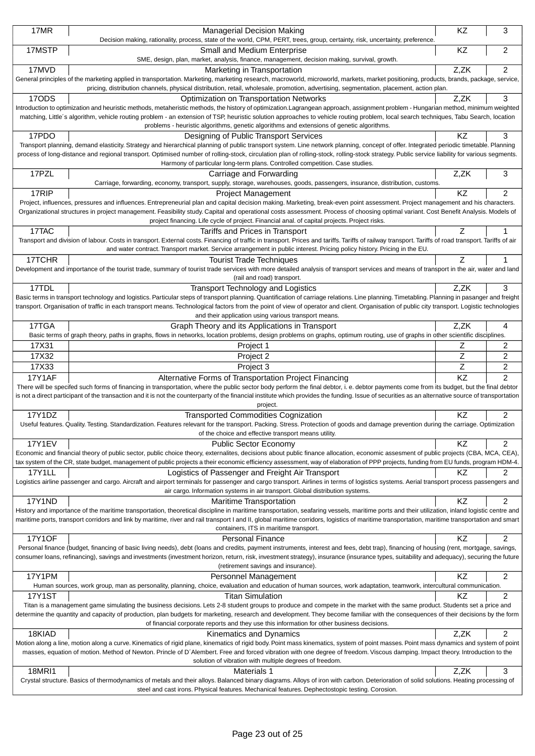| 17MR                                                                                                                                                                                                                                                                             | <b>Managerial Decision Making</b>                                                                                                                                                                                                                                                                                                                                                    | KZ   | 3              |
|----------------------------------------------------------------------------------------------------------------------------------------------------------------------------------------------------------------------------------------------------------------------------------|--------------------------------------------------------------------------------------------------------------------------------------------------------------------------------------------------------------------------------------------------------------------------------------------------------------------------------------------------------------------------------------|------|----------------|
|                                                                                                                                                                                                                                                                                  | Decision making, rationality, process, state of the world, CPM, PERT, trees, group, certainty, risk, uncertainty, preference.                                                                                                                                                                                                                                                        |      |                |
| 17MSTP                                                                                                                                                                                                                                                                           | Small and Medium Enterprise<br>SME, design, plan, market, analysis, finance, management, decision making, survival, growth.                                                                                                                                                                                                                                                          | KZ   | $\overline{c}$ |
| 17MVD                                                                                                                                                                                                                                                                            | Marketing in Transportation                                                                                                                                                                                                                                                                                                                                                          | Z,ZK | 2              |
|                                                                                                                                                                                                                                                                                  | General principles of the marketing applied in transportation. Marketing, marketing research, macroworld, microworld, markets, market positioning, products, brands, package, service,                                                                                                                                                                                               |      |                |
|                                                                                                                                                                                                                                                                                  | pricing, distribution channels, physical distribution, retail, wholesale, promotion, advertising, segmentation, placement, action plan.                                                                                                                                                                                                                                              |      |                |
| 17ODS                                                                                                                                                                                                                                                                            | Optimization on Transportation Networks                                                                                                                                                                                                                                                                                                                                              | Z,ZK | 3              |
|                                                                                                                                                                                                                                                                                  | Introduction to optimization and heuristic methods, metaheristic methods, the history of optimization.Lagrangean approach, assignment problem - Hungarian method, minimum weighted<br>matching, Little's algorithm, vehicle routing problem - an extension of TSP, heuristic solution approaches to vehicle routing problem, local search techniques, Tabu Search, location          |      |                |
|                                                                                                                                                                                                                                                                                  | problems - heuristic algorithms, genetic algorithms and extensions of genetic algorithms.                                                                                                                                                                                                                                                                                            |      |                |
| 17PDO                                                                                                                                                                                                                                                                            | Designing of Public Transport Services                                                                                                                                                                                                                                                                                                                                               | KZ   | 3              |
|                                                                                                                                                                                                                                                                                  | Transport planning, demand elasticity. Strategy and hierarchical planning of public transport system. Line network planning, concept of offer. Integrated periodic timetable. Planning                                                                                                                                                                                               |      |                |
|                                                                                                                                                                                                                                                                                  | process of long-distance and regional transport. Optimised number of rolling-stock, circulation plan of rolling-stock, rolling-stock strategy. Public service liability for various segments.                                                                                                                                                                                        |      |                |
| 17PZL                                                                                                                                                                                                                                                                            | Harmony of particular long-term plans. Controlled competition. Case studies.<br>Carriage and Forwarding                                                                                                                                                                                                                                                                              | Z,ZK | 3              |
|                                                                                                                                                                                                                                                                                  | Carriage, forwarding, economy, transport, supply, storage, warehouses, goods, passengers, insurance, distribution, customs.                                                                                                                                                                                                                                                          |      |                |
| 17RIP                                                                                                                                                                                                                                                                            | <b>Project Management</b>                                                                                                                                                                                                                                                                                                                                                            | KZ   | 2              |
|                                                                                                                                                                                                                                                                                  | Project, influences, pressures and influences. Entrepreneurial plan and capital decision making. Marketing, break-even point assessment. Project management and his characters.                                                                                                                                                                                                      |      |                |
|                                                                                                                                                                                                                                                                                  | Organizational structures in project management. Feasibility study. Capital and operational costs assessment. Process of choosing optimal variant. Cost Benefit Analysis. Models of                                                                                                                                                                                                  |      |                |
|                                                                                                                                                                                                                                                                                  | project financing. Life cycle of project. Financial anal. of capital projects. Project risks.                                                                                                                                                                                                                                                                                        |      |                |
| 17TAC                                                                                                                                                                                                                                                                            | Tariffs and Prices in Transport                                                                                                                                                                                                                                                                                                                                                      |      |                |
|                                                                                                                                                                                                                                                                                  | Transport and division of labour. Costs in transport. External costs. Financing of traffic in transport. Prices and tariffs. Tariffs of railway transport. Tariffs of road transport. Tariffs of road transport. Tariffs of ai<br>and water contract. Transport market. Service arrangement in public interest. Pricing policy history. Pricing in the EU.                           |      |                |
| 17TCHR                                                                                                                                                                                                                                                                           | <b>Tourist Trade Techniques</b>                                                                                                                                                                                                                                                                                                                                                      | Ζ    |                |
|                                                                                                                                                                                                                                                                                  | Development and importance of the tourist trade, summary of tourist trade services with more detailed analysis of transport services and means of transport in the air, water and land                                                                                                                                                                                               |      |                |
|                                                                                                                                                                                                                                                                                  | (rail and road) transport.                                                                                                                                                                                                                                                                                                                                                           |      |                |
| 17TDL                                                                                                                                                                                                                                                                            | <b>Transport Technology and Logistics</b>                                                                                                                                                                                                                                                                                                                                            | Z,ZK | 3              |
|                                                                                                                                                                                                                                                                                  | Basic terms in transport technology and logistics. Particular steps of transport planning. Quantification of carriage relations. Line planning. Timetabling. Planning in pasanger and freight                                                                                                                                                                                        |      |                |
|                                                                                                                                                                                                                                                                                  | transport. Organisation of traffic in each transport means. Technological factors from the point of view of operator and client. Organisation of public city transport. Logistic technologies<br>and their application using various transport means.                                                                                                                                |      |                |
| 17TGA                                                                                                                                                                                                                                                                            | Graph Theory and its Applications in Transport                                                                                                                                                                                                                                                                                                                                       | Z,ZK | 4              |
|                                                                                                                                                                                                                                                                                  | Basic terms of graph theory, paths in graphs, flows in networks, location problems, design problems on graphs, optimum routing, use of graphs in other scientific disciplines.                                                                                                                                                                                                       |      |                |
| 17X31                                                                                                                                                                                                                                                                            | Project 1                                                                                                                                                                                                                                                                                                                                                                            | Ζ    | 2              |
| 17X32                                                                                                                                                                                                                                                                            | Project 2                                                                                                                                                                                                                                                                                                                                                                            | Z    | 2              |
| 17X33                                                                                                                                                                                                                                                                            | Project 3                                                                                                                                                                                                                                                                                                                                                                            | Ζ    | 2              |
| <b>17Y1AF</b>                                                                                                                                                                                                                                                                    | Alternative Forms of Transportation Project Financing                                                                                                                                                                                                                                                                                                                                | KZ   | $\overline{2}$ |
|                                                                                                                                                                                                                                                                                  | There will be specifed such forms of financing in transportation, where the public sector body perform the final debtor, i. e. debtor payments come from its budget, but the final debtor                                                                                                                                                                                            |      |                |
|                                                                                                                                                                                                                                                                                  | is not a direct participant of the transaction and it is not the counterparty of the financial institute which provides the funding. Issue of securities as an alternative source of transportation                                                                                                                                                                                  |      |                |
| 17Y1DZ                                                                                                                                                                                                                                                                           | project.<br><b>Transported Commodities Cognization</b>                                                                                                                                                                                                                                                                                                                               | ΚZ   | 2              |
|                                                                                                                                                                                                                                                                                  | Useful features. Quality. Testing. Standardization. Features relevant for the transport. Packing. Stress. Protection of goods and damage prevention during the carriage. Optimization                                                                                                                                                                                                |      |                |
|                                                                                                                                                                                                                                                                                  | of the choice and effective transport means utility.                                                                                                                                                                                                                                                                                                                                 |      |                |
| <b>17Y1EV</b>                                                                                                                                                                                                                                                                    | <b>Public Sector Economy</b>                                                                                                                                                                                                                                                                                                                                                         | KZ   | 2              |
|                                                                                                                                                                                                                                                                                  | Economic and financial theory of public sector, public choice theory, externalites, decisions about public finance allocation, economic assesment of public projects (CBA, MCA, CEA),                                                                                                                                                                                                |      |                |
|                                                                                                                                                                                                                                                                                  | tax system of the CR, state budget, management of public projects a their economic efficiency assessment, way of elaboration of PPP projects, funding from EU funds, program HDM-4.                                                                                                                                                                                                  |      |                |
| 17Y1LL                                                                                                                                                                                                                                                                           | Logistics of Passenger and Freight Air Transport                                                                                                                                                                                                                                                                                                                                     | KZ   | 2              |
|                                                                                                                                                                                                                                                                                  | Logistics airline passenger and cargo. Aircraft and airport terminals for passenger and cargo transport. Airlines in terms of logistics systems. Aerial transport process passengers and<br>air cargo. Information systems in air transport. Global distribution systems.                                                                                                            |      |                |
| 17Y1ND                                                                                                                                                                                                                                                                           | <b>Maritime Transportation</b>                                                                                                                                                                                                                                                                                                                                                       | KZ   | 2              |
|                                                                                                                                                                                                                                                                                  | History and importance of the maritime transportation, theoretical discipline in maritime transportation, seafaring vessels, maritime ports and their utilization, inland logistic centre and                                                                                                                                                                                        |      |                |
|                                                                                                                                                                                                                                                                                  | maritime ports, transport corridors and link by maritime, river and rail transport I and II, global maritime corridors, logistics of maritime transportation, maritime transportation and smart                                                                                                                                                                                      |      |                |
|                                                                                                                                                                                                                                                                                  | containers, ITS in maritime transport.                                                                                                                                                                                                                                                                                                                                               |      |                |
| <b>17Y1OF</b>                                                                                                                                                                                                                                                                    | <b>Personal Finance</b>                                                                                                                                                                                                                                                                                                                                                              | KZ   | 2              |
|                                                                                                                                                                                                                                                                                  | Personal finance (budget, financing of basic living needs), debt (loans and credits, payment instruments, interest and fees, debt trap), financing of housing (rent, mortgage, savings,<br>consumer loans, refinancing), savings and investments (investment horizon, return, risk, investment strategy), insurance (insurance types, suitability and adequacy), securing the future |      |                |
|                                                                                                                                                                                                                                                                                  | (retirement savings and insurance).                                                                                                                                                                                                                                                                                                                                                  |      |                |
| 17Y1PM                                                                                                                                                                                                                                                                           | Personnel Management                                                                                                                                                                                                                                                                                                                                                                 | KZ   | 2              |
|                                                                                                                                                                                                                                                                                  | Human sources, work group, man as personality, planning, choice, evaluation and education of human sources, work adaptation, teamwork, intercultural communication.                                                                                                                                                                                                                  |      |                |
| <b>17Y1ST</b>                                                                                                                                                                                                                                                                    | <b>Titan Simulation</b>                                                                                                                                                                                                                                                                                                                                                              | ΚZ   | 2              |
|                                                                                                                                                                                                                                                                                  | Titan is a management game simulating the business decisions. Lets 2-8 student groups to produce and compete in the market with the same product. Students set a price and                                                                                                                                                                                                           |      |                |
| determine the quantity and capacity of production, plan budgets for marketing, research and development. They become familiar with the consequences of their decisions by the form<br>of financial corporate reports and they use this information for other business decisions. |                                                                                                                                                                                                                                                                                                                                                                                      |      |                |
| 18KIAD                                                                                                                                                                                                                                                                           | Kinematics and Dynamics                                                                                                                                                                                                                                                                                                                                                              | Z,ZK | 2              |
|                                                                                                                                                                                                                                                                                  | Motion along a line, motion along a curve. Kinematics of rigid plane, kinematics of rigid body. Point mass kinematics, system of point masses. Point mass dynamics and system of point                                                                                                                                                                                               |      |                |
|                                                                                                                                                                                                                                                                                  | masses, equation of motion. Method of Newton. Princle of D'Alembert. Free and forced vibration with one degree of freedom. Viscous damping. Impact theory. Introduction to the                                                                                                                                                                                                       |      |                |
|                                                                                                                                                                                                                                                                                  | solution of vibration with multiple degrees of freedom.                                                                                                                                                                                                                                                                                                                              |      |                |
| 18MR11                                                                                                                                                                                                                                                                           | Materials 1                                                                                                                                                                                                                                                                                                                                                                          | Z,ZK | 3              |
|                                                                                                                                                                                                                                                                                  | Crystal structure. Basics of thermodynamics of metals and their alloys. Balanced binary diagrams. Alloys of iron with carbon. Deterioration of solid solutions. Heating processing of                                                                                                                                                                                                |      |                |
|                                                                                                                                                                                                                                                                                  | steel and cast irons. Physical features. Mechanical features. Dephectostopic testing. Corosion.                                                                                                                                                                                                                                                                                      |      |                |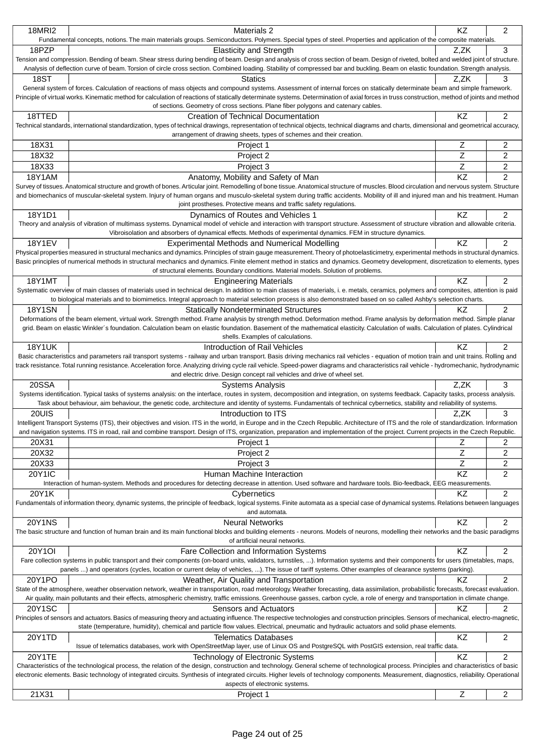| <b>18MRI2</b>                                                                                                                             | <b>Materials 2</b>                                                                                                                                                                            | <b>KZ</b>   | 2                       |
|-------------------------------------------------------------------------------------------------------------------------------------------|-----------------------------------------------------------------------------------------------------------------------------------------------------------------------------------------------|-------------|-------------------------|
|                                                                                                                                           | Fundamental concepts, notions. The main materials groups. Semiconductors. Polymers. Special types of steel. Properties and application of the composite materials.                            |             |                         |
| 18PZP                                                                                                                                     | <b>Elasticity and Strength</b>                                                                                                                                                                | Z.ZK        | 3                       |
|                                                                                                                                           | Tension and compression. Bending of beam. Shear stress during bending of beam. Design and analysis of cross section of beam. Design of riveted, bolted and welded joint of structure.         |             |                         |
|                                                                                                                                           | Analysis of deflection curve of beam. Torsion of circle cross section. Combined loading. Stability of compressed bar and buckling. Beam on elastic foundation. Strength analysis.             |             |                         |
| 18ST                                                                                                                                      | <b>Statics</b>                                                                                                                                                                                | Z,ZK        | 3                       |
|                                                                                                                                           | General system of forces. Calculation of reactions of mass objects and compound systems. Assessment of internal forces on statically determinate beam and simple framework.                   |             |                         |
|                                                                                                                                           | Principle of virtual works. Kinematic method for calculation of reactions of statically determinate systems. Determination of axial forces in truss construction, method of joints and method |             |                         |
|                                                                                                                                           | of sections. Geometry of cross sections. Plane fiber polygons and catenary cables.                                                                                                            |             |                         |
| 18TTED                                                                                                                                    | <b>Creation of Technical Documentation</b>                                                                                                                                                    | ΚZ          | 2                       |
|                                                                                                                                           | Technical standards, international standardization, types of technical drawings, representation of technical objects, technical diagrams and charts, dimensional and geometrical accuracy,    |             |                         |
|                                                                                                                                           | arrangement of drawing sheets, types of schemes and their creation.                                                                                                                           |             |                         |
| 18X31                                                                                                                                     | Project 1                                                                                                                                                                                     | $\mathsf Z$ | 2                       |
| 18X32                                                                                                                                     | Project 2                                                                                                                                                                                     | Z           | 2                       |
| 18X33                                                                                                                                     | Project 3                                                                                                                                                                                     | $\mathsf Z$ | 2                       |
| <b>18Y1AM</b>                                                                                                                             | Anatomy, Mobility and Safety of Man                                                                                                                                                           | KZ          | $\overline{2}$          |
|                                                                                                                                           | Survey of tissues. Anatomical structure and growth of bones. Articular joint. Remodelling of bone tissue. Anatomical structure of muscles. Blood circulation and nervous system. Structure    |             |                         |
|                                                                                                                                           | and biomechanics of muscular-skeletal system. Injury of human organs and musculo-skeletal system during traffic accidents. Mobility of ill and injured man and his treatment. Human           |             |                         |
|                                                                                                                                           | joint prostheses. Protective means and traffic safety regulations.                                                                                                                            |             |                         |
| 18Y1D1                                                                                                                                    | Dynamics of Routes and Vehicles 1                                                                                                                                                             | KZ          | 2                       |
|                                                                                                                                           | Theory and analysis of vibration of multimass systems. Dynamical model of vehicle and interaction with transport structure. Assessment of structure vibration and allowable criteria.         |             |                         |
|                                                                                                                                           | Vibroisolation and absorbers of dynamical effects. Methods of experimental dynamics. FEM in structure dynamics.                                                                               |             |                         |
| <b>18Y1EV</b>                                                                                                                             | <b>Experimental Methods and Numerical Modelling</b>                                                                                                                                           | <b>KZ</b>   | 2                       |
|                                                                                                                                           | Physical properties measured in structural mechanics and dynamics. Principles of strain gauge measurement. Theory of photoelasticimetry, experimental methods in structural dynamics.         |             |                         |
|                                                                                                                                           | Basic principles of numerical methods in structural mechanics and dynamics. Finite element method in statics and dynamics. Geometry development, discretization to elements, types            |             |                         |
|                                                                                                                                           | of structural elements. Boundary conditions. Material models. Solution of problems.                                                                                                           |             |                         |
| <b>18Y1MT</b>                                                                                                                             | <b>Engineering Materials</b>                                                                                                                                                                  | <b>KZ</b>   | 2                       |
|                                                                                                                                           | Systematic overview of main classes of materials used in technical design. In addition to main classes of materials, i. e. metals, ceramics, polymers and composites, attention is paid       |             |                         |
|                                                                                                                                           | to biological materials and to biomimetics. Integral approach to material selection process is also demonstrated based on so called Ashby's selection charts.                                 |             |                         |
| 18Y1SN                                                                                                                                    | <b>Statically Nondeterminated Structures</b>                                                                                                                                                  | ΚZ          | 2                       |
|                                                                                                                                           | Deformations of the beam element, virtual work. Strength method. Frame analysis by strength method. Deformation method. Frame analysis by deformation method. Simple planar                   |             |                         |
|                                                                                                                                           | grid. Beam on elastic Winkler's foundation. Calculation beam on elastic foundation. Basement of the mathematical elasticity. Calculation of walls. Calculation of plates. Cylindrical         |             |                         |
|                                                                                                                                           | shells. Examples of calculations.                                                                                                                                                             |             |                         |
| <b>18Y1UK</b>                                                                                                                             | Introduction of Rail Vehicles                                                                                                                                                                 | KZ          | 2                       |
|                                                                                                                                           | Basic characteristics and parameters rail transport systems - railway and urban transport. Basis driving mechanics rail vehicles - equation of motion train and unit trains. Rolling and      |             |                         |
|                                                                                                                                           | track resistance. Total running resistance. Acceleration force. Analyzing driving cycle rail vehicle. Speed-power diagrams and characteristics rail vehicle - hydromechanic, hydrodynamic     |             |                         |
|                                                                                                                                           | and electric drive. Design concept rail vehicles and drive of wheel set.                                                                                                                      |             |                         |
| 20SSA                                                                                                                                     | <b>Systems Analysis</b>                                                                                                                                                                       | Z.ZK        | 3                       |
|                                                                                                                                           | Systems identification. Typical tasks of systems analysis: on the interface, routes in system, decomposition and integration, on systems feedback. Capacity tasks, process analysis.          |             |                         |
|                                                                                                                                           | Task about behaviour, aim behaviour, the genetic code, architecture and identity of systems. Fundamentals of technical cybernetics, stability and reliability of systems.                     |             |                         |
| 20UIS                                                                                                                                     | Introduction to ITS                                                                                                                                                                           | Z.ZK        | 3                       |
|                                                                                                                                           | Intelligent Transport Systems (ITS), their objectives and vision. ITS in the world, in Europe and in the Czech Republic. Architecture of ITS and the role of standardization. Information     |             |                         |
|                                                                                                                                           | and navigation systems. ITS in road, rail and combine transport. Design of ITS, organization, preparation and implementation of the project. Current projects in the Czech Republic.          |             |                         |
| 20X31                                                                                                                                     | Project 1                                                                                                                                                                                     | Ζ           | 2                       |
| 20X32                                                                                                                                     | Project 2                                                                                                                                                                                     | Z           | 2                       |
| 20X33                                                                                                                                     | Project 3                                                                                                                                                                                     | Z           | $\overline{\mathbf{c}}$ |
| <b>20Y1IC</b>                                                                                                                             | Human Machine Interaction                                                                                                                                                                     | KZ          | $\overline{2}$          |
|                                                                                                                                           | Interaction of human-system. Methods and procedures for detecting decrease in attention. Used software and hardware tools. Bio-feedback, EEG measurements.                                    |             |                         |
| 20Y1K                                                                                                                                     | Cybernetics                                                                                                                                                                                   | KZ          | 2                       |
|                                                                                                                                           | Fundamentals of information theory, dynamic systems, the principle of feedback, logical systems. Finite automata as a special case of dynamical systems. Relations between languages          |             |                         |
|                                                                                                                                           | and automata.                                                                                                                                                                                 |             |                         |
| <b>20Y1NS</b>                                                                                                                             | <b>Neural Networks</b>                                                                                                                                                                        | KZ          | 2                       |
|                                                                                                                                           | The basic structure and function of human brain and its main functional blocks and building elements - neurons. Models of neurons, modelling their networks and the basic paradigms           |             |                         |
|                                                                                                                                           | of artificial neural networks.                                                                                                                                                                |             |                         |
| 20Y1OI                                                                                                                                    | Fare Collection and Information Systems                                                                                                                                                       | KZ          | 2                       |
|                                                                                                                                           | Fare collection systems in public transport and their components (on-board units, validators, turnstiles, ). Information systems and their components for users (timetables, maps,            |             |                         |
|                                                                                                                                           | panels ) and operators (cycles, location or current delay of vehicles, ). The issue of tariff systems. Other examples of clearance systems (parking).                                         |             |                         |
| 20Y1PO                                                                                                                                    | Weather, Air Quality and Transportation                                                                                                                                                       | KZ          | 2                       |
|                                                                                                                                           | State of the atmosphere, weather observation network, weather in transportation, road meteorology. Weather forecasting, data assimilation, probabilistic forecasts, forecast evaluation.      |             |                         |
|                                                                                                                                           | Air quality, main pollutants and their effects, atmospheric chemistry, traffic emissions. Greenhouse gasses, carbon cycle, a role of energy and transportation in climate change.             |             |                         |
| 20Y1SC                                                                                                                                    | Sensors and Actuators                                                                                                                                                                         | ΚZ          | 2                       |
|                                                                                                                                           | Principles of sensors and actuators. Basics of measuring theory and actuating influence. The respective technologies and construction principles. Sensors of mechanical, electro-magnetic,    |             |                         |
| state (temperature, humidity), chemical and particle flow values. Electrical, pneumatic and hydraulic actuators and solid phase elements. |                                                                                                                                                                                               |             |                         |
| 20Y1TD                                                                                                                                    | <b>Telematics Databases</b>                                                                                                                                                                   | KZ          | 2                       |
|                                                                                                                                           | Issue of telematics databases, work with OpenStreetMap layer, use of Linux OS and PostgreSQL with PostGIS extension, real traffic data.                                                       |             |                         |
| 20Y1TE                                                                                                                                    | Technology of Electronic Systems                                                                                                                                                              | KZ          | $\overline{c}$          |
|                                                                                                                                           | Characteristics of the technological process, the relation of the design, construction and technology. General scheme of technological process. Principles and characteristics of basic       |             |                         |
|                                                                                                                                           | electronic elements. Basic technology of integrated circuits. Synthesis of integrated circuits. Higher levels of technology components. Measurement, diagnostics, reliability. Operational    |             |                         |
|                                                                                                                                           | aspects of electronic systems.                                                                                                                                                                |             |                         |
| 21X31                                                                                                                                     | Project 1                                                                                                                                                                                     | $\mathsf Z$ | $\overline{2}$          |